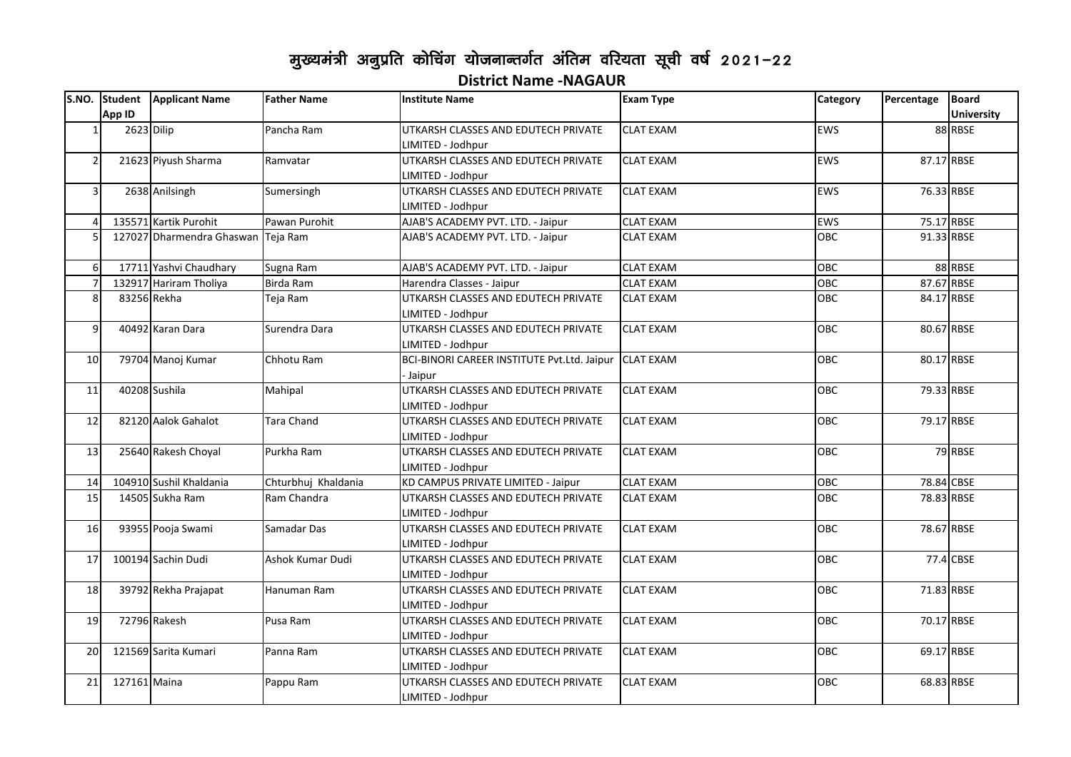## मुख्यमंत्री अनुप्रति कोचिंग योजनान्तर्गत अंतिम वरियता सूची वर्ष 2021-22 **District Name -NAGAUR**

|                |              | S.NO. Student Applicant Name       | <b>Father Name</b>  | <b>Institute Name</b>                                 | <b>Exam Type</b> | Category   | Percentage | <b>Board</b>      |
|----------------|--------------|------------------------------------|---------------------|-------------------------------------------------------|------------------|------------|------------|-------------------|
|                | App ID       |                                    |                     |                                                       |                  |            |            | <b>University</b> |
|                | 2623 Dilip   |                                    | Pancha Ram          | UTKARSH CLASSES AND EDUTECH PRIVATE                   | <b>CLAT EXAM</b> | <b>EWS</b> |            | 88 RBSE           |
|                |              |                                    |                     | LIMITED - Jodhpur                                     |                  |            |            |                   |
| $\overline{2}$ |              | 21623 Piyush Sharma                | Ramvatar            | UTKARSH CLASSES AND EDUTECH PRIVATE                   | <b>CLAT EXAM</b> | <b>EWS</b> |            | 87.17 RBSE        |
|                |              |                                    |                     | LIMITED - Jodhpur                                     |                  |            |            |                   |
| 3              |              | 2638 Anilsingh                     | Sumersingh          | UTKARSH CLASSES AND EDUTECH PRIVATE                   | <b>CLAT EXAM</b> | <b>EWS</b> |            | 76.33 RBSE        |
|                |              |                                    |                     | LIMITED - Jodhpur                                     |                  |            |            |                   |
| $\overline{4}$ |              | 135571 Kartik Purohit              | Pawan Purohit       | AJAB'S ACADEMY PVT. LTD. - Jaipur                     | <b>CLAT EXAM</b> | EWS        |            | 75.17 RBSE        |
| 5              |              | 127027 Dharmendra Ghaswan Teja Ram |                     | AJAB'S ACADEMY PVT. LTD. - Jaipur                     | <b>CLAT EXAM</b> | <b>OBC</b> |            | 91.33 RBSE        |
|                |              |                                    |                     |                                                       |                  |            |            |                   |
| 6              |              | 17711 Yashvi Chaudhary             | Sugna Ram           | AJAB'S ACADEMY PVT. LTD. - Jaipur                     | <b>CLAT EXAM</b> | OBC        |            | 88 RBSE           |
| $\overline{7}$ |              | 132917 Hariram Tholiya             | Birda Ram           | Harendra Classes - Jaipur                             | <b>CLAT EXAM</b> | <b>OBC</b> |            | 87.67 RBSE        |
| 8              | 83256 Rekha  |                                    | Teja Ram            | UTKARSH CLASSES AND EDUTECH PRIVATE                   | <b>CLAT EXAM</b> | <b>OBC</b> |            | 84.17 RBSE        |
|                |              |                                    |                     | LIMITED - Jodhpur                                     |                  |            |            |                   |
| 9              |              | 40492 Karan Dara                   | Surendra Dara       | UTKARSH CLASSES AND EDUTECH PRIVATE                   | <b>CLAT EXAM</b> | OBC        | 80.67 RBSE |                   |
|                |              |                                    |                     | LIMITED - Jodhpur                                     |                  |            |            |                   |
| 10             |              | 79704 Manoj Kumar                  | Chhotu Ram          | BCI-BINORI CAREER INSTITUTE Pvt.Ltd. Jaipur CLAT EXAM |                  | <b>OBC</b> | 80.17 RBSE |                   |
|                |              |                                    |                     | Jaipur                                                |                  |            |            |                   |
| 11             |              | 40208 Sushila                      | Mahipal             | UTKARSH CLASSES AND EDUTECH PRIVATE                   | <b>CLAT EXAM</b> | <b>OBC</b> |            | 79.33 RBSE        |
|                |              |                                    |                     | LIMITED - Jodhpur                                     |                  |            |            |                   |
| 12             |              | 82120 Aalok Gahalot                | Tara Chand          | UTKARSH CLASSES AND EDUTECH PRIVATE                   | <b>CLAT EXAM</b> | OBC        |            | 79.17 RBSE        |
|                |              |                                    |                     | LIMITED - Jodhpur                                     |                  |            |            |                   |
| 13             |              | 25640 Rakesh Choyal                | Purkha Ram          | UTKARSH CLASSES AND EDUTECH PRIVATE                   | <b>CLAT EXAM</b> | OBC        |            | 79 RBSE           |
|                |              |                                    |                     | LIMITED - Jodhpur                                     |                  |            |            |                   |
| 14             |              | 104910 Sushil Khaldania            | Chturbhuj Khaldania | KD CAMPUS PRIVATE LIMITED - Jaipur                    | <b>CLAT EXAM</b> | OBC        |            | 78.84 CBSE        |
| 15             |              | 14505 Sukha Ram                    | Ram Chandra         | UTKARSH CLASSES AND EDUTECH PRIVATE                   | <b>CLAT EXAM</b> | OBC        |            | 78.83 RBSE        |
|                |              |                                    |                     | LIMITED - Jodhpur                                     |                  |            |            |                   |
| 16             |              | 93955 Pooja Swami                  | Samadar Das         | UTKARSH CLASSES AND EDUTECH PRIVATE                   | <b>CLAT EXAM</b> | <b>OBC</b> |            | 78.67 RBSE        |
|                |              |                                    |                     | LIMITED - Jodhpur                                     |                  |            |            |                   |
| 17             |              | 100194 Sachin Dudi                 | Ashok Kumar Dudi    | UTKARSH CLASSES AND EDUTECH PRIVATE                   | <b>CLAT EXAM</b> | OBC        |            | 77.4 CBSE         |
|                |              |                                    |                     | LIMITED - Jodhpur                                     |                  |            |            |                   |
| 18             |              | 39792 Rekha Prajapat               | Hanuman Ram         | UTKARSH CLASSES AND EDUTECH PRIVATE                   | <b>CLAT EXAM</b> | <b>OBC</b> |            | 71.83 RBSE        |
|                |              |                                    |                     | LIMITED - Jodhpur                                     |                  |            |            |                   |
| 19             |              | 72796 Rakesh                       | Pusa Ram            | UTKARSH CLASSES AND EDUTECH PRIVATE                   | <b>CLAT EXAM</b> | OBC        |            | 70.17 RBSE        |
|                |              |                                    |                     | LIMITED - Jodhpur                                     |                  |            |            |                   |
| 20             |              | 121569 Sarita Kumari               | Panna Ram           | UTKARSH CLASSES AND EDUTECH PRIVATE                   | <b>CLAT EXAM</b> | OBC        |            | 69.17 RBSE        |
|                |              |                                    |                     | LIMITED - Jodhpur                                     |                  |            |            |                   |
| 21             | 127161 Maina |                                    | Pappu Ram           | UTKARSH CLASSES AND EDUTECH PRIVATE                   | <b>CLAT EXAM</b> | <b>OBC</b> |            | 68.83 RBSE        |
|                |              |                                    |                     | LIMITED - Jodhpur                                     |                  |            |            |                   |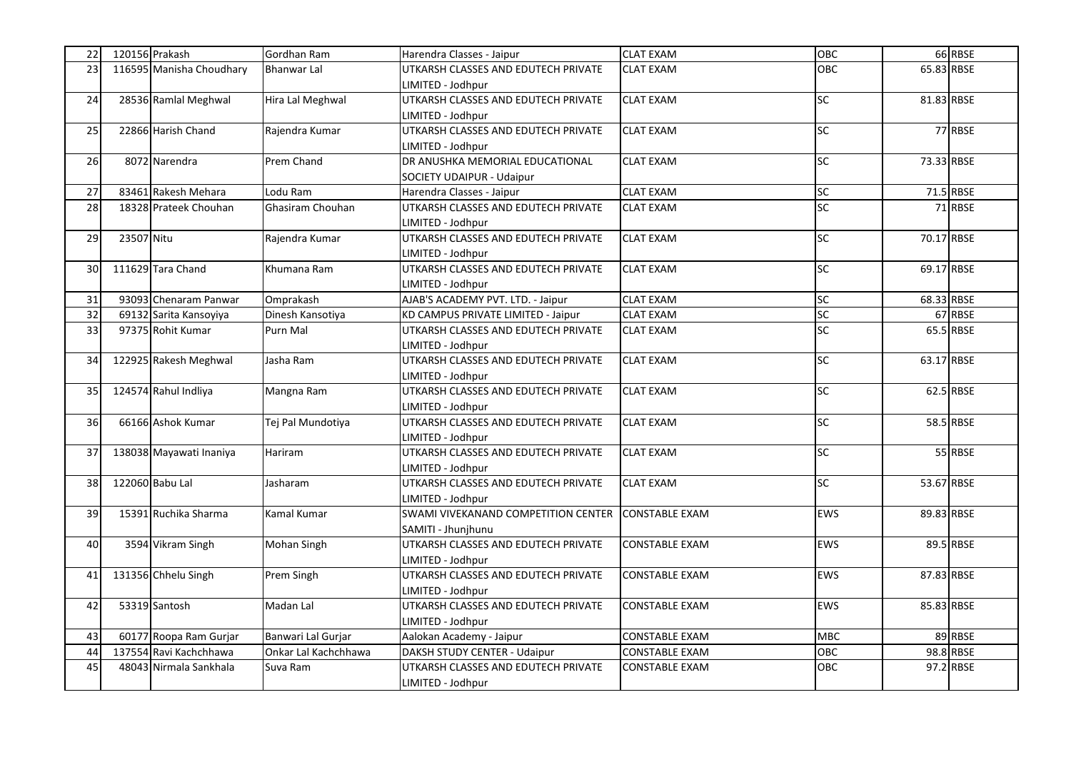| 22 |            | 120156 Prakash           | Gordhan Ram          | Harendra Classes - Jaipur           | <b>CLAT EXAM</b>      | OBC        |            | 66 RBSE   |
|----|------------|--------------------------|----------------------|-------------------------------------|-----------------------|------------|------------|-----------|
| 23 |            | 116595 Manisha Choudhary | <b>Bhanwar Lal</b>   | JTKARSH CLASSES AND EDUTECH PRIVATE | <b>CLAT EXAM</b>      | OBC        | 65.83 RBSE |           |
|    |            |                          |                      | LIMITED - Jodhpur                   |                       |            |            |           |
| 24 |            | 28536 Ramlal Meghwal     | Hira Lal Meghwal     | UTKARSH CLASSES AND EDUTECH PRIVATE | <b>CLAT EXAM</b>      | SC         | 81.83 RBSE |           |
|    |            |                          |                      | LIMITED - Jodhpur                   |                       |            |            |           |
| 25 |            | 22866 Harish Chand       | Rajendra Kumar       | UTKARSH CLASSES AND EDUTECH PRIVATE | <b>CLAT EXAM</b>      | SC         |            | 77 RBSE   |
|    |            |                          |                      | LIMITED - Jodhpur                   |                       |            |            |           |
| 26 |            | 8072 Narendra            | Prem Chand           | DR ANUSHKA MEMORIAL EDUCATIONAL     | <b>CLAT EXAM</b>      | <b>SC</b>  | 73.33 RBSE |           |
|    |            |                          |                      | SOCIETY UDAIPUR - Udaipur           |                       |            |            |           |
| 27 |            | 83461 Rakesh Mehara      | Lodu Ram             | Harendra Classes - Jaipur           | <b>CLAT EXAM</b>      | <b>SC</b>  |            | 71.5 RBSE |
| 28 |            | 18328 Prateek Chouhan    | Ghasiram Chouhan     | UTKARSH CLASSES AND EDUTECH PRIVATE | <b>CLAT EXAM</b>      | <b>SC</b>  |            | 71 RBSE   |
|    |            |                          |                      | LIMITED - Jodhpur                   |                       |            |            |           |
| 29 | 23507 Nitu |                          | Rajendra Kumar       | UTKARSH CLASSES AND EDUTECH PRIVATE | <b>CLAT EXAM</b>      | SC         | 70.17 RBSE |           |
|    |            |                          |                      | LIMITED - Jodhpur                   |                       |            |            |           |
| 30 |            | 111629 Tara Chand        | Khumana Ram          | UTKARSH CLASSES AND EDUTECH PRIVATE | <b>CLAT EXAM</b>      | <b>SC</b>  | 69.17 RBSE |           |
|    |            |                          |                      | LIMITED - Jodhpur                   |                       |            |            |           |
| 31 |            | 93093 Chenaram Panwar    | Omprakash            | AJAB'S ACADEMY PVT. LTD. - Jaipur   | <b>CLAT EXAM</b>      | <b>SC</b>  | 68.33 RBSE |           |
| 32 |            | 69132 Sarita Kansoyiya   | Dinesh Kansotiya     | KD CAMPUS PRIVATE LIMITED - Jaipur  | <b>CLAT EXAM</b>      | <b>SC</b>  |            | 67 RBSE   |
| 33 |            | 97375 Rohit Kumar        | Purn Mal             | UTKARSH CLASSES AND EDUTECH PRIVATE | <b>CLAT EXAM</b>      | <b>SC</b>  |            | 65.5 RBSE |
|    |            |                          |                      | LIMITED - Jodhpur                   |                       |            |            |           |
| 34 |            | 122925 Rakesh Meghwal    | Jasha Ram            | UTKARSH CLASSES AND EDUTECH PRIVATE | <b>CLAT EXAM</b>      | SC         | 63.17 RBSE |           |
|    |            |                          |                      | LIMITED - Jodhpur                   |                       |            |            |           |
| 35 |            | 124574 Rahul Indliya     | Mangna Ram           | UTKARSH CLASSES AND EDUTECH PRIVATE | <b>CLAT EXAM</b>      | SC         |            | 62.5 RBSE |
|    |            |                          |                      | LIMITED - Jodhpur                   |                       |            |            |           |
| 36 |            | 66166 Ashok Kumar        | Tei Pal Mundotiya    | UTKARSH CLASSES AND EDUTECH PRIVATE | <b>CLAT EXAM</b>      | SC         |            | 58.5 RBSE |
|    |            |                          |                      | LIMITED - Jodhpur                   |                       |            |            |           |
| 37 |            | 138038 Mayawati Inaniya  | Hariram              | UTKARSH CLASSES AND EDUTECH PRIVATE | <b>CLAT EXAM</b>      | <b>SC</b>  |            | 55 RBSE   |
|    |            |                          |                      | LIMITED - Jodhpur                   |                       |            |            |           |
| 38 |            | 122060 Babu Lal          | Jasharam             | UTKARSH CLASSES AND EDUTECH PRIVATE | <b>CLAT EXAM</b>      | SC         | 53.67 RBSE |           |
|    |            |                          |                      | LIMITED - Jodhpur                   |                       |            |            |           |
| 39 |            | 15391 Ruchika Sharma     | Kamal Kumar          | SWAMI VIVEKANAND COMPETITION CENTER | <b>CONSTABLE EXAM</b> | EWS        | 89.83 RBSE |           |
|    |            |                          |                      | SAMITI - Jhunjhunu                  |                       |            |            |           |
| 40 |            | 3594 Vikram Singh        | Mohan Singh          | UTKARSH CLASSES AND EDUTECH PRIVATE | <b>CONSTABLE EXAM</b> | <b>EWS</b> |            | 89.5 RBSE |
|    |            |                          |                      | LIMITED - Jodhpur                   |                       |            |            |           |
| 41 |            | 131356 Chhelu Singh      | Prem Singh           | UTKARSH CLASSES AND EDUTECH PRIVATE | <b>CONSTABLE EXAM</b> | EWS        | 87.83 RBSE |           |
|    |            |                          |                      | LIMITED - Jodhpur                   |                       |            |            |           |
| 42 |            | 53319 Santosh            | Madan Lal            | UTKARSH CLASSES AND EDUTECH PRIVATE | <b>CONSTABLE EXAM</b> | <b>EWS</b> | 85.83 RBSE |           |
|    |            |                          |                      | LIMITED - Jodhpur                   |                       |            |            |           |
| 43 |            | 60177 Roopa Ram Gurjar   | Banwari Lal Gurjar   | Aalokan Academy - Jaipur            | CONSTABLE EXAM        | <b>MBC</b> |            | 89 RBSE   |
| 44 |            | 137554 Ravi Kachchhawa   | Onkar Lal Kachchhawa | DAKSH STUDY CENTER - Udaipur        | CONSTABLE EXAM        | OBC        |            | 98.8 RBSE |
| 45 |            | 48043 Nirmala Sankhala   | Suva Ram             | UTKARSH CLASSES AND EDUTECH PRIVATE | CONSTABLE EXAM        | OBC        |            | 97.2 RBSE |
|    |            |                          |                      | LIMITED - Jodhpur                   |                       |            |            |           |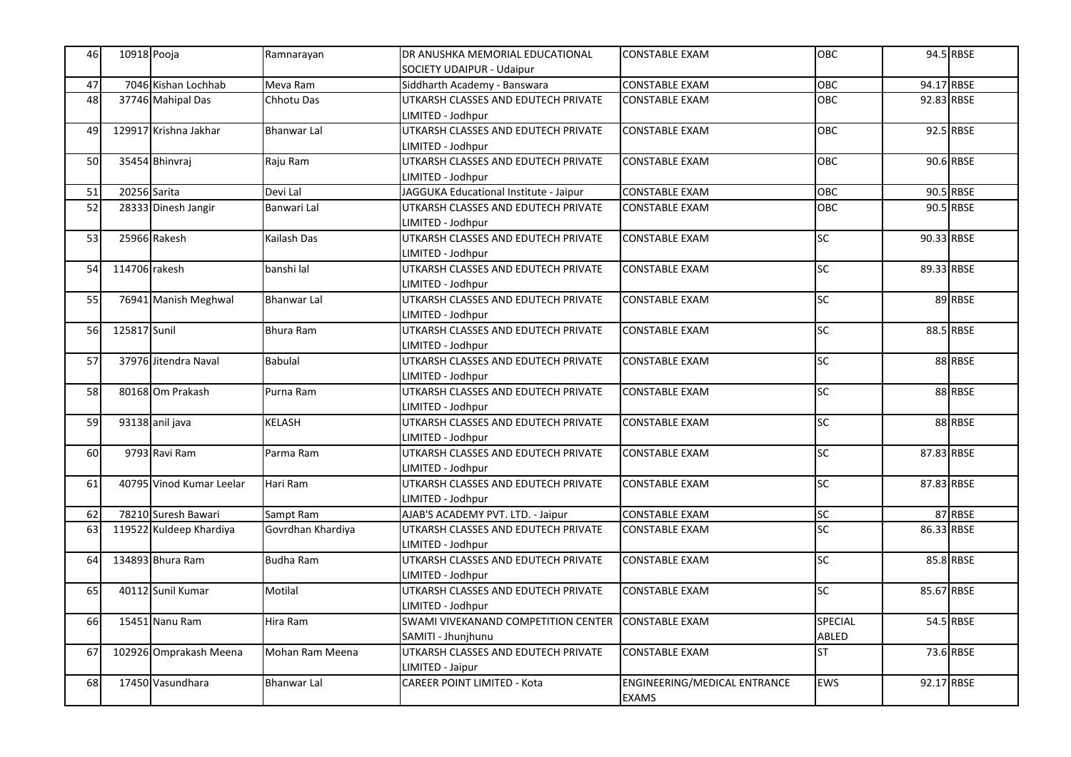| 46 | 10918 Pooja              | Ramnarayan         | DR ANUSHKA MEMORIAL EDUCATIONAL        | <b>CONSTABLE EXAM</b>        | OBC             |            | 94.5 RBSE |
|----|--------------------------|--------------------|----------------------------------------|------------------------------|-----------------|------------|-----------|
|    |                          |                    | SOCIETY UDAIPUR - Udaipur              |                              |                 |            |           |
| 47 | 7046 Kishan Lochhab      | Meva Ram           | Siddharth Academy - Banswara           | CONSTABLE EXAM               | OBC             | 94.17 RBSE |           |
| 48 | 37746 Mahipal Das        | Chhotu Das         | UTKARSH CLASSES AND EDUTECH PRIVATE    | <b>CONSTABLE EXAM</b>        | OBC             | 92.83 RBSE |           |
|    |                          |                    | LIMITED - Jodhpur                      |                              |                 |            |           |
| 49 | 129917 Krishna Jakhar    | <b>Bhanwar Lal</b> | UTKARSH CLASSES AND EDUTECH PRIVATE    | <b>CONSTABLE EXAM</b>        | OBC             |            | 92.5 RBSE |
|    |                          |                    | LIMITED - Jodhpur                      |                              |                 |            |           |
| 50 | 35454 Bhinvraj           | Raju Ram           | UTKARSH CLASSES AND EDUTECH PRIVATE    | <b>CONSTABLE EXAM</b>        | OBC             |            | 90.6 RBSE |
|    |                          |                    | LIMITED - Jodhpur                      |                              |                 |            |           |
| 51 | 20256 Sarita             | Devi Lal           | JAGGUKA Educational Institute - Jaipur | <b>CONSTABLE EXAM</b>        | OBC             |            | 90.5 RBSE |
| 52 | 28333 Dinesh Jangir      | Banwari Lal        | UTKARSH CLASSES AND EDUTECH PRIVATE    | <b>CONSTABLE EXAM</b>        | <b>OBC</b>      |            | 90.5 RBSE |
|    |                          |                    | LIMITED - Jodhpur                      |                              |                 |            |           |
| 53 | 25966 Rakesh             | Kailash Das        | UTKARSH CLASSES AND EDUTECH PRIVATE    | <b>CONSTABLE EXAM</b>        | <b>SC</b>       | 90.33 RBSE |           |
|    |                          |                    | LIMITED - Jodhpur                      |                              |                 |            |           |
| 54 | 114706 rakesh            | banshi lal         | UTKARSH CLASSES AND EDUTECH PRIVATE    | <b>CONSTABLE EXAM</b>        | $\overline{SC}$ | 89.33 RBSE |           |
|    |                          |                    | LIMITED - Jodhpur                      |                              |                 |            |           |
| 55 | 76941 Manish Meghwal     | <b>Bhanwar Lal</b> | UTKARSH CLASSES AND EDUTECH PRIVATE    | <b>CONSTABLE EXAM</b>        | $\overline{SC}$ |            | 89 RBSE   |
|    |                          |                    | LIMITED - Jodhpur                      |                              |                 |            |           |
| 56 | 125817 Sunil             | Bhura Ram          | UTKARSH CLASSES AND EDUTECH PRIVATE    | <b>CONSTABLE EXAM</b>        | SC              |            | 88.5 RBSE |
|    |                          |                    | LIMITED - Jodhpur                      |                              |                 |            |           |
| 57 | 37976 Jitendra Naval     | <b>Babulal</b>     | UTKARSH CLASSES AND EDUTECH PRIVATE    | <b>CONSTABLE EXAM</b>        | $\overline{SC}$ |            | 88 RBSE   |
|    |                          |                    | LIMITED - Jodhpur                      |                              |                 |            |           |
| 58 | 80168 Om Prakash         | Purna Ram          | UTKARSH CLASSES AND EDUTECH PRIVATE    | <b>CONSTABLE EXAM</b>        | <b>SC</b>       |            | 88 RBSE   |
|    |                          |                    | LIMITED - Jodhpur                      |                              |                 |            |           |
| 59 | 93138 anil java          | KELASH             | UTKARSH CLASSES AND EDUTECH PRIVATE    | <b>CONSTABLE EXAM</b>        | <b>SC</b>       |            | 88 RBSE   |
|    |                          |                    | LIMITED - Jodhpur                      |                              |                 |            |           |
| 60 | 9793 Ravi Ram            | Parma Ram          | UTKARSH CLASSES AND EDUTECH PRIVATE    | <b>CONSTABLE EXAM</b>        | <b>SC</b>       | 87.83 RBSE |           |
|    |                          |                    | LIMITED - Jodhpur                      |                              |                 |            |           |
| 61 | 40795 Vinod Kumar Leelar | Hari Ram           | UTKARSH CLASSES AND EDUTECH PRIVATE    | <b>CONSTABLE EXAM</b>        | <b>SC</b>       | 87.83 RBSE |           |
|    |                          |                    | LIMITED - Jodhpur                      |                              |                 |            |           |
| 62 | 78210 Suresh Bawari      | Sampt Ram          | AJAB'S ACADEMY PVT. LTD. - Jaipur      | <b>CONSTABLE EXAM</b>        | SC              |            | 87 RBSE   |
| 63 | 119522 Kuldeep Khardiya  | Govrdhan Khardiya  | UTKARSH CLASSES AND EDUTECH PRIVATE    | <b>CONSTABLE EXAM</b>        | <b>SC</b>       | 86.33 RBSE |           |
|    |                          |                    | LIMITED - Jodhpur                      |                              |                 |            |           |
| 64 | 134893 Bhura Ram         | Budha Ram          | UTKARSH CLASSES AND EDUTECH PRIVATE    | <b>CONSTABLE EXAM</b>        | $\overline{SC}$ |            | 85.8 RBSE |
|    |                          |                    | LIMITED - Jodhpur                      |                              |                 |            |           |
| 65 | 40112 Sunil Kumar        | Motilal            | UTKARSH CLASSES AND EDUTECH PRIVATE    | <b>CONSTABLE EXAM</b>        | $\overline{SC}$ | 85.67 RBSE |           |
|    |                          |                    | LIMITED - Jodhpur                      |                              |                 |            |           |
| 66 | 15451 Nanu Ram           | Hira Ram           | SWAMI VIVEKANAND COMPETITION CENTER    | <b>CONSTABLE EXAM</b>        | SPECIAL         |            | 54.5 RBSE |
|    |                          |                    | SAMITI - Jhunjhunu                     |                              | ABLED           |            |           |
| 67 | 102926 Omprakash Meena   | Mohan Ram Meena    | UTKARSH CLASSES AND EDUTECH PRIVATE    | <b>CONSTABLE EXAM</b>        | <b>ST</b>       |            | 73.6 RBSE |
|    |                          |                    | LIMITED - Jaipur                       |                              |                 |            |           |
| 68 | 17450 Vasundhara         | <b>Bhanwar Lal</b> | <b>CAREER POINT LIMITED - Kota</b>     | ENGINEERING/MEDICAL ENTRANCE | <b>EWS</b>      | 92.17 RBSE |           |
|    |                          |                    |                                        | <b>EXAMS</b>                 |                 |            |           |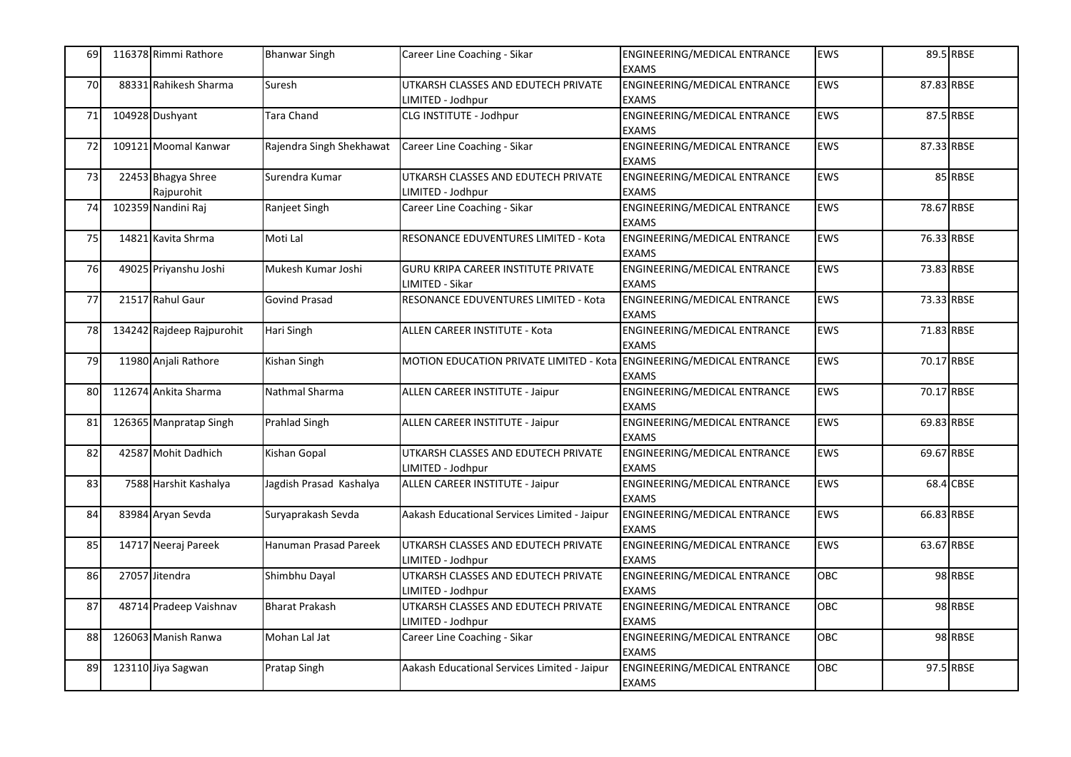| 69 | 116378 Rimmi Rathore             | <b>Bhanwar Singh</b>     | Career Line Coaching - Sikar                                         | ENGINEERING/MEDICAL ENTRANCE<br><b>EXAMS</b>        | <b>EWS</b> |            | 89.5 RBSE |
|----|----------------------------------|--------------------------|----------------------------------------------------------------------|-----------------------------------------------------|------------|------------|-----------|
| 70 | 88331 Rahikesh Sharma            | Suresh                   | UTKARSH CLASSES AND EDUTECH PRIVATE<br>LIMITED - Jodhpur             | ENGINEERING/MEDICAL ENTRANCE<br><b>EXAMS</b>        | <b>EWS</b> | 87.83 RBSE |           |
| 71 | 104928 Dushyant                  | Tara Chand               | CLG INSTITUTE - Jodhpur                                              | ENGINEERING/MEDICAL ENTRANCE<br><b>EXAMS</b>        | <b>EWS</b> |            | 87.5 RBSE |
| 72 | 109121 Moomal Kanwar             | Rajendra Singh Shekhawat | Career Line Coaching - Sikar                                         | ENGINEERING/MEDICAL ENTRANCE<br><b>EXAMS</b>        | <b>EWS</b> | 87.33 RBSE |           |
| 73 | 22453 Bhagya Shree<br>Rajpurohit | Surendra Kumar           | UTKARSH CLASSES AND EDUTECH PRIVATE<br>LIMITED - Jodhpur             | ENGINEERING/MEDICAL ENTRANCE<br><b>EXAMS</b>        | <b>EWS</b> |            | 85 RBSE   |
| 74 | 102359 Nandini Raj               | Ranjeet Singh            | Career Line Coaching - Sikar                                         | ENGINEERING/MEDICAL ENTRANCE<br><b>EXAMS</b>        | <b>EWS</b> | 78.67 RBSE |           |
| 75 | 14821 Kavita Shrma               | Moti Lal                 | RESONANCE EDUVENTURES LIMITED - Kota                                 | <b>ENGINEERING/MEDICAL ENTRANCE</b><br><b>EXAMS</b> | <b>EWS</b> | 76.33 RBSE |           |
| 76 | 49025 Priyanshu Joshi            | Mukesh Kumar Joshi       | <b>GURU KRIPA CAREER INSTITUTE PRIVATE</b><br>LIMITED - Sikar        | ENGINEERING/MEDICAL ENTRANCE<br><b>EXAMS</b>        | <b>EWS</b> | 73.83 RBSE |           |
| 77 | 21517 Rahul Gaur                 | <b>Govind Prasad</b>     | RESONANCE EDUVENTURES LIMITED - Kota                                 | ENGINEERING/MEDICAL ENTRANCE<br><b>EXAMS</b>        | <b>EWS</b> | 73.33 RBSE |           |
| 78 | 134242 Rajdeep Rajpurohit        | Hari Singh               | ALLEN CAREER INSTITUTE - Kota                                        | ENGINEERING/MEDICAL ENTRANCE<br><b>EXAMS</b>        | <b>EWS</b> | 71.83 RBSE |           |
| 79 | 11980 Anjali Rathore             | Kishan Singh             | MOTION EDUCATION PRIVATE LIMITED - Kota ENGINEERING/MEDICAL ENTRANCE | <b>EXAMS</b>                                        | <b>EWS</b> | 70.17 RBSE |           |
| 80 | 112674 Ankita Sharma             | Nathmal Sharma           | ALLEN CAREER INSTITUTE - Jaipur                                      | ENGINEERING/MEDICAL ENTRANCE<br><b>EXAMS</b>        | <b>EWS</b> | 70.17 RBSE |           |
| 81 | 126365 Manpratap Singh           | Prahlad Singh            | ALLEN CAREER INSTITUTE - Jaipur                                      | <b>ENGINEERING/MEDICAL ENTRANCE</b><br><b>EXAMS</b> | <b>EWS</b> | 69.83 RBSE |           |
| 82 | 42587 Mohit Dadhich              | Kishan Gopal             | UTKARSH CLASSES AND EDUTECH PRIVATE<br>LIMITED - Jodhpur             | ENGINEERING/MEDICAL ENTRANCE<br><b>EXAMS</b>        | <b>EWS</b> | 69.67 RBSE |           |
| 83 | 7588 Harshit Kashalya            | Jagdish Prasad Kashalya  | ALLEN CAREER INSTITUTE - Jaipur                                      | ENGINEERING/MEDICAL ENTRANCE<br><b>EXAMS</b>        | EWS        |            | 68.4 CBSE |
| 84 | 83984 Aryan Sevda                | Suryaprakash Sevda       | Aakash Educational Services Limited - Jaipur                         | ENGINEERING/MEDICAL ENTRANCE<br><b>EXAMS</b>        | <b>EWS</b> | 66.83 RBSE |           |
| 85 | 14717 Neeraj Pareek              | Hanuman Prasad Pareek    | UTKARSH CLASSES AND EDUTECH PRIVATE<br>LIMITED - Jodhpur             | ENGINEERING/MEDICAL ENTRANCE<br><b>EXAMS</b>        | EWS        | 63.67 RBSE |           |
| 86 | 27057 Jitendra                   | Shimbhu Dayal            | UTKARSH CLASSES AND EDUTECH PRIVATE<br>IMITED - Jodhpur              | ENGINEERING/MEDICAL ENTRANCE<br><b>EXAMS</b>        | <b>OBC</b> |            | 98 RBSE   |
| 87 | 48714 Pradeep Vaishnav           | <b>Bharat Prakash</b>    | UTKARSH CLASSES AND EDUTECH PRIVATE<br>IMITED - Jodhpur              | ENGINEERING/MEDICAL ENTRANCE<br><b>EXAMS</b>        | OBC        |            | 98 RBSE   |
| 88 | 126063 Manish Ranwa              | Mohan Lal Jat            | Career Line Coaching - Sikar                                         | <b>ENGINEERING/MEDICAL ENTRANCE</b><br><b>EXAMS</b> | OBC        |            | 98 RBSE   |
| 89 | 123110 Jiya Sagwan               | Pratap Singh             | Aakash Educational Services Limited - Jaipur                         | ENGINEERING/MEDICAL ENTRANCE<br><b>EXAMS</b>        | OBC        |            | 97.5 RBSE |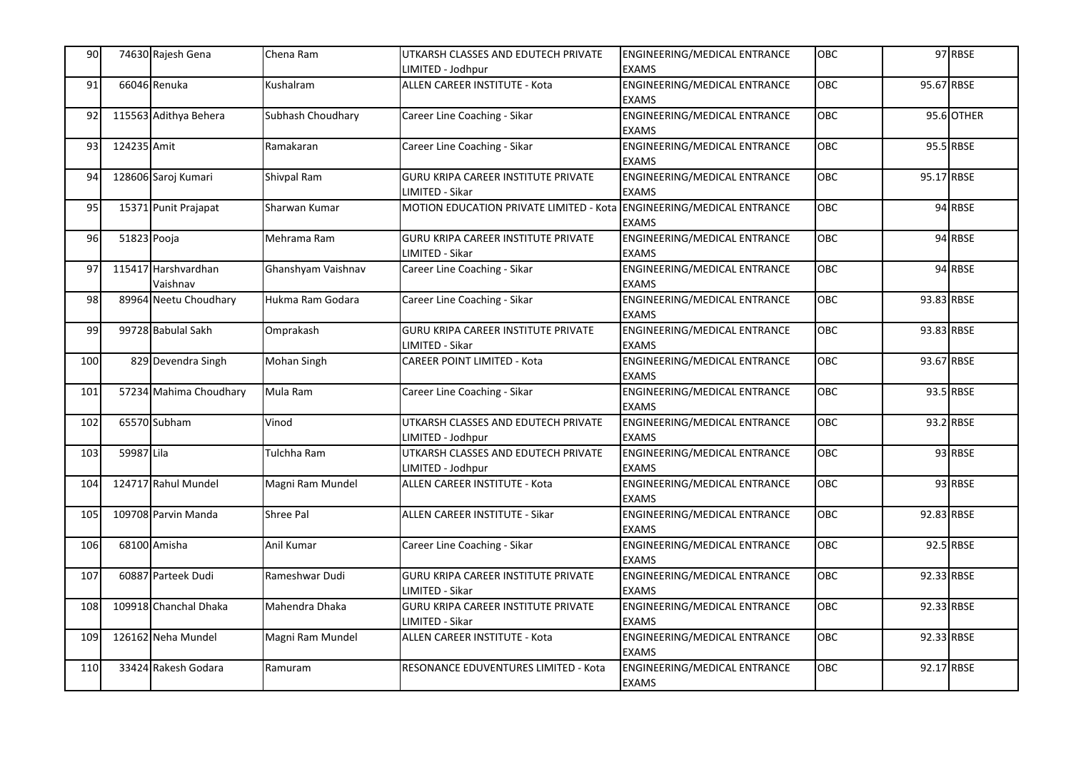| 90  |             | 74630 Rajesh Gena               | Chena Ram          | UTKARSH CLASSES AND EDUTECH PRIVATE<br>IMITED - Jodhpur       | ENGINEERING/MEDICAL ENTRANCE<br><b>EXAMS</b>        | <b>OBC</b> |            | 97 RBSE    |
|-----|-------------|---------------------------------|--------------------|---------------------------------------------------------------|-----------------------------------------------------|------------|------------|------------|
| 91  |             | 66046 Renuka                    | Kushalram          | ALLEN CAREER INSTITUTE - Kota                                 | ENGINEERING/MEDICAL ENTRANCE<br><b>EXAMS</b>        | OBC        | 95.67 RBSE |            |
| 92  |             | 115563 Adithya Behera           | Subhash Choudhary  | Career Line Coaching - Sikar                                  | ENGINEERING/MEDICAL ENTRANCE<br><b>EXAMS</b>        | OBC        |            | 95.6 OTHER |
| 93  | 124235 Amit |                                 | Ramakaran          | Career Line Coaching - Sikar                                  | ENGINEERING/MEDICAL ENTRANCE<br><b>EXAMS</b>        | OBC        |            | 95.5 RBSE  |
| 94  |             | 128606 Saroj Kumari             | Shivpal Ram        | GURU KRIPA CAREER INSTITUTE PRIVATE<br>LIMITED - Sikar        | ENGINEERING/MEDICAL ENTRANCE<br><b>EXAMS</b>        | OBC        | 95.17 RBSE |            |
| 95  |             | 15371 Punit Prajapat            | Sharwan Kumar      | MOTION EDUCATION PRIVATE LIMITED - Kota                       | <b>ENGINEERING/MEDICAL ENTRANCE</b><br><b>EXAMS</b> | OBC        |            | 94 RBSE    |
| 96  | 51823 Pooja |                                 | Mehrama Ram        | GURU KRIPA CAREER INSTITUTE PRIVATE<br>LIMITED - Sikar        | ENGINEERING/MEDICAL ENTRANCE<br><b>EXAMS</b>        | OBC        |            | 94 RBSE    |
| 97  |             | 115417 Harshvardhan<br>Vaishnav | Ghanshyam Vaishnav | Career Line Coaching - Sikar                                  | ENGINEERING/MEDICAL ENTRANCE<br><b>EXAMS</b>        | OBC        |            | 94 RBSE    |
| 98  |             | 89964 Neetu Choudhary           | Hukma Ram Godara   | Career Line Coaching - Sikar                                  | ENGINEERING/MEDICAL ENTRANCE<br><b>EXAMS</b>        | OBC        | 93.83 RBSE |            |
| 99  |             | 99728 Babulal Sakh              | Omprakash          | <b>GURU KRIPA CAREER INSTITUTE PRIVATE</b><br>IMITED - Sikar  | ENGINEERING/MEDICAL ENTRANCE<br><b>EXAMS</b>        | OBC        | 93.83 RBSE |            |
| 100 |             | 829 Devendra Singh              | Mohan Singh        | CAREER POINT LIMITED - Kota                                   | ENGINEERING/MEDICAL ENTRANCE<br><b>EXAMS</b>        | OBC        | 93.67 RBSE |            |
| 101 |             | 57234 Mahima Choudhary          | Mula Ram           | Career Line Coaching - Sikar                                  | ENGINEERING/MEDICAL ENTRANCE<br><b>EXAMS</b>        | OBC        |            | 93.5 RBSE  |
| 102 |             | 65570 Subham                    | Vinod              | UTKARSH CLASSES AND EDUTECH PRIVATE<br>LIMITED - Jodhpur      | ENGINEERING/MEDICAL ENTRANCE<br><b>EXAMS</b>        | OBC        |            | 93.2 RBSE  |
| 103 | 59987 Lila  |                                 | Tulchha Ram        | UTKARSH CLASSES AND EDUTECH PRIVATE<br>LIMITED - Jodhpur      | ENGINEERING/MEDICAL ENTRANCE<br><b>EXAMS</b>        | OBC        |            | 93 RBSE    |
| 104 |             | 124717 Rahul Mundel             | Magni Ram Mundel   | ALLEN CAREER INSTITUTE - Kota                                 | <b>ENGINEERING/MEDICAL ENTRANCE</b><br><b>EXAMS</b> | OBC        |            | 93 RBSE    |
| 105 |             | 109708 Parvin Manda             | Shree Pal          | ALLEN CAREER INSTITUTE - Sikar                                | ENGINEERING/MEDICAL ENTRANCE<br><b>EXAMS</b>        | OBC        | 92.83 RBSE |            |
| 106 |             | 68100 Amisha                    | Anil Kumar         | Career Line Coaching - Sikar                                  | ENGINEERING/MEDICAL ENTRANCE<br><b>EXAMS</b>        | OBC        |            | 92.5 RBSE  |
| 107 |             | 60887 Parteek Dudi              | Rameshwar Dudi     | <b>GURU KRIPA CAREER INSTITUTE PRIVATE</b><br>LIMITED - Sikar | ENGINEERING/MEDICAL ENTRANCE<br><b>EXAMS</b>        | OBC        | 92.33 RBSE |            |
| 108 |             | 109918 Chanchal Dhaka           | Mahendra Dhaka     | <b>GURU KRIPA CAREER INSTITUTE PRIVATE</b><br>IMITED - Sikar  | ENGINEERING/MEDICAL ENTRANCE<br><b>EXAMS</b>        | OBC        | 92.33 RBSE |            |
| 109 |             | 126162 Neha Mundel              | Magni Ram Mundel   | ALLEN CAREER INSTITUTE - Kota                                 | ENGINEERING/MEDICAL ENTRANCE<br><b>EXAMS</b>        | OBC        | 92.33 RBSE |            |
| 110 |             | 33424 Rakesh Godara             | Ramuram            | RESONANCE EDUVENTURES LIMITED - Kota                          | ENGINEERING/MEDICAL ENTRANCE<br><b>EXAMS</b>        | OBC        | 92.17 RBSE |            |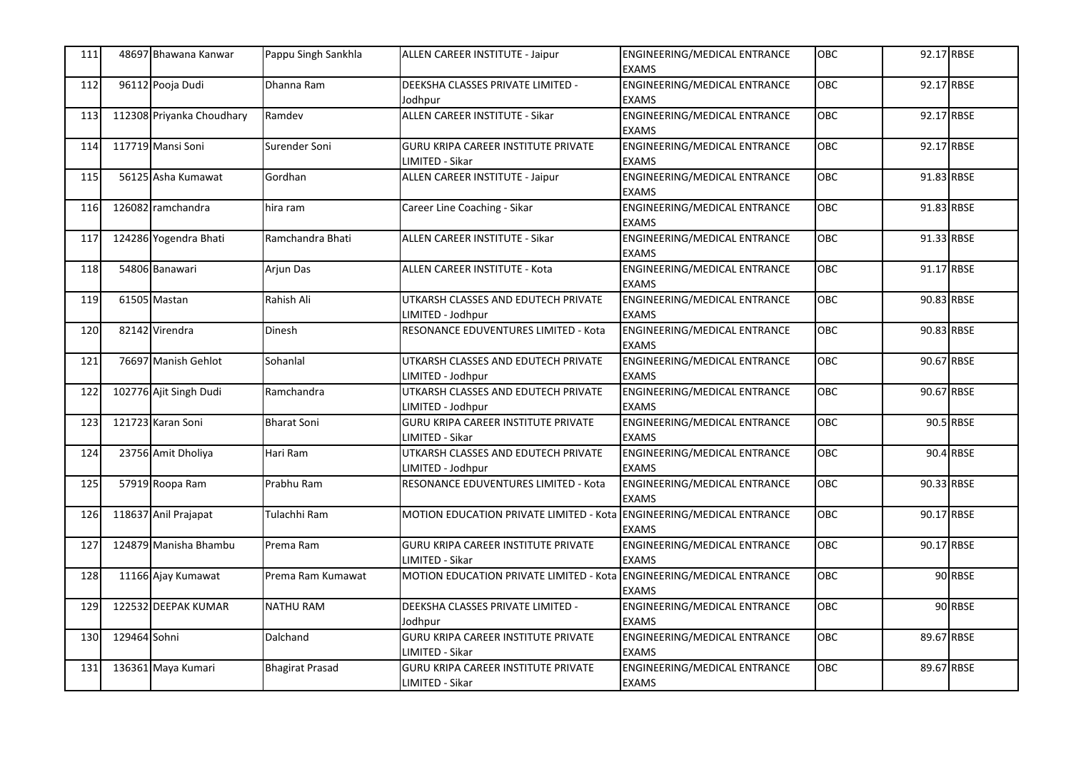| 111 |              | 48697 Bhawana Kanwar      | Pappu Singh Sankhla    | ALLEN CAREER INSTITUTE - Jaipur                                      | ENGINEERING/MEDICAL ENTRANCE<br><b>EXAMS</b>        | <b>OBC</b> | 92.17 RBSE |           |
|-----|--------------|---------------------------|------------------------|----------------------------------------------------------------------|-----------------------------------------------------|------------|------------|-----------|
| 112 |              | 96112 Pooja Dudi          | Dhanna Ram             | DEEKSHA CLASSES PRIVATE LIMITED -<br>Jodhpur                         | ENGINEERING/MEDICAL ENTRANCE<br><b>EXAMS</b>        | OBC        | 92.17 RBSE |           |
| 113 |              | 112308 Priyanka Choudhary | Ramdev                 | ALLEN CAREER INSTITUTE - Sikar                                       | ENGINEERING/MEDICAL ENTRANCE<br><b>EXAMS</b>        | <b>OBC</b> | 92.17 RBSE |           |
| 114 |              | 117719 Mansi Soni         | Surender Soni          | GURU KRIPA CAREER INSTITUTE PRIVATE<br>LIMITED - Sikar               | ENGINEERING/MEDICAL ENTRANCE<br><b>EXAMS</b>        | OBC        | 92.17 RBSE |           |
| 115 |              | 56125 Asha Kumawat        | Gordhan                | ALLEN CAREER INSTITUTE - Jaipur                                      | ENGINEERING/MEDICAL ENTRANCE<br><b>EXAMS</b>        | OBC        | 91.83 RBSE |           |
| 116 |              | 126082 ramchandra         | hira ram               | Career Line Coaching - Sikar                                         | ENGINEERING/MEDICAL ENTRANCE<br><b>EXAMS</b>        | OBC        | 91.83 RBSE |           |
| 117 |              | 124286 Yogendra Bhati     | Ramchandra Bhati       | ALLEN CAREER INSTITUTE - Sikar                                       | <b>ENGINEERING/MEDICAL ENTRANCE</b><br><b>EXAMS</b> | OBC        | 91.33 RBSE |           |
| 118 |              | 54806 Banawari            | Arjun Das              | ALLEN CAREER INSTITUTE - Kota                                        | ENGINEERING/MEDICAL ENTRANCE<br><b>EXAMS</b>        | OBC        | 91.17 RBSE |           |
| 119 |              | 61505 Mastan              | Rahish Ali             | UTKARSH CLASSES AND EDUTECH PRIVATE<br>LIMITED - Jodhpur             | ENGINEERING/MEDICAL ENTRANCE<br><b>EXAMS</b>        | OBC        | 90.83 RBSE |           |
| 120 |              | 82142 Virendra            | <b>Dinesh</b>          | RESONANCE EDUVENTURES LIMITED - Kota                                 | ENGINEERING/MEDICAL ENTRANCE<br><b>EXAMS</b>        | OBC        | 90.83 RBSE |           |
| 121 |              | 76697 Manish Gehlot       | Sohanlal               | UTKARSH CLASSES AND EDUTECH PRIVATE<br>LIMITED - Jodhpur             | ENGINEERING/MEDICAL ENTRANCE<br><b>EXAMS</b>        | OBC        | 90.67 RBSE |           |
| 122 |              | 102776 Ajit Singh Dudi    | Ramchandra             | UTKARSH CLASSES AND EDUTECH PRIVATE<br>LIMITED - Jodhpur             | <b>ENGINEERING/MEDICAL ENTRANCE</b><br><b>EXAMS</b> | OBC        | 90.67 RBSE |           |
| 123 |              | 121723 Karan Soni         | <b>Bharat Soni</b>     | <b>GURU KRIPA CAREER INSTITUTE PRIVATE</b><br>LIMITED - Sikar        | ENGINEERING/MEDICAL ENTRANCE<br><b>EXAMS</b>        | OBC        |            | 90.5 RBSE |
| 124 |              | 23756 Amit Dholiya        | Hari Ram               | UTKARSH CLASSES AND EDUTECH PRIVATE<br>LIMITED - Jodhpur             | ENGINEERING/MEDICAL ENTRANCE<br><b>EXAMS</b>        | <b>OBC</b> |            | 90.4 RBSE |
| 125 |              | 57919 Roopa Ram           | Prabhu Ram             | RESONANCE EDUVENTURES LIMITED - Kota                                 | ENGINEERING/MEDICAL ENTRANCE<br><b>EXAMS</b>        | OBC        | 90.33 RBSE |           |
| 126 |              | 118637 Anil Prajapat      | Tulachhi Ram           | MOTION EDUCATION PRIVATE LIMITED - Kota                              | ENGINEERING/MEDICAL ENTRANCE<br><b>EXAMS</b>        | OBC        | 90.17 RBSE |           |
| 127 |              | 124879 Manisha Bhambu     | Prema Ram              | <b>GURU KRIPA CAREER INSTITUTE PRIVATE</b><br>LIMITED - Sikar        | ENGINEERING/MEDICAL ENTRANCE<br><b>EXAMS</b>        | OBC        | 90.17 RBSE |           |
| 128 |              | 11166 Ajay Kumawat        | Prema Ram Kumawat      | MOTION EDUCATION PRIVATE LIMITED - Kota ENGINEERING/MEDICAL ENTRANCE | <b>EXAMS</b>                                        | OBC        |            | 90 RBSE   |
| 129 |              | 122532 DEEPAK KUMAR       | <b>NATHU RAM</b>       | DEEKSHA CLASSES PRIVATE LIMITED -<br>Jodhpur                         | ENGINEERING/MEDICAL ENTRANCE<br><b>EXAMS</b>        | OBC        |            | 90 RBSE   |
| 130 | 129464 Sohni |                           | Dalchand               | <b>GURU KRIPA CAREER INSTITUTE PRIVATE</b><br>LIMITED - Sikar        | ENGINEERING/MEDICAL ENTRANCE<br><b>EXAMS</b>        | OBC        | 89.67 RBSE |           |
| 131 |              | 136361 Maya Kumari        | <b>Bhagirat Prasad</b> | GURU KRIPA CAREER INSTITUTE PRIVATE<br>LIMITED - Sikar               | ENGINEERING/MEDICAL ENTRANCE<br><b>EXAMS</b>        | OBC        | 89.67 RBSE |           |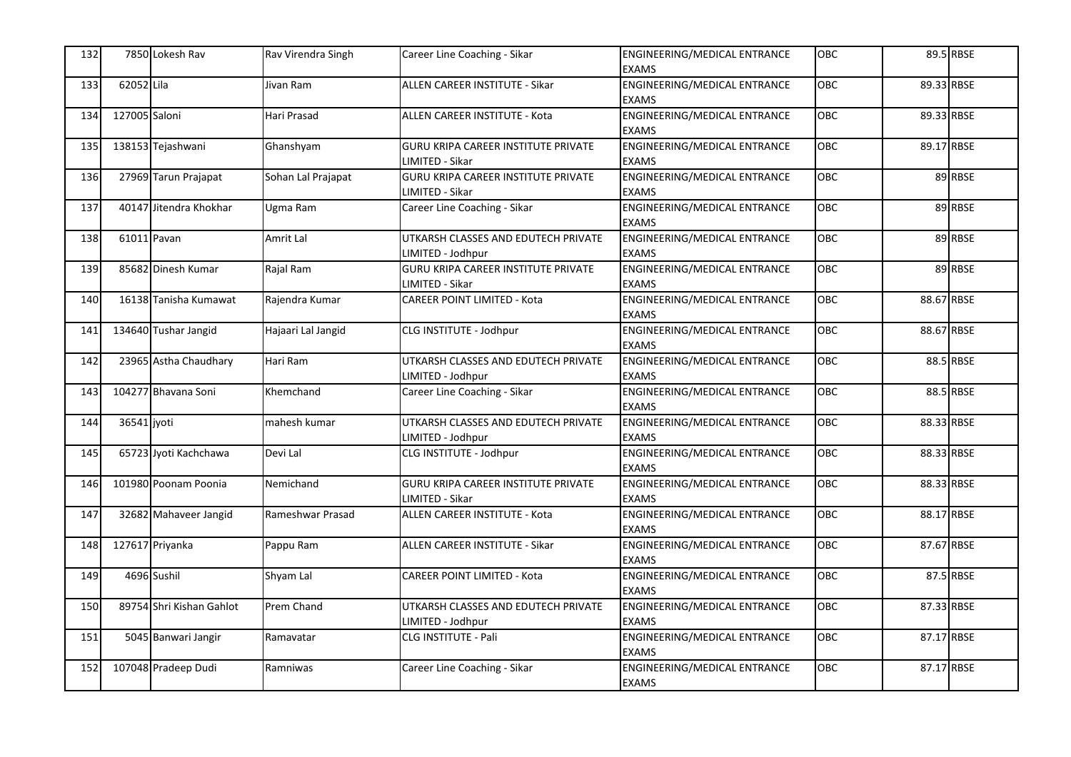| 132 |               | 7850 Lokesh Rav          | Rav Virendra Singh | Career Line Coaching - Sikar                                  | ENGINEERING/MEDICAL ENTRANCE<br><b>EXAMS</b>        | <b>OBC</b> |            | 89.5 RBSE |
|-----|---------------|--------------------------|--------------------|---------------------------------------------------------------|-----------------------------------------------------|------------|------------|-----------|
| 133 | 62052 Lila    |                          | Jivan Ram          | ALLEN CAREER INSTITUTE - Sikar                                | <b>ENGINEERING/MEDICAL ENTRANCE</b><br><b>EXAMS</b> | OBC        | 89.33 RBSE |           |
| 134 | 127005 Saloni |                          | Hari Prasad        | ALLEN CAREER INSTITUTE - Kota                                 | ENGINEERING/MEDICAL ENTRANCE<br><b>EXAMS</b>        | <b>OBC</b> | 89.33 RBSE |           |
| 135 |               | 138153 Tejashwani        | Ghanshyam          | <b>GURU KRIPA CAREER INSTITUTE PRIVATE</b><br>LIMITED - Sikar | ENGINEERING/MEDICAL ENTRANCE<br><b>EXAMS</b>        | OBC        | 89.17 RBSE |           |
| 136 |               | 27969 Tarun Prajapat     | Sohan Lal Prajapat | <b>GURU KRIPA CAREER INSTITUTE PRIVATE</b><br>IMITED - Sikar  | ENGINEERING/MEDICAL ENTRANCE<br><b>EXAMS</b>        | OBC        |            | 89 RBSE   |
| 137 |               | 40147 Jitendra Khokhar   | Ugma Ram           | Career Line Coaching - Sikar                                  | <b>ENGINEERING/MEDICAL ENTRANCE</b><br><b>EXAMS</b> | OBC        |            | 89 RBSE   |
| 138 | 61011 Pavan   |                          | Amrit Lal          | UTKARSH CLASSES AND EDUTECH PRIVATE<br>IMITED - Jodhpur       | ENGINEERING/MEDICAL ENTRANCE<br><b>EXAMS</b>        | OBC        |            | 89 RBSE   |
| 139 |               | 85682 Dinesh Kumar       | Rajal Ram          | <b>GURU KRIPA CAREER INSTITUTE PRIVATE</b><br>IMITED - Sikar  | ENGINEERING/MEDICAL ENTRANCE<br><b>EXAMS</b>        | OBC        |            | 89 RBSE   |
| 140 |               | 16138 Tanisha Kumawat    | Rajendra Kumar     | <b>CAREER POINT LIMITED - Kota</b>                            | ENGINEERING/MEDICAL ENTRANCE<br><b>EXAMS</b>        | OBC        | 88.67 RBSE |           |
| 141 |               | 134640 Tushar Jangid     | Hajaari Lal Jangid | CLG INSTITUTE - Jodhpur                                       | ENGINEERING/MEDICAL ENTRANCE<br><b>EXAMS</b>        | OBC        | 88.67 RBSE |           |
| 142 |               | 23965 Astha Chaudhary    | Hari Ram           | UTKARSH CLASSES AND EDUTECH PRIVATE<br>LIMITED - Jodhpur      | ENGINEERING/MEDICAL ENTRANCE<br><b>EXAMS</b>        | <b>OBC</b> |            | 88.5 RBSE |
| 143 |               | 104277 Bhavana Soni      | Khemchand          | Career Line Coaching - Sikar                                  | ENGINEERING/MEDICAL ENTRANCE<br><b>EXAMS</b>        | OBC        |            | 88.5 RBSE |
| 144 | 36541 jyoti   |                          | mahesh kumar       | UTKARSH CLASSES AND EDUTECH PRIVATE<br>LIMITED - Jodhpur      | ENGINEERING/MEDICAL ENTRANCE<br><b>EXAMS</b>        | OBC        | 88.33 RBSE |           |
| 145 |               | 65723 Jyoti Kachchawa    | Devi Lal           | CLG INSTITUTE - Jodhpur                                       | ENGINEERING/MEDICAL ENTRANCE<br><b>EXAMS</b>        | OBC        | 88.33 RBSE |           |
| 146 |               | 101980 Poonam Poonia     | Nemichand          | GURU KRIPA CAREER INSTITUTE PRIVATE<br>LIMITED - Sikar        | ENGINEERING/MEDICAL ENTRANCE<br><b>EXAMS</b>        | OBC        | 88.33 RBSE |           |
| 147 |               | 32682 Mahaveer Jangid    | Rameshwar Prasad   | ALLEN CAREER INSTITUTE - Kota                                 | ENGINEERING/MEDICAL ENTRANCE<br><b>EXAMS</b>        | <b>OBC</b> | 88.17 RBSE |           |
| 148 |               | 127617 Priyanka          | Pappu Ram          | ALLEN CAREER INSTITUTE - Sikar                                | <b>ENGINEERING/MEDICAL ENTRANCE</b><br><b>EXAMS</b> | OBC        | 87.67 RBSE |           |
| 149 |               | 4696 Sushil              | Shyam Lal          | CAREER POINT LIMITED - Kota                                   | ENGINEERING/MEDICAL ENTRANCE<br><b>EXAMS</b>        | OBC        |            | 87.5 RBSE |
| 150 |               | 89754 Shri Kishan Gahlot | Prem Chand         | UTKARSH CLASSES AND EDUTECH PRIVATE<br>IMITED - Jodhpur       | ENGINEERING/MEDICAL ENTRANCE<br><b>EXAMS</b>        | OBC        | 87.33 RBSE |           |
| 151 |               | 5045 Banwari Jangir      | Ramavatar          | CLG INSTITUTE - Pali                                          | ENGINEERING/MEDICAL ENTRANCE<br><b>EXAMS</b>        | OBC        | 87.17 RBSE |           |
| 152 |               | 107048 Pradeep Dudi      | Ramniwas           | Career Line Coaching - Sikar                                  | ENGINEERING/MEDICAL ENTRANCE<br><b>EXAMS</b>        | OBC        | 87.17 RBSE |           |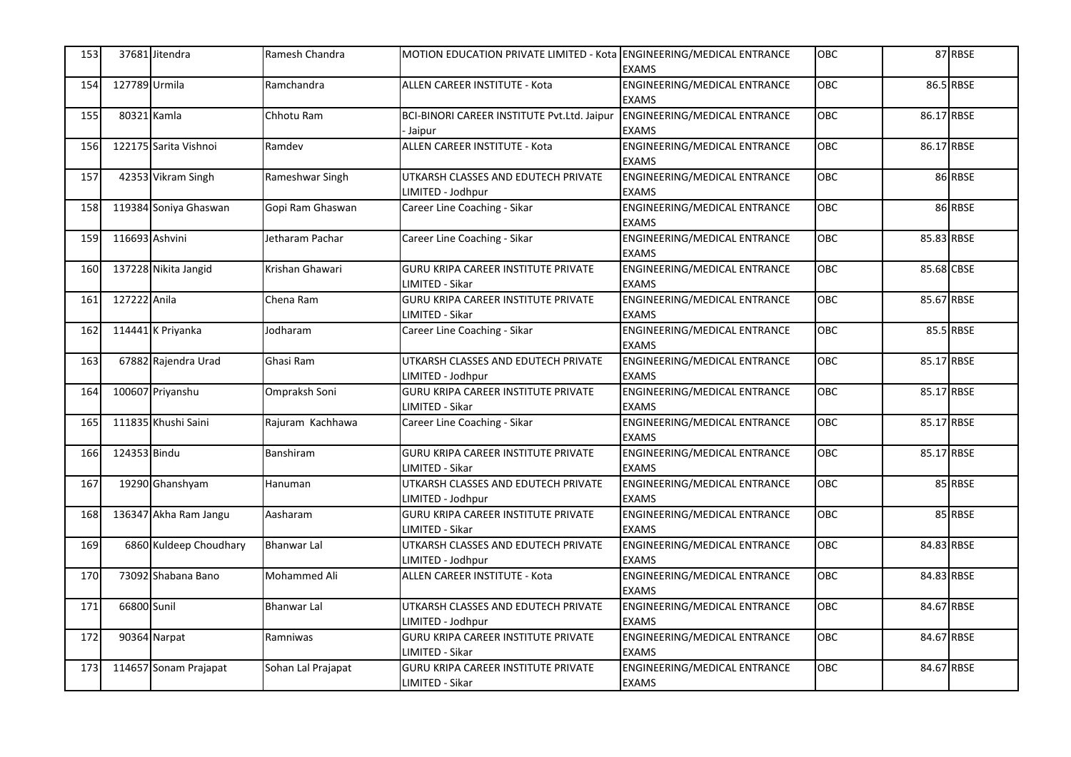| 153 | 37681 Jitendra    |                        | Ramesh Chandra     | MOTION EDUCATION PRIVATE LIMITED - Kota ENGINEERING/MEDICAL ENTRANCE | <b>EXAMS</b>                                 | <b>OBC</b> |            | 87 RBSE   |
|-----|-------------------|------------------------|--------------------|----------------------------------------------------------------------|----------------------------------------------|------------|------------|-----------|
| 154 | 127789 Urmila     |                        | Ramchandra         | <b>ALLEN CAREER INSTITUTE - Kota</b>                                 | ENGINEERING/MEDICAL ENTRANCE<br><b>EXAMS</b> | OBC        |            | 86.5 RBSE |
| 155 | 80321 Kamla       |                        | Chhotu Ram         | BCI-BINORI CAREER INSTITUTE Pvt.Ltd. Jaipur<br>Jaipur                | ENGINEERING/MEDICAL ENTRANCE<br><b>EXAMS</b> | OBC        | 86.17 RBSE |           |
| 156 |                   | 122175 Sarita Vishnoi  | Ramdev             | ALLEN CAREER INSTITUTE - Kota                                        | ENGINEERING/MEDICAL ENTRANCE<br><b>EXAMS</b> | OBC        | 86.17 RBSE |           |
| 157 |                   | 42353 Vikram Singh     | Rameshwar Singh    | UTKARSH CLASSES AND EDUTECH PRIVATE<br>LIMITED - Jodhpur             | ENGINEERING/MEDICAL ENTRANCE<br><b>EXAMS</b> | OBC        |            | 86 RBSE   |
| 158 |                   | 119384 Soniya Ghaswan  | Gopi Ram Ghaswan   | Career Line Coaching - Sikar                                         | ENGINEERING/MEDICAL ENTRANCE<br><b>EXAMS</b> | OBC        |            | 86 RBSE   |
| 159 | 116693 Ashvini    |                        | Jetharam Pachar    | Career Line Coaching - Sikar                                         | ENGINEERING/MEDICAL ENTRANCE<br><b>EXAMS</b> | <b>OBC</b> | 85.83 RBSE |           |
| 160 |                   | 137228 Nikita Jangid   | Krishan Ghawari    | <b>GURU KRIPA CAREER INSTITUTE PRIVATE</b><br>LIMITED - Sikar        | ENGINEERING/MEDICAL ENTRANCE<br><b>EXAMS</b> | OBC        | 85.68 CBSE |           |
| 161 | 127222 Anila      |                        | Chena Ram          | <b>GURU KRIPA CAREER INSTITUTE PRIVATE</b><br>LIMITED - Sikar        | ENGINEERING/MEDICAL ENTRANCE<br><b>EXAMS</b> | OBC        | 85.67 RBSE |           |
| 162 | 114441 K Priyanka |                        | Jodharam           | Career Line Coaching - Sikar                                         | ENGINEERING/MEDICAL ENTRANCE<br><b>EXAMS</b> | OBC        |            | 85.5 RBSE |
| 163 |                   | 67882 Rajendra Urad    | Ghasi Ram          | UTKARSH CLASSES AND EDUTECH PRIVATE<br>LIMITED - Jodhpur             | ENGINEERING/MEDICAL ENTRANCE<br><b>EXAMS</b> | <b>OBC</b> | 85.17 RBSE |           |
| 164 | 100607 Priyanshu  |                        | Ompraksh Soni      | <b>GURU KRIPA CAREER INSTITUTE PRIVATE</b><br>LIMITED - Sikar        | ENGINEERING/MEDICAL ENTRANCE<br><b>EXAMS</b> | OBC        | 85.17 RBSE |           |
| 165 |                   | 111835 Khushi Saini    | Rajuram Kachhawa   | Career Line Coaching - Sikar                                         | ENGINEERING/MEDICAL ENTRANCE<br><b>EXAMS</b> | <b>OBC</b> | 85.17 RBSE |           |
| 166 | 124353 Bindu      |                        | Banshiram          | <b>GURU KRIPA CAREER INSTITUTE PRIVATE</b><br>LIMITED - Sikar        | ENGINEERING/MEDICAL ENTRANCE<br><b>EXAMS</b> | OBC        | 85.17 RBSE |           |
| 167 |                   | 19290 Ghanshyam        | Hanuman            | UTKARSH CLASSES AND EDUTECH PRIVATE<br>LIMITED - Jodhpur             | ENGINEERING/MEDICAL ENTRANCE<br><b>EXAMS</b> | <b>OBC</b> |            | 85 RBSE   |
| 168 |                   | 136347 Akha Ram Jangu  | Aasharam           | <b>GURU KRIPA CAREER INSTITUTE PRIVATE</b><br>LIMITED - Sikar        | ENGINEERING/MEDICAL ENTRANCE<br><b>EXAMS</b> | <b>OBC</b> |            | 85 RBSE   |
| 169 |                   | 6860 Kuldeep Choudhary | <b>Bhanwar Lal</b> | UTKARSH CLASSES AND EDUTECH PRIVATE<br>LIMITED - Jodhpur             | ENGINEERING/MEDICAL ENTRANCE<br><b>EXAMS</b> | OBC        | 84.83 RBSE |           |
| 170 |                   | 73092 Shabana Bano     | Mohammed Ali       | ALLEN CAREER INSTITUTE - Kota                                        | ENGINEERING/MEDICAL ENTRANCE<br><b>EXAMS</b> | OBC        | 84.83 RBSE |           |
| 171 | 66800 Sunil       |                        | Bhanwar Lal        | UTKARSH CLASSES AND EDUTECH PRIVATE<br>IMITED - Jodhpur              | ENGINEERING/MEDICAL ENTRANCE<br><b>EXAMS</b> | OBC        | 84.67 RBSE |           |
| 172 | 90364 Narpat      |                        | Ramniwas           | <b>GURU KRIPA CAREER INSTITUTE PRIVATE</b><br>LIMITED - Sikar        | ENGINEERING/MEDICAL ENTRANCE<br><b>EXAMS</b> | <b>OBC</b> | 84.67 RBSE |           |
| 173 |                   | 114657 Sonam Prajapat  | Sohan Lal Prajapat | GURU KRIPA CAREER INSTITUTE PRIVATE<br>LIMITED - Sikar               | ENGINEERING/MEDICAL ENTRANCE<br><b>EXAMS</b> | OBC        | 84.67 RBSE |           |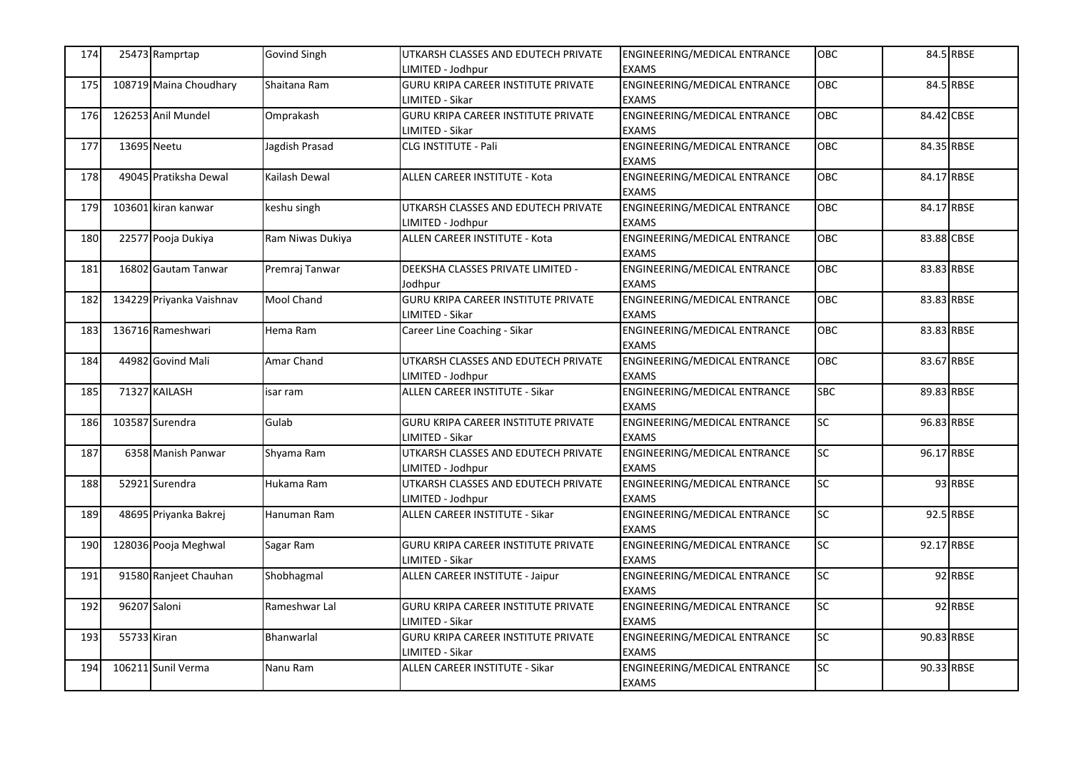| 174 |              | 25473 Ramprtap           | <b>Govind Singh</b> | UTKARSH CLASSES AND EDUTECH PRIVATE<br>IMITED - Jodhpur       | ENGINEERING/MEDICAL ENTRANCE<br><b>EXAMS</b>        | <b>OBC</b>      |            | 84.5 RBSE |
|-----|--------------|--------------------------|---------------------|---------------------------------------------------------------|-----------------------------------------------------|-----------------|------------|-----------|
| 175 |              | 108719 Maina Choudhary   | Shaitana Ram        | GURU KRIPA CAREER INSTITUTE PRIVATE<br>LIMITED - Sikar        | ENGINEERING/MEDICAL ENTRANCE<br><b>EXAMS</b>        | <b>OBC</b>      |            | 84.5 RBSE |
| 176 |              | 126253 Anil Mundel       | Omprakash           | <b>GURU KRIPA CAREER INSTITUTE PRIVATE</b><br>LIMITED - Sikar | <b>ENGINEERING/MEDICAL ENTRANCE</b><br><b>EXAMS</b> | OBC             | 84.42 CBSE |           |
| 177 | 13695 Neetu  |                          | Jagdish Prasad      | CLG INSTITUTE - Pali                                          | ENGINEERING/MEDICAL ENTRANCE<br><b>EXAMS</b>        | <b>OBC</b>      | 84.35 RBSE |           |
| 178 |              | 49045 Pratiksha Dewal    | Kailash Dewal       | ALLEN CAREER INSTITUTE - Kota                                 | <b>ENGINEERING/MEDICAL ENTRANCE</b><br><b>EXAMS</b> | OBC             | 84.17 RBSE |           |
| 179 |              | 103601 kiran kanwar      | keshu singh         | UTKARSH CLASSES AND EDUTECH PRIVATE<br>LIMITED - Jodhpur      | ENGINEERING/MEDICAL ENTRANCE<br><b>EXAMS</b>        | <b>OBC</b>      | 84.17 RBSE |           |
| 180 |              | 22577 Pooja Dukiya       | Ram Niwas Dukiya    | <b>ALLEN CAREER INSTITUTE - Kota</b>                          | ENGINEERING/MEDICAL ENTRANCE<br><b>EXAMS</b>        | <b>OBC</b>      | 83.88 CBSE |           |
| 181 |              | 16802 Gautam Tanwar      | Premraj Tanwar      | DEEKSHA CLASSES PRIVATE LIMITED -<br>Jodhpur                  | ENGINEERING/MEDICAL ENTRANCE<br><b>EXAMS</b>        | <b>OBC</b>      | 83.83 RBSE |           |
| 182 |              | 134229 Priyanka Vaishnav | Mool Chand          | GURU KRIPA CAREER INSTITUTE PRIVATE<br>LIMITED - Sikar        | ENGINEERING/MEDICAL ENTRANCE<br><b>EXAMS</b>        | OBC             | 83.83 RBSE |           |
| 183 |              | 136716 Rameshwari        | Hema Ram            | Career Line Coaching - Sikar                                  | ENGINEERING/MEDICAL ENTRANCE<br><b>EXAMS</b>        | OBC             | 83.83 RBSE |           |
| 184 |              | 44982 Govind Mali        | Amar Chand          | UTKARSH CLASSES AND EDUTECH PRIVATE<br>LIMITED - Jodhpur      | ENGINEERING/MEDICAL ENTRANCE<br><b>EXAMS</b>        | <b>OBC</b>      | 83.67 RBSE |           |
| 185 |              | 71327 KAILASH            | isar ram            | ALLEN CAREER INSTITUTE - Sikar                                | ENGINEERING/MEDICAL ENTRANCE<br><b>EXAMS</b>        | <b>SBC</b>      | 89.83 RBSE |           |
| 186 |              | 103587 Surendra          | Gulab               | <b>GURU KRIPA CAREER INSTITUTE PRIVATE</b><br>LIMITED - Sikar | ENGINEERING/MEDICAL ENTRANCE<br><b>EXAMS</b>        | <b>SC</b>       | 96.83 RBSE |           |
| 187 |              | 6358 Manish Panwar       | Shyama Ram          | UTKARSH CLASSES AND EDUTECH PRIVATE<br>LIMITED - Jodhpur      | ENGINEERING/MEDICAL ENTRANCE<br><b>EXAMS</b>        | SC              | 96.17 RBSE |           |
| 188 |              | 52921 Surendra           | Hukama Ram          | UTKARSH CLASSES AND EDUTECH PRIVATE<br>LIMITED - Jodhpur      | ENGINEERING/MEDICAL ENTRANCE<br><b>EXAMS</b>        | $\overline{SC}$ |            | 93 RBSE   |
| 189 |              | 48695 Priyanka Bakrej    | Hanuman Ram         | ALLEN CAREER INSTITUTE - Sikar                                | ENGINEERING/MEDICAL ENTRANCE<br><b>EXAMS</b>        | SC              |            | 92.5 RBSE |
| 190 |              | 128036 Pooja Meghwal     | Sagar Ram           | GURU KRIPA CAREER INSTITUTE PRIVATE<br>LIMITED - Sikar        | ENGINEERING/MEDICAL ENTRANCE<br><b>EXAMS</b>        | <b>SC</b>       | 92.17 RBSE |           |
| 191 |              | 91580 Ranjeet Chauhan    | Shobhagmal          | ALLEN CAREER INSTITUTE - Jaipur                               | ENGINEERING/MEDICAL ENTRANCE<br><b>EXAMS</b>        | SC              |            | 92 RBSE   |
| 192 | 96207 Saloni |                          | Rameshwar Lal       | GURU KRIPA CAREER INSTITUTE PRIVATE<br>LIMITED - Sikar        | ENGINEERING/MEDICAL ENTRANCE<br><b>EXAMS</b>        | SC              |            | 92 RBSE   |
| 193 | 55733 Kiran  |                          | Bhanwarlal          | GURU KRIPA CAREER INSTITUTE PRIVATE<br>LIMITED - Sikar        | ENGINEERING/MEDICAL ENTRANCE<br><b>EXAMS</b>        | <b>SC</b>       | 90.83 RBSE |           |
| 194 |              | 106211 Sunil Verma       | Nanu Ram            | ALLEN CAREER INSTITUTE - Sikar                                | ENGINEERING/MEDICAL ENTRANCE<br><b>EXAMS</b>        | <b>SC</b>       | 90.33 RBSE |           |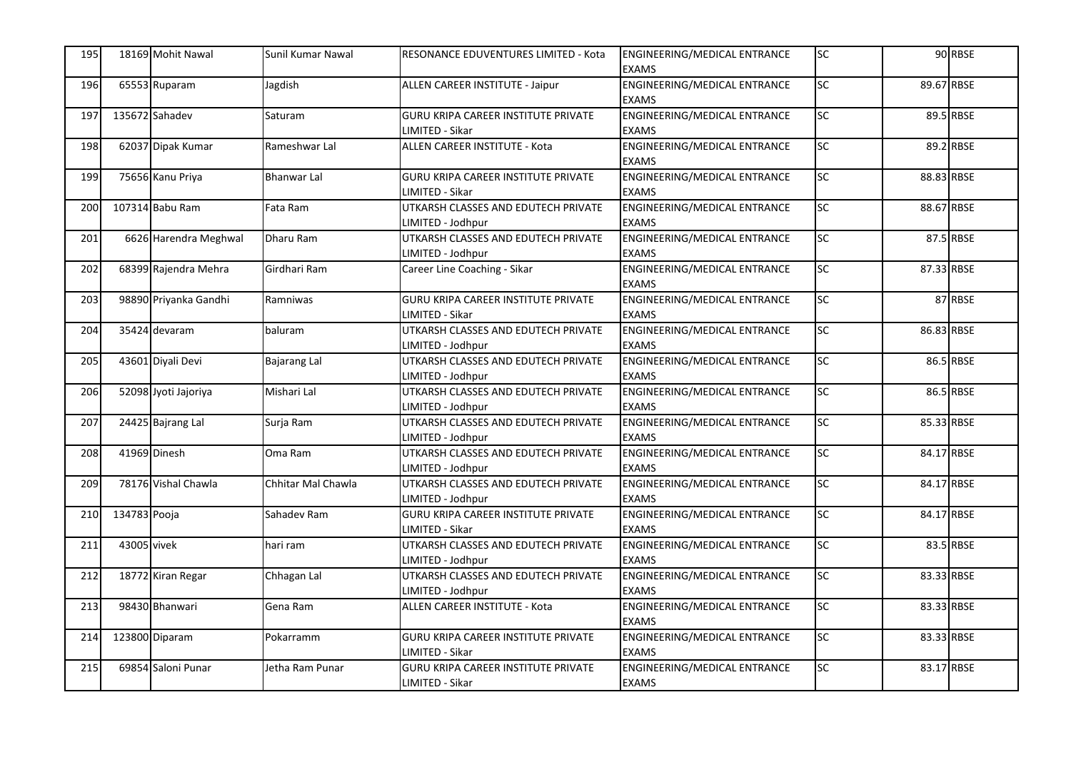| 195 | 18169 Mohit Nawal    |                       | Sunil Kumar Nawal  | RESONANCE EDUVENTURES LIMITED - Kota                          | ENGINEERING/MEDICAL ENTRANCE<br><b>EXAMS</b> | <b>SC</b>       |            | 90 RBSE   |
|-----|----------------------|-----------------------|--------------------|---------------------------------------------------------------|----------------------------------------------|-----------------|------------|-----------|
| 196 | 65553 Ruparam        |                       | Jagdish            | ALLEN CAREER INSTITUTE - Jaipur                               | ENGINEERING/MEDICAL ENTRANCE<br><b>EXAMS</b> | $\overline{SC}$ | 89.67 RBSE |           |
| 197 | 135672 Sahadev       |                       | Saturam            | <b>GURU KRIPA CAREER INSTITUTE PRIVATE</b><br>LIMITED - Sikar | ENGINEERING/MEDICAL ENTRANCE<br><b>EXAMS</b> | <b>SC</b>       |            | 89.5 RBSE |
| 198 | 62037 Dipak Kumar    |                       | Rameshwar Lal      | ALLEN CAREER INSTITUTE - Kota                                 | ENGINEERING/MEDICAL ENTRANCE<br><b>EXAMS</b> | <b>SC</b>       |            | 89.2 RBSE |
| 199 | 75656 Kanu Priya     |                       | <b>Bhanwar Lal</b> | <b>GURU KRIPA CAREER INSTITUTE PRIVATE</b><br>LIMITED - Sikar | ENGINEERING/MEDICAL ENTRANCE<br><b>EXAMS</b> | <b>SC</b>       | 88.83 RBSE |           |
| 200 | 107314 Babu Ram      |                       | Fata Ram           | UTKARSH CLASSES AND EDUTECH PRIVATE<br>LIMITED - Jodhpur      | ENGINEERING/MEDICAL ENTRANCE<br><b>EXAMS</b> | SC              | 88.67 RBSE |           |
| 201 |                      | 6626 Harendra Meghwal | Dharu Ram          | UTKARSH CLASSES AND EDUTECH PRIVATE<br>LIMITED - Jodhpur      | ENGINEERING/MEDICAL ENTRANCE<br><b>EXAMS</b> | <b>SC</b>       |            | 87.5 RBSE |
| 202 |                      | 68399 Rajendra Mehra  | Girdhari Ram       | Career Line Coaching - Sikar                                  | ENGINEERING/MEDICAL ENTRANCE<br><b>EXAMS</b> | <b>SC</b>       | 87.33 RBSE |           |
| 203 |                      | 98890 Priyanka Gandhi | Ramniwas           | <b>GURU KRIPA CAREER INSTITUTE PRIVATE</b><br>LIMITED - Sikar | ENGINEERING/MEDICAL ENTRANCE<br><b>EXAMS</b> | <b>SC</b>       |            | 87 RBSE   |
| 204 | 35424 devaram        |                       | baluram            | UTKARSH CLASSES AND EDUTECH PRIVATE<br>LIMITED - Jodhpur      | ENGINEERING/MEDICAL ENTRANCE<br><b>EXAMS</b> | $\overline{SC}$ | 86.83 RBSE |           |
| 205 | 43601 Diyali Devi    |                       | Bajarang Lal       | UTKARSH CLASSES AND EDUTECH PRIVATE<br>LIMITED - Jodhpur      | ENGINEERING/MEDICAL ENTRANCE<br><b>EXAMS</b> | $\overline{SC}$ |            | 86.5 RBSE |
| 206 | 52098 Jyoti Jajoriya |                       | Mishari Lal        | UTKARSH CLASSES AND EDUTECH PRIVATE<br>LIMITED - Jodhpur      | ENGINEERING/MEDICAL ENTRANCE<br><b>EXAMS</b> | <b>SC</b>       |            | 86.5 RBSE |
| 207 | 24425 Bajrang Lal    |                       | Surja Ram          | UTKARSH CLASSES AND EDUTECH PRIVATE<br>LIMITED - Jodhpur      | ENGINEERING/MEDICAL ENTRANCE<br><b>EXAMS</b> | $\overline{SC}$ | 85.33 RBSE |           |
| 208 | 41969 Dinesh         |                       | Oma Ram            | UTKARSH CLASSES AND EDUTECH PRIVATE<br>LIMITED - Jodhpur      | ENGINEERING/MEDICAL ENTRANCE<br><b>EXAMS</b> | SC              | 84.17 RBSE |           |
| 209 |                      | 78176 Vishal Chawla   | Chhitar Mal Chawla | UTKARSH CLASSES AND EDUTECH PRIVATE<br>LIMITED - Jodhpur      | ENGINEERING/MEDICAL ENTRANCE<br><b>EXAMS</b> | $\overline{SC}$ | 84.17 RBSE |           |
| 210 | 134783 Pooja         |                       | Sahadev Ram        | <b>GURU KRIPA CAREER INSTITUTE PRIVATE</b><br>LIMITED - Sikar | ENGINEERING/MEDICAL ENTRANCE<br><b>EXAMS</b> | SC              | 84.17 RBSE |           |
| 211 | 43005 vivek          |                       | hari ram           | UTKARSH CLASSES AND EDUTECH PRIVATE<br>LIMITED - Jodhpur      | ENGINEERING/MEDICAL ENTRANCE<br><b>EXAMS</b> | <b>SC</b>       |            | 83.5 RBSE |
| 212 | 18772 Kiran Regar    |                       | Chhagan Lal        | UTKARSH CLASSES AND EDUTECH PRIVATE<br>LIMITED - Jodhpur      | ENGINEERING/MEDICAL ENTRANCE<br><b>EXAMS</b> | $\overline{SC}$ | 83.33 RBSE |           |
| 213 | 98430 Bhanwari       |                       | Gena Ram           | ALLEN CAREER INSTITUTE - Kota                                 | ENGINEERING/MEDICAL ENTRANCE<br><b>EXAMS</b> | SC              | 83.33 RBSE |           |
| 214 | 123800 Diparam       |                       | Pokarramm          | <b>GURU KRIPA CAREER INSTITUTE PRIVATE</b><br>LIMITED - Sikar | ENGINEERING/MEDICAL ENTRANCE<br><b>EXAMS</b> | <b>SC</b>       | 83.33 RBSE |           |
| 215 | 69854 Saloni Punar   |                       | Jetha Ram Punar    | GURU KRIPA CAREER INSTITUTE PRIVATE<br>LIMITED - Sikar        | ENGINEERING/MEDICAL ENTRANCE<br><b>EXAMS</b> | SC              | 83.17 RBSE |           |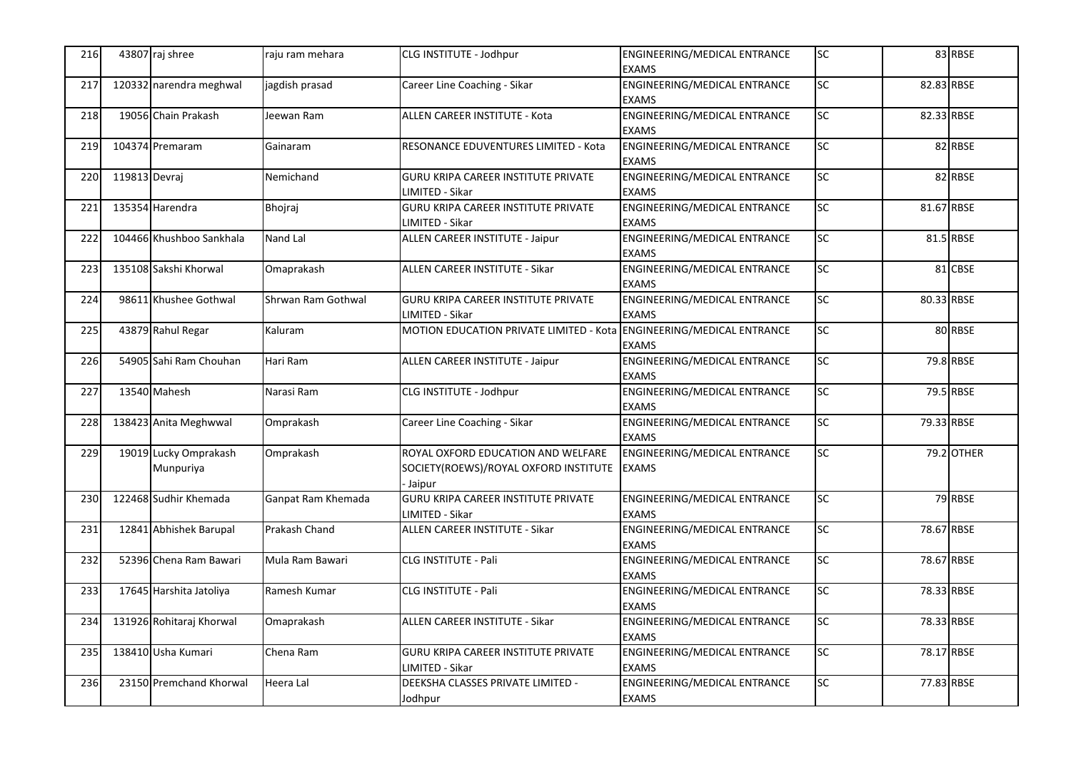| 216 |               | 43807 raj shree                    | raju ram mehara    | CLG INSTITUTE - Jodhpur                                                                     | ENGINEERING/MEDICAL ENTRANCE<br><b>EXAMS</b>        | <b>SC</b> |            | 83 RBSE           |
|-----|---------------|------------------------------------|--------------------|---------------------------------------------------------------------------------------------|-----------------------------------------------------|-----------|------------|-------------------|
| 217 |               | 120332 narendra meghwal            | jagdish prasad     | Career Line Coaching - Sikar                                                                | ENGINEERING/MEDICAL ENTRANCE<br><b>EXAMS</b>        | SC        | 82.83 RBSE |                   |
| 218 |               | 19056 Chain Prakash                | Jeewan Ram         | ALLEN CAREER INSTITUTE - Kota                                                               | ENGINEERING/MEDICAL ENTRANCE<br><b>EXAMS</b>        | SC        | 82.33 RBSE |                   |
| 219 |               | 104374 Premaram                    | Gainaram           | RESONANCE EDUVENTURES LIMITED - Kota                                                        | ENGINEERING/MEDICAL ENTRANCE<br><b>EXAMS</b>        | <b>SC</b> |            | 82 RBSE           |
| 220 | 119813 Devraj |                                    | Nemichand          | GURU KRIPA CAREER INSTITUTE PRIVATE<br>LIMITED - Sikar                                      | ENGINEERING/MEDICAL ENTRANCE<br><b>EXAMS</b>        | SC        |            | 82 RBSE           |
| 221 |               | 135354 Harendra                    | Bhojraj            | GURU KRIPA CAREER INSTITUTE PRIVATE<br>LIMITED - Sikar                                      | ENGINEERING/MEDICAL ENTRANCE<br><b>EXAMS</b>        | SC        | 81.67 RBSE |                   |
| 222 |               | 104466 Khushboo Sankhala           | Nand Lal           | <b>ALLEN CAREER INSTITUTE - Jaipur</b>                                                      | ENGINEERING/MEDICAL ENTRANCE<br><b>EXAMS</b>        | SC        |            | 81.5 RBSE         |
| 223 |               | 135108 Sakshi Khorwal              | Omaprakash         | ALLEN CAREER INSTITUTE - Sikar                                                              | ENGINEERING/MEDICAL ENTRANCE<br><b>EXAMS</b>        | <b>SC</b> |            | 81 CBSE           |
| 224 |               | 98611 Khushee Gothwal              | Shrwan Ram Gothwal | GURU KRIPA CAREER INSTITUTE PRIVATE<br>LIMITED - Sikar                                      | ENGINEERING/MEDICAL ENTRANCE<br><b>EXAMS</b>        | SC        | 80.33 RBSE |                   |
| 225 |               | 43879 Rahul Regar                  | Kaluram            | MOTION EDUCATION PRIVATE LIMITED - Kota ENGINEERING/MEDICAL ENTRANCE                        | <b>EXAMS</b>                                        | SC        |            | 80 RBSE           |
| 226 |               | 54905 Sahi Ram Chouhan             | Hari Ram           | ALLEN CAREER INSTITUTE - Jaipur                                                             | ENGINEERING/MEDICAL ENTRANCE<br><b>EXAMS</b>        | SC        |            | 79.8 RBSE         |
| 227 |               | 13540 Mahesh                       | Narasi Ram         | CLG INSTITUTE - Jodhpur                                                                     | ENGINEERING/MEDICAL ENTRANCE<br><b>EXAMS</b>        | <b>SC</b> |            | 79.5 RBSE         |
| 228 |               | 138423 Anita Meghwwal              | Omprakash          | Career Line Coaching - Sikar                                                                | <b>ENGINEERING/MEDICAL ENTRANCE</b><br><b>EXAMS</b> | SC        | 79.33 RBSE |                   |
| 229 |               | 19019 Lucky Omprakash<br>Munpuriya | Omprakash          | ROYAL OXFORD EDUCATION AND WELFARE<br>SOCIETY(ROEWS)/ROYAL OXFORD INSTITUTE EXAMS<br>Jaipur | ENGINEERING/MEDICAL ENTRANCE                        | SC        |            | <b>79.2 OTHER</b> |
| 230 |               | 122468 Sudhir Khemada              | Ganpat Ram Khemada | GURU KRIPA CAREER INSTITUTE PRIVATE<br>LIMITED - Sikar                                      | ENGINEERING/MEDICAL ENTRANCE<br><b>EXAMS</b>        | <b>SC</b> |            | 79 RBSE           |
| 231 |               | 12841 Abhishek Barupal             | Prakash Chand      | ALLEN CAREER INSTITUTE - Sikar                                                              | ENGINEERING/MEDICAL ENTRANCE<br><b>EXAMS</b>        | <b>SC</b> | 78.67 RBSE |                   |
| 232 |               | 52396 Chena Ram Bawari             | Mula Ram Bawari    | CLG INSTITUTE - Pali                                                                        | ENGINEERING/MEDICAL ENTRANCE<br><b>EXAMS</b>        | <b>SC</b> | 78.67 RBSE |                   |
| 233 |               | 17645 Harshita Jatoliya            | Ramesh Kumar       | CLG INSTITUTE - Pali                                                                        | ENGINEERING/MEDICAL ENTRANCE<br><b>EXAMS</b>        | SC        | 78.33 RBSE |                   |
| 234 |               | 131926 Rohitaraj Khorwal           | Omaprakash         | ALLEN CAREER INSTITUTE - Sikar                                                              | ENGINEERING/MEDICAL ENTRANCE<br><b>EXAMS</b>        | <b>SC</b> | 78.33 RBSE |                   |
| 235 |               | 138410 Usha Kumari                 | Chena Ram          | <b>GURU KRIPA CAREER INSTITUTE PRIVATE</b><br>LIMITED - Sikar                               | ENGINEERING/MEDICAL ENTRANCE<br><b>EXAMS</b>        | SC        | 78.17 RBSE |                   |
| 236 |               | 23150 Premchand Khorwal            | Heera Lal          | DEEKSHA CLASSES PRIVATE LIMITED -<br>Jodhpur                                                | ENGINEERING/MEDICAL ENTRANCE<br><b>EXAMS</b>        | SC        | 77.83 RBSE |                   |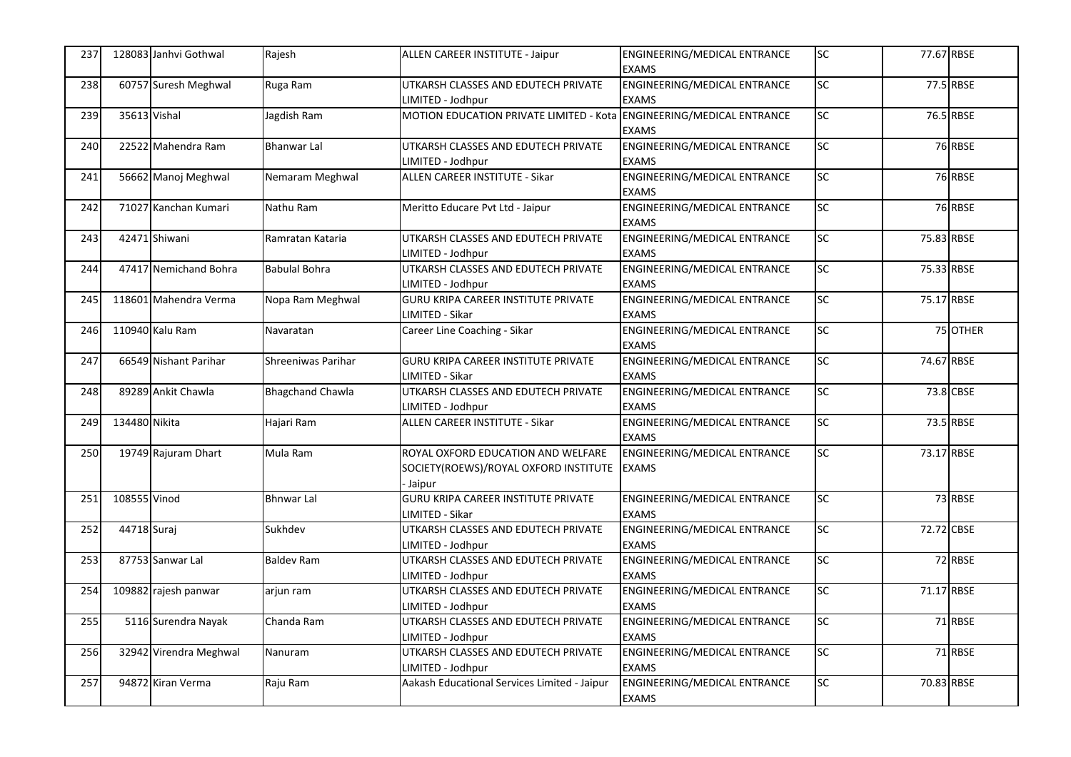| 237 |               | 128083 Janhvi Gothwal  | Rajesh                  | ALLEN CAREER INSTITUTE - Jaipur                                                             | ENGINEERING/MEDICAL ENTRANCE<br><b>EXAMS</b>        | <b>SC</b>       | 77.67 RBSE |           |
|-----|---------------|------------------------|-------------------------|---------------------------------------------------------------------------------------------|-----------------------------------------------------|-----------------|------------|-----------|
| 238 |               | 60757 Suresh Meghwal   | Ruga Ram                | UTKARSH CLASSES AND EDUTECH PRIVATE<br>LIMITED - Jodhpur                                    | ENGINEERING/MEDICAL ENTRANCE<br><b>EXAMS</b>        | SC              |            | 77.5 RBSE |
| 239 | 35613 Vishal  |                        | Jagdish Ram             | MOTION EDUCATION PRIVATE LIMITED - Kota ENGINEERING/MEDICAL ENTRANCE                        | <b>EXAMS</b>                                        | SC              |            | 76.5 RBSE |
| 240 |               | 22522 Mahendra Ram     | <b>Bhanwar Lal</b>      | UTKARSH CLASSES AND EDUTECH PRIVATE<br>LIMITED - Jodhpur                                    | ENGINEERING/MEDICAL ENTRANCE<br><b>EXAMS</b>        | <b>SC</b>       |            | 76 RBSE   |
| 241 |               | 56662 Manoj Meghwal    | Nemaram Meghwal         | ALLEN CAREER INSTITUTE - Sikar                                                              | ENGINEERING/MEDICAL ENTRANCE<br><b>EXAMS</b>        | SC              |            | 76 RBSE   |
| 242 |               | 71027 Kanchan Kumari   | Nathu Ram               | Meritto Educare Pvt Ltd - Jaipur                                                            | ENGINEERING/MEDICAL ENTRANCE<br><b>EXAMS</b>        | SC              |            | 76 RBSE   |
| 243 |               | 42471 Shiwani          | Ramratan Kataria        | UTKARSH CLASSES AND EDUTECH PRIVATE<br>LIMITED - Jodhpur                                    | ENGINEERING/MEDICAL ENTRANCE<br><b>EXAMS</b>        | SC              | 75.83 RBSE |           |
| 244 |               | 47417 Nemichand Bohra  | <b>Babulal Bohra</b>    | UTKARSH CLASSES AND EDUTECH PRIVATE<br>LIMITED - Jodhpur                                    | ENGINEERING/MEDICAL ENTRANCE<br><b>EXAMS</b>        | <b>SC</b>       | 75.33 RBSE |           |
| 245 |               | 118601 Mahendra Verma  | Nopa Ram Meghwal        | GURU KRIPA CAREER INSTITUTE PRIVATE<br>LIMITED - Sikar                                      | ENGINEERING/MEDICAL ENTRANCE<br><b>EXAMS</b>        | SC              | 75.17 RBSE |           |
| 246 |               | 110940 Kalu Ram        | Navaratan               | Career Line Coaching - Sikar                                                                | ENGINEERING/MEDICAL ENTRANCE<br><b>EXAMS</b>        | SC <sub>1</sub> |            | 75 OTHER  |
| 247 |               | 66549 Nishant Parihar  | Shreeniwas Parihar      | GURU KRIPA CAREER INSTITUTE PRIVATE<br>LIMITED - Sikar                                      | ENGINEERING/MEDICAL ENTRANCE<br><b>EXAMS</b>        | SC              | 74.67 RBSE |           |
| 248 |               | 89289 Ankit Chawla     | <b>Bhagchand Chawla</b> | UTKARSH CLASSES AND EDUTECH PRIVATE<br>LIMITED - Jodhpur                                    | ENGINEERING/MEDICAL ENTRANCE<br><b>EXAMS</b>        | SC              |            | 73.8 CBSE |
| 249 | 134480 Nikita |                        | Hajari Ram              | <b>ALLEN CAREER INSTITUTE - Sikar</b>                                                       | <b>ENGINEERING/MEDICAL ENTRANCE</b><br><b>EXAMS</b> | $\overline{SC}$ |            | 73.5 RBSE |
| 250 |               | 19749 Rajuram Dhart    | Mula Ram                | ROYAL OXFORD EDUCATION AND WELFARE<br>SOCIETY(ROEWS)/ROYAL OXFORD INSTITUTE EXAMS<br>Jaipur | ENGINEERING/MEDICAL ENTRANCE                        | $\overline{SC}$ | 73.17 RBSE |           |
| 251 | 108555 Vinod  |                        | <b>Bhnwar Lal</b>       | <b>GURU KRIPA CAREER INSTITUTE PRIVATE</b><br>LIMITED - Sikar                               | ENGINEERING/MEDICAL ENTRANCE<br><b>EXAMS</b>        | <b>SC</b>       |            | 73 RBSE   |
| 252 | 44718 Suraj   |                        | Sukhdev                 | UTKARSH CLASSES AND EDUTECH PRIVATE<br>LIMITED - Jodhpur                                    | ENGINEERING/MEDICAL ENTRANCE<br><b>EXAMS</b>        | <b>SC</b>       | 72.72 CBSE |           |
| 253 |               | 87753 Sanwar Lal       | <b>Baldev Ram</b>       | UTKARSH CLASSES AND EDUTECH PRIVATE<br>LIMITED - Jodhpur                                    | ENGINEERING/MEDICAL ENTRANCE<br><b>EXAMS</b>        | SC              |            | 72 RBSE   |
| 254 |               | 109882 rajesh panwar   | arjun ram               | UTKARSH CLASSES AND EDUTECH PRIVATE<br>LIMITED - Jodhpur                                    | ENGINEERING/MEDICAL ENTRANCE<br><b>EXAMS</b>        | SC              | 71.17 RBSE |           |
| 255 |               | 5116 Surendra Nayak    | Chanda Ram              | UTKARSH CLASSES AND EDUTECH PRIVATE<br>LIMITED - Jodhpur                                    | ENGINEERING/MEDICAL ENTRANCE<br><b>EXAMS</b>        | <b>SC</b>       |            | 71 RBSE   |
| 256 |               | 32942 Virendra Meghwal | Nanuram                 | UTKARSH CLASSES AND EDUTECH PRIVATE<br>LIMITED - Jodhpur                                    | ENGINEERING/MEDICAL ENTRANCE<br><b>EXAMS</b>        | $\overline{SC}$ |            | 71 RBSE   |
| 257 |               | 94872 Kiran Verma      | Raju Ram                | Aakash Educational Services Limited - Jaipur                                                | ENGINEERING/MEDICAL ENTRANCE<br><b>EXAMS</b>        | SC              | 70.83 RBSE |           |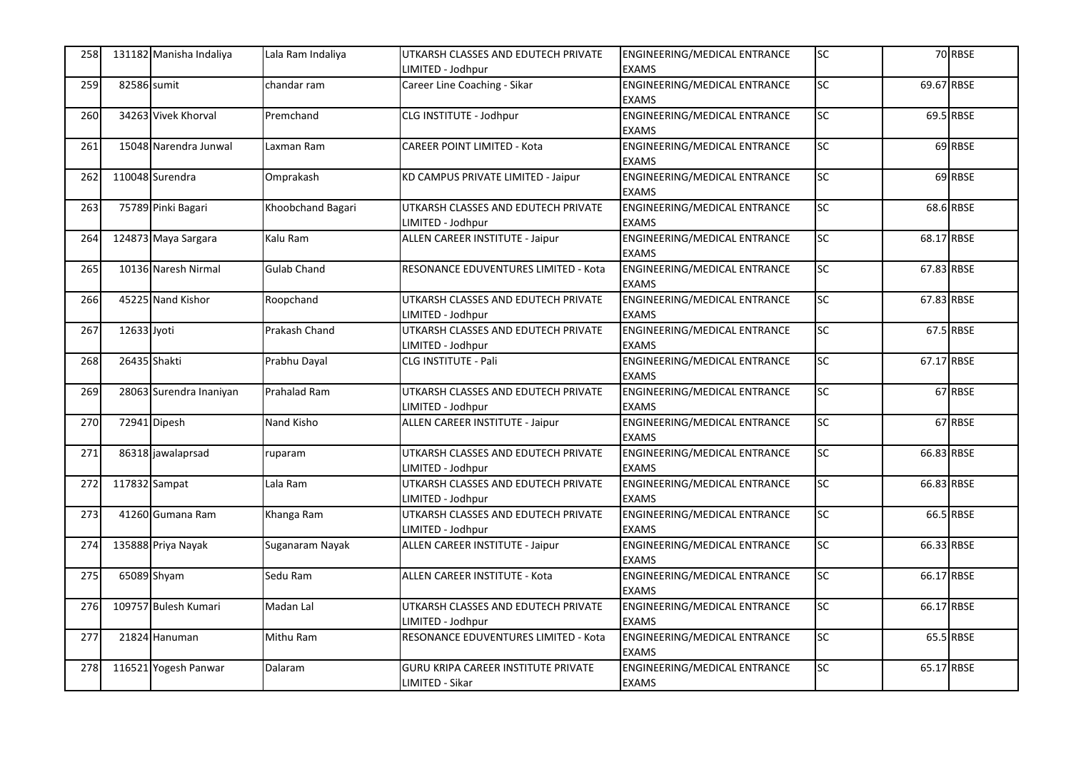| 258 |               | 131182 Manisha Indaliya | Lala Ram Indaliya   | UTKARSH CLASSES AND EDUTECH PRIVATE<br>IMITED - Jodhpur | ENGINEERING/MEDICAL ENTRANCE<br><b>EXAMS</b> | <b>SC</b>       |            | 70 RBSE   |
|-----|---------------|-------------------------|---------------------|---------------------------------------------------------|----------------------------------------------|-----------------|------------|-----------|
| 259 | 82586 sumit   |                         | chandar ram         | Career Line Coaching - Sikar                            | ENGINEERING/MEDICAL ENTRANCE                 | SC              | 69.67 RBSE |           |
|     |               |                         |                     |                                                         | <b>EXAMS</b>                                 |                 |            |           |
| 260 |               | 34263 Vivek Khorval     | Premchand           | CLG INSTITUTE - Jodhpur                                 | <b>ENGINEERING/MEDICAL ENTRANCE</b>          | <b>SC</b>       |            | 69.5 RBSE |
|     |               |                         |                     |                                                         | <b>EXAMS</b>                                 |                 |            |           |
| 261 |               | 15048 Narendra Junwal   | Laxman Ram          | <b>CAREER POINT LIMITED - Kota</b>                      | ENGINEERING/MEDICAL ENTRANCE                 | SC              |            | 69 RBSE   |
|     |               |                         |                     |                                                         | <b>EXAMS</b>                                 |                 |            |           |
| 262 |               | 110048 Surendra         | Omprakash           | KD CAMPUS PRIVATE LIMITED - Jaipur                      | <b>ENGINEERING/MEDICAL ENTRANCE</b>          | <b>SC</b>       |            | 69 RBSE   |
|     |               |                         |                     |                                                         | <b>EXAMS</b>                                 |                 |            |           |
| 263 |               | 75789 Pinki Bagari      | Khoobchand Bagari   | UTKARSH CLASSES AND EDUTECH PRIVATE                     | ENGINEERING/MEDICAL ENTRANCE                 | SC              |            | 68.6 RBSE |
|     |               |                         |                     | LIMITED - Jodhpur                                       | <b>EXAMS</b>                                 |                 |            |           |
| 264 |               | 124873 Maya Sargara     | Kalu Ram            | ALLEN CAREER INSTITUTE - Jaipur                         | ENGINEERING/MEDICAL ENTRANCE                 | <b>SC</b>       | 68.17 RBSE |           |
|     |               |                         |                     |                                                         | <b>EXAMS</b>                                 |                 |            |           |
| 265 |               | 10136 Naresh Nirmal     | <b>Gulab Chand</b>  | RESONANCE EDUVENTURES LIMITED - Kota                    | ENGINEERING/MEDICAL ENTRANCE                 | <b>SC</b>       | 67.83 RBSE |           |
|     |               |                         |                     |                                                         | <b>EXAMS</b>                                 |                 |            |           |
| 266 |               | 45225 Nand Kishor       | Roopchand           | UTKARSH CLASSES AND EDUTECH PRIVATE                     | ENGINEERING/MEDICAL ENTRANCE                 | <b>SC</b>       | 67.83 RBSE |           |
|     |               |                         |                     | LIMITED - Jodhpur                                       | <b>EXAMS</b>                                 |                 |            |           |
| 267 | 12633 Jyoti   |                         | Prakash Chand       | UTKARSH CLASSES AND EDUTECH PRIVATE                     | ENGINEERING/MEDICAL ENTRANCE                 | <b>SC</b>       |            | 67.5 RBSE |
|     |               |                         |                     | LIMITED - Jodhpur                                       | <b>EXAMS</b>                                 |                 |            |           |
| 268 | 26435 Shakti  |                         | Prabhu Dayal        | CLG INSTITUTE - Pali                                    | ENGINEERING/MEDICAL ENTRANCE                 | SC              | 67.17 RBSE |           |
|     |               |                         |                     |                                                         | <b>EXAMS</b>                                 |                 |            |           |
| 269 |               | 28063 Surendra Inaniyan | <b>Prahalad Ram</b> | UTKARSH CLASSES AND EDUTECH PRIVATE                     | ENGINEERING/MEDICAL ENTRANCE                 | $\overline{SC}$ |            | 67 RBSE   |
|     |               |                         |                     | LIMITED - Jodhpur                                       | <b>EXAMS</b>                                 |                 |            |           |
| 270 |               | 72941 Dipesh            | Nand Kisho          | <b>ALLEN CAREER INSTITUTE - Jaipur</b>                  | ENGINEERING/MEDICAL ENTRANCE                 | $\overline{SC}$ |            | 67 RBSE   |
|     |               |                         |                     |                                                         | <b>EXAMS</b>                                 |                 |            |           |
| 271 |               | 86318 jawalaprsad       | ruparam             | UTKARSH CLASSES AND EDUTECH PRIVATE                     | ENGINEERING/MEDICAL ENTRANCE                 | <b>SC</b>       | 66.83 RBSE |           |
|     |               |                         |                     | LIMITED - Jodhpur                                       | <b>EXAMS</b>                                 |                 |            |           |
| 272 | 117832 Sampat |                         | Lala Ram            | UTKARSH CLASSES AND EDUTECH PRIVATE                     | <b>ENGINEERING/MEDICAL ENTRANCE</b>          | <b>SC</b>       | 66.83 RBSE |           |
|     |               |                         |                     | LIMITED - Jodhpur                                       | <b>EXAMS</b>                                 |                 |            |           |
| 273 |               | 41260 Gumana Ram        | Khanga Ram          | UTKARSH CLASSES AND EDUTECH PRIVATE                     | ENGINEERING/MEDICAL ENTRANCE                 | SC              |            | 66.5 RBSE |
|     |               |                         |                     | LIMITED - Jodhpur                                       | <b>EXAMS</b>                                 |                 |            |           |
| 274 |               | 135888 Priya Nayak      | Suganaram Nayak     | ALLEN CAREER INSTITUTE - Jaipur                         | ENGINEERING/MEDICAL ENTRANCE                 | $\overline{SC}$ | 66.33 RBSE |           |
|     |               |                         |                     |                                                         | <b>EXAMS</b>                                 |                 |            |           |
| 275 |               | 65089 Shyam             | Sedu Ram            | ALLEN CAREER INSTITUTE - Kota                           | ENGINEERING/MEDICAL ENTRANCE                 | SC              | 66.17 RBSE |           |
|     |               |                         |                     |                                                         | <b>EXAMS</b>                                 |                 |            |           |
| 276 |               | 109757 Bulesh Kumari    | Madan Lal           | UTKARSH CLASSES AND EDUTECH PRIVATE                     | ENGINEERING/MEDICAL ENTRANCE                 | $\overline{SC}$ | 66.17 RBSE |           |
|     |               |                         |                     | IMITED - Jodhpur                                        | <b>EXAMS</b>                                 |                 |            |           |
| 277 |               | 21824 Hanuman           | Mithu Ram           | RESONANCE EDUVENTURES LIMITED - Kota                    | ENGINEERING/MEDICAL ENTRANCE                 | SC              |            | 65.5 RBSE |
|     |               |                         |                     |                                                         | <b>EXAMS</b>                                 |                 |            |           |
| 278 |               | 116521 Yogesh Panwar    | Dalaram             | <b>GURU KRIPA CAREER INSTITUTE PRIVATE</b>              | ENGINEERING/MEDICAL ENTRANCE                 | $\overline{SC}$ | 65.17 RBSE |           |
|     |               |                         |                     | LIMITED - Sikar                                         | <b>EXAMS</b>                                 |                 |            |           |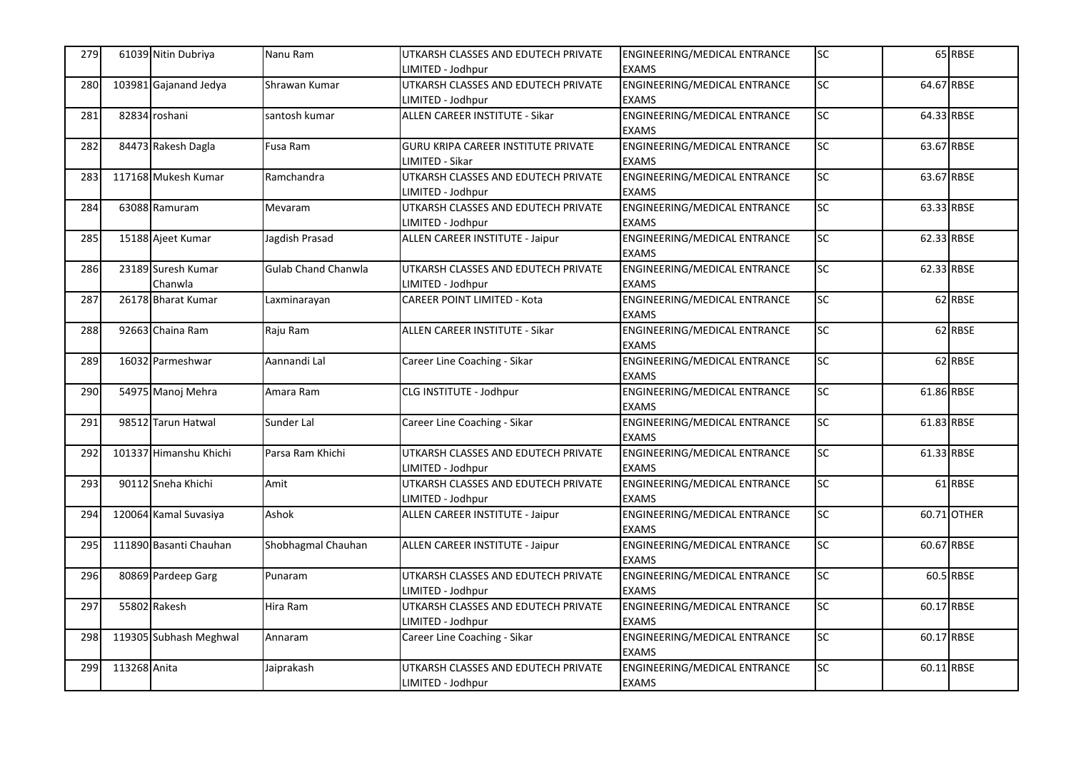| 279 |              | 61039 Nitin Dubriya           | Nanu Ram                   | UTKARSH CLASSES AND EDUTECH PRIVATE<br>IMITED - Jodhpur  | ENGINEERING/MEDICAL ENTRANCE<br><b>EXAMS</b>                 | <b>SC</b>       |            | 65 RBSE     |
|-----|--------------|-------------------------------|----------------------------|----------------------------------------------------------|--------------------------------------------------------------|-----------------|------------|-------------|
| 280 |              | 103981 Gajanand Jedya         | Shrawan Kumar              | UTKARSH CLASSES AND EDUTECH PRIVATE                      | ENGINEERING/MEDICAL ENTRANCE                                 | $\overline{SC}$ | 64.67 RBSE |             |
| 281 |              | 82834 roshani                 | santosh kumar              | LIMITED - Jodhpur<br>ALLEN CAREER INSTITUTE - Sikar      | <b>EXAMS</b><br>ENGINEERING/MEDICAL ENTRANCE<br><b>EXAMS</b> | <b>SC</b>       | 64.33 RBSE |             |
| 282 |              | 84473 Rakesh Dagla            | Fusa Ram                   | GURU KRIPA CAREER INSTITUTE PRIVATE<br>LIMITED - Sikar   | ENGINEERING/MEDICAL ENTRANCE<br><b>EXAMS</b>                 | <b>SC</b>       | 63.67 RBSE |             |
| 283 |              | 117168 Mukesh Kumar           | Ramchandra                 | UTKARSH CLASSES AND EDUTECH PRIVATE<br>LIMITED - Jodhpur | ENGINEERING/MEDICAL ENTRANCE<br><b>EXAMS</b>                 | <b>SC</b>       | 63.67 RBSE |             |
| 284 |              | 63088 Ramuram                 | Mevaram                    | UTKARSH CLASSES AND EDUTECH PRIVATE<br>LIMITED - Jodhpur | ENGINEERING/MEDICAL ENTRANCE<br><b>EXAMS</b>                 | SC              | 63.33 RBSE |             |
| 285 |              | 15188 Ajeet Kumar             | Jagdish Prasad             | ALLEN CAREER INSTITUTE - Jaipur                          | ENGINEERING/MEDICAL ENTRANCE<br><b>EXAMS</b>                 | <b>SC</b>       | 62.33 RBSE |             |
| 286 |              | 23189 Suresh Kumar<br>Chanwla | <b>Gulab Chand Chanwla</b> | UTKARSH CLASSES AND EDUTECH PRIVATE<br>LIMITED - Jodhpur | ENGINEERING/MEDICAL ENTRANCE<br><b>EXAMS</b>                 | SC              | 62.33 RBSE |             |
| 287 |              | 26178 Bharat Kumar            | Laxminarayan               | <b>CAREER POINT LIMITED - Kota</b>                       | <b>ENGINEERING/MEDICAL ENTRANCE</b><br><b>EXAMS</b>          | <b>SC</b>       |            | 62 RBSE     |
| 288 |              | 92663 Chaina Ram              | Raju Ram                   | ALLEN CAREER INSTITUTE - Sikar                           | ENGINEERING/MEDICAL ENTRANCE<br><b>EXAMS</b>                 | SC              |            | 62 RBSE     |
| 289 |              | 16032 Parmeshwar              | Aannandi Lal               | Career Line Coaching - Sikar                             | ENGINEERING/MEDICAL ENTRANCE<br><b>EXAMS</b>                 | $\overline{SC}$ |            | 62 RBSE     |
| 290 |              | 54975 Manoj Mehra             | Amara Ram                  | CLG INSTITUTE - Jodhpur                                  | ENGINEERING/MEDICAL ENTRANCE<br><b>EXAMS</b>                 | SC              | 61.86 RBSE |             |
| 291 |              | 98512 Tarun Hatwal            | Sunder Lal                 | Career Line Coaching - Sikar                             | <b>ENGINEERING/MEDICAL ENTRANCE</b><br><b>EXAMS</b>          | <b>SC</b>       | 61.83 RBSE |             |
| 292 |              | 101337 Himanshu Khichi        | Parsa Ram Khichi           | UTKARSH CLASSES AND EDUTECH PRIVATE<br>LIMITED - Jodhpur | ENGINEERING/MEDICAL ENTRANCE<br><b>EXAMS</b>                 | SC              | 61.33 RBSE |             |
| 293 |              | 90112 Sneha Khichi            | Amit                       | UTKARSH CLASSES AND EDUTECH PRIVATE<br>LIMITED - Jodhpur | ENGINEERING/MEDICAL ENTRANCE<br><b>EXAMS</b>                 | $\overline{SC}$ |            | 61 RBSE     |
| 294 |              | 120064 Kamal Suvasiya         | Ashok                      | ALLEN CAREER INSTITUTE - Jaipur                          | <b>ENGINEERING/MEDICAL ENTRANCE</b><br><b>EXAMS</b>          | SC              |            | 60.71 OTHER |
| 295 |              | 111890 Basanti Chauhan        | Shobhagmal Chauhan         | ALLEN CAREER INSTITUTE - Jaipur                          | ENGINEERING/MEDICAL ENTRANCE<br><b>EXAMS</b>                 | <b>SC</b>       | 60.67 RBSE |             |
| 296 |              | 80869 Pardeep Garg            | Punaram                    | UTKARSH CLASSES AND EDUTECH PRIVATE<br>LIMITED - Jodhpur | ENGINEERING/MEDICAL ENTRANCE<br><b>EXAMS</b>                 | SC              |            | 60.5 RBSE   |
| 297 |              | 55802 Rakesh                  | Hira Ram                   | UTKARSH CLASSES AND EDUTECH PRIVATE<br>IMITED - Jodhpur  | ENGINEERING/MEDICAL ENTRANCE<br><b>EXAMS</b>                 | SC              | 60.17 RBSE |             |
| 298 |              | 119305 Subhash Meghwal        | Annaram                    | Career Line Coaching - Sikar                             | <b>ENGINEERING/MEDICAL ENTRANCE</b><br><b>EXAMS</b>          | <b>SC</b>       | 60.17 RBSE |             |
| 299 | 113268 Anita |                               | Jaiprakash                 | UTKARSH CLASSES AND EDUTECH PRIVATE<br>LIMITED - Jodhpur | ENGINEERING/MEDICAL ENTRANCE<br><b>EXAMS</b>                 | <b>SC</b>       | 60.11 RBSE |             |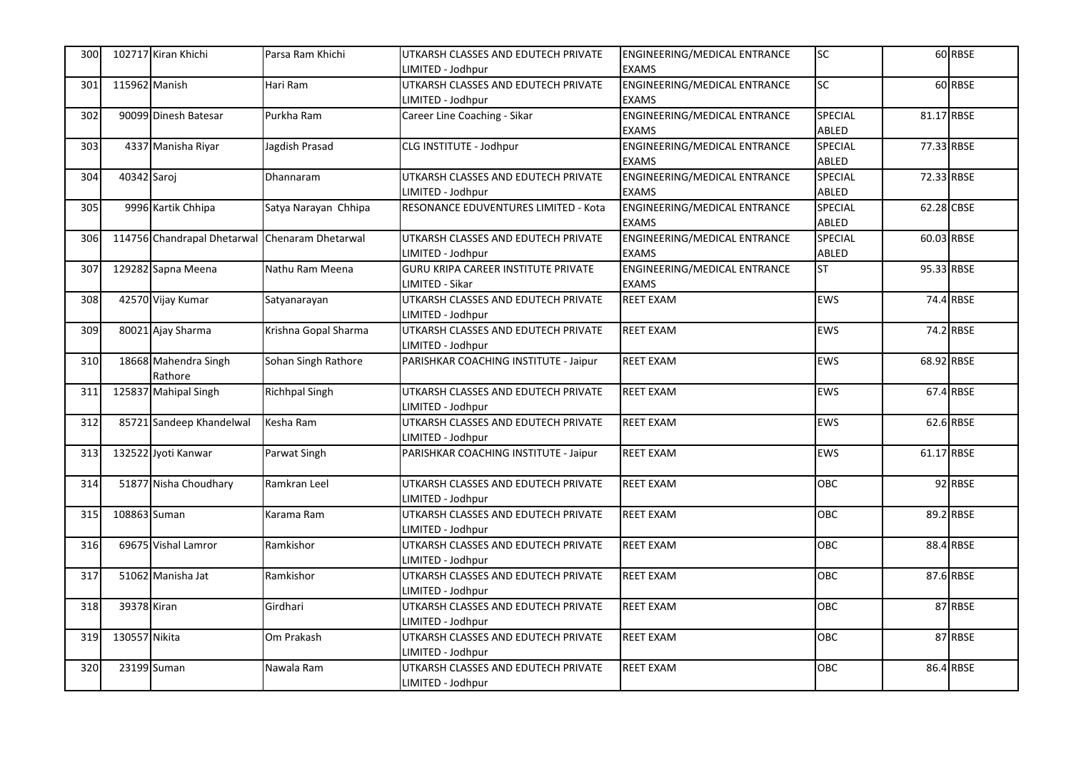| 300 |               | 102717 Kiran Khichi         | Parsa Ram Khichi     | UTKARSH CLASSES AND EDUTECH PRIVATE        | ENGINEERING/MEDICAL ENTRANCE        | <b>SC</b>  |            | 60 RBSE   |
|-----|---------------|-----------------------------|----------------------|--------------------------------------------|-------------------------------------|------------|------------|-----------|
|     |               |                             |                      | IMITED - Jodhpur                           | <b>EXAMS</b>                        |            |            |           |
| 301 | 115962 Manish |                             | Hari Ram             | UTKARSH CLASSES AND EDUTECH PRIVATE        | <b>ENGINEERING/MEDICAL ENTRANCE</b> | SC         |            | 60 RBSE   |
|     |               |                             |                      | LIMITED - Jodhpur                          | <b>EXAMS</b>                        |            |            |           |
| 302 |               | 90099 Dinesh Batesar        | Purkha Ram           | Career Line Coaching - Sikar               | ENGINEERING/MEDICAL ENTRANCE        | SPECIAL    | 81.17 RBSE |           |
|     |               |                             |                      |                                            | <b>EXAMS</b>                        | ABLED      |            |           |
| 303 |               | 4337 Manisha Riyar          | Jagdish Prasad       | CLG INSTITUTE - Jodhpur                    | ENGINEERING/MEDICAL ENTRANCE        | SPECIAL    | 77.33 RBSE |           |
|     |               |                             |                      |                                            | <b>EXAMS</b>                        | ABLED      |            |           |
| 304 | 40342 Saroj   |                             | Dhannaram            | UTKARSH CLASSES AND EDUTECH PRIVATE        | ENGINEERING/MEDICAL ENTRANCE        | SPECIAL    | 72.33 RBSE |           |
|     |               |                             |                      | LIMITED - Jodhpur                          | <b>EXAMS</b>                        | ABLED      |            |           |
| 305 |               | 9996 Kartik Chhipa          | Satya Narayan Chhipa | RESONANCE EDUVENTURES LIMITED - Kota       | ENGINEERING/MEDICAL ENTRANCE        | SPECIAL    | 62.28 CBSE |           |
|     |               |                             |                      |                                            | <b>EXAMS</b>                        | ABLED      |            |           |
| 306 |               | 114756 Chandrapal Dhetarwal | Chenaram Dhetarwal   | UTKARSH CLASSES AND EDUTECH PRIVATE        | ENGINEERING/MEDICAL ENTRANCE        | SPECIAL    | 60.03 RBSE |           |
|     |               |                             |                      | LIMITED - Jodhpur                          | <b>EXAMS</b>                        | ABLED      |            |           |
| 307 |               | 129282 Sapna Meena          | Nathu Ram Meena      | <b>GURU KRIPA CAREER INSTITUTE PRIVATE</b> | ENGINEERING/MEDICAL ENTRANCE        | <b>ST</b>  | 95.33 RBSE |           |
|     |               |                             |                      | LIMITED - Sikar                            | <b>EXAMS</b>                        |            |            |           |
| 308 |               | 42570 Vijay Kumar           | Satyanarayan         | UTKARSH CLASSES AND EDUTECH PRIVATE        | <b>REET EXAM</b>                    | <b>EWS</b> |            | 74.4 RBSE |
|     |               |                             |                      | LIMITED - Jodhpur                          |                                     |            |            |           |
| 309 |               | 80021 Ajay Sharma           | Krishna Gopal Sharma | UTKARSH CLASSES AND EDUTECH PRIVATE        | <b>REET EXAM</b>                    | <b>EWS</b> |            | 74.2 RBSE |
|     |               |                             |                      | LIMITED - Jodhpur                          |                                     |            |            |           |
| 310 |               | 18668 Mahendra Singh        | Sohan Singh Rathore  | PARISHKAR COACHING INSTITUTE - Jaipur      | <b>REET EXAM</b>                    | <b>EWS</b> | 68.92 RBSE |           |
|     |               | Rathore                     |                      |                                            |                                     |            |            |           |
| 311 |               | 125837 Mahipal Singh        | Richhpal Singh       | UTKARSH CLASSES AND EDUTECH PRIVATE        | <b>REET EXAM</b>                    | EWS        |            | 67.4 RBSE |
|     |               |                             |                      | LIMITED - Jodhpur                          |                                     |            |            |           |
| 312 |               | 85721 Sandeep Khandelwal    | Kesha Ram            | UTKARSH CLASSES AND EDUTECH PRIVATE        | <b>REET EXAM</b>                    | EWS        |            | 62.6 RBSE |
|     |               |                             |                      | LIMITED - Jodhpur                          |                                     |            |            |           |
| 313 |               | 132522 Jyoti Kanwar         | Parwat Singh         | PARISHKAR COACHING INSTITUTE - Jaipur      | <b>REET EXAM</b>                    | EWS        | 61.17 RBSE |           |
|     |               |                             |                      |                                            |                                     |            |            |           |
| 314 |               | 51877 Nisha Choudhary       | Ramkran Leel         | UTKARSH CLASSES AND EDUTECH PRIVATE        | <b>REET EXAM</b>                    | OBC        |            | 92 RBSE   |
|     |               |                             |                      | LIMITED - Jodhpur                          |                                     |            |            |           |
| 315 | 108863 Suman  |                             | Karama Ram           | UTKARSH CLASSES AND EDUTECH PRIVATE        | <b>REET EXAM</b>                    | OBC        |            | 89.2 RBSE |
|     |               |                             |                      | LIMITED - Jodhpur                          |                                     |            |            |           |
| 316 |               | 69675 Vishal Lamror         | Ramkishor            | UTKARSH CLASSES AND EDUTECH PRIVATE        | <b>REET EXAM</b>                    | OBC        |            | 88.4 RBSE |
|     |               |                             |                      | LIMITED - Jodhpur                          |                                     |            |            |           |
| 317 |               | 51062 Manisha Jat           | Ramkishor            | UTKARSH CLASSES AND EDUTECH PRIVATE        | <b>REET EXAM</b>                    | OBC        |            | 87.6 RBSE |
|     |               |                             |                      | IMITED - Jodhpur                           |                                     |            |            |           |
| 318 | 39378 Kiran   |                             | Girdhari             | UTKARSH CLASSES AND EDUTECH PRIVATE        | <b>REET EXAM</b>                    | <b>OBC</b> |            | 87 RBSE   |
|     |               |                             |                      | IMITED - Jodhpur                           |                                     |            |            |           |
| 319 | 130557 Nikita |                             | Om Prakash           | UTKARSH CLASSES AND EDUTECH PRIVATE        | <b>REET EXAM</b>                    | OBC        |            | 87 RBSE   |
|     |               |                             |                      | LIMITED - Jodhpur                          |                                     |            |            |           |
| 320 |               | 23199 Suman                 | Nawala Ram           | UTKARSH CLASSES AND EDUTECH PRIVATE        | <b>REET EXAM</b>                    | OBC        |            | 86.4 RBSE |
|     |               |                             |                      | LIMITED - Jodhpur                          |                                     |            |            |           |
|     |               |                             |                      |                                            |                                     |            |            |           |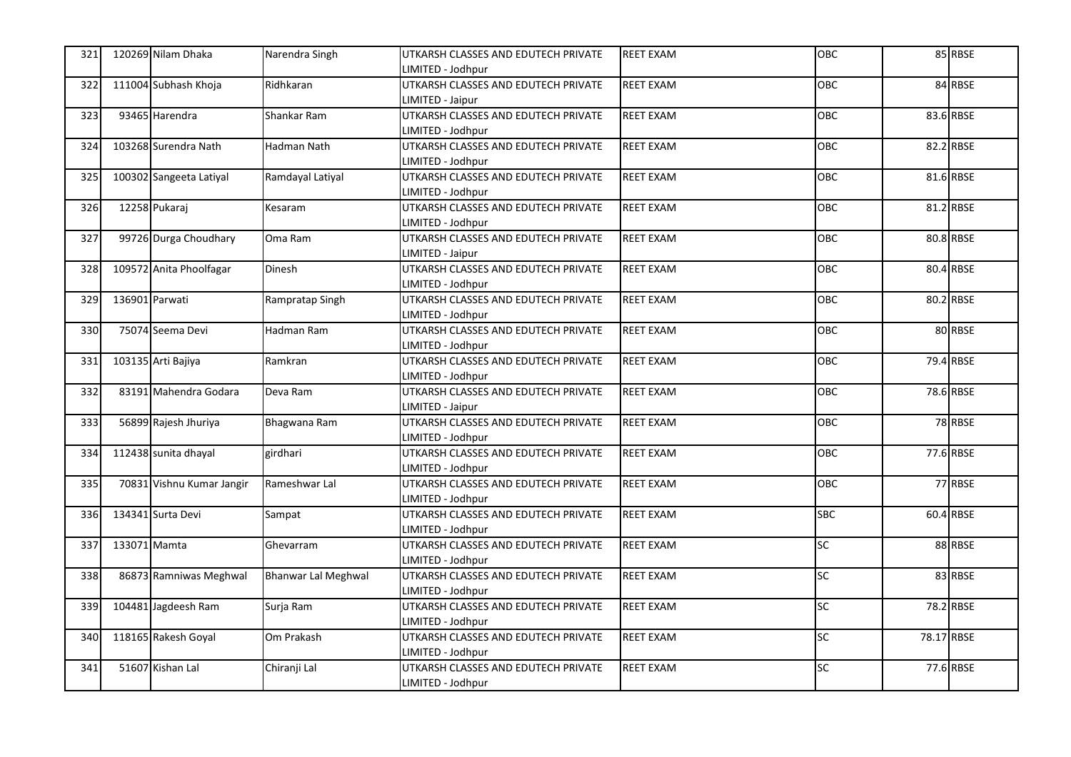| 321        |                | 120269 Nilam Dhaka        | Narendra Singh             | UTKARSH CLASSES AND EDUTECH PRIVATE | <b>REET EXAM</b> | OBC        |            | 85 RBSE   |
|------------|----------------|---------------------------|----------------------------|-------------------------------------|------------------|------------|------------|-----------|
|            |                |                           |                            | LIMITED - Jodhpur                   |                  |            |            |           |
| 322        |                | 111004 Subhash Khoja      | Ridhkaran                  | UTKARSH CLASSES AND EDUTECH PRIVATE | <b>REET EXAM</b> | <b>OBC</b> |            | 84 RBSE   |
|            |                |                           |                            | LIMITED - Jaipur                    |                  |            |            |           |
| 323        |                | 93465 Harendra            | Shankar Ram                | UTKARSH CLASSES AND EDUTECH PRIVATE | <b>REET EXAM</b> | OBC        |            | 83.6 RBSE |
|            |                |                           |                            | LIMITED - Jodhpur                   |                  |            |            |           |
| 324        |                | 103268 Surendra Nath      | Hadman Nath                | UTKARSH CLASSES AND EDUTECH PRIVATE | <b>REET EXAM</b> | OBC        |            | 82.2 RBSE |
|            |                |                           |                            | LIMITED - Jodhpur                   |                  |            |            |           |
| <b>325</b> |                | 100302 Sangeeta Latiyal   | Ramdayal Latiyal           | UTKARSH CLASSES AND EDUTECH PRIVATE | <b>REET EXAM</b> | OBC        |            | 81.6 RBSE |
|            |                |                           |                            | LIMITED - Jodhpur                   |                  |            |            |           |
| 326        |                | 12258 Pukaraj             | Kesaram                    | UTKARSH CLASSES AND EDUTECH PRIVATE | <b>REET EXAM</b> | <b>OBC</b> |            | 81.2 RBSE |
|            |                |                           |                            | LIMITED - Jodhpur                   |                  |            |            |           |
| 327        |                | 99726 Durga Choudhary     | Oma Ram                    | UTKARSH CLASSES AND EDUTECH PRIVATE | <b>REET EXAM</b> | OBC        |            | 80.8 RBSE |
|            |                |                           |                            | LIMITED - Jaipur                    |                  |            |            |           |
| 328        |                | 109572 Anita Phoolfagar   | Dinesh                     | UTKARSH CLASSES AND EDUTECH PRIVATE | <b>REET EXAM</b> | OBC        |            | 80.4 RBSE |
|            |                |                           |                            | LIMITED - Jodhpur                   |                  |            |            |           |
| 329        | 136901 Parwati |                           | Rampratap Singh            | UTKARSH CLASSES AND EDUTECH PRIVATE | <b>REET EXAM</b> | OBC        |            | 80.2 RBSE |
|            |                |                           |                            | LIMITED - Jodhpur                   |                  |            |            |           |
| 330        |                | 75074 Seema Devi          | Hadman Ram                 | UTKARSH CLASSES AND EDUTECH PRIVATE | <b>REET EXAM</b> | OBC        |            | 80 RBSE   |
|            |                |                           |                            | LIMITED - Jodhpur                   |                  |            |            |           |
| 331        |                | 103135 Arti Bajiya        | Ramkran                    | UTKARSH CLASSES AND EDUTECH PRIVATE | <b>REET EXAM</b> | <b>OBC</b> |            | 79.4 RBSE |
|            |                |                           |                            | LIMITED - Jodhpur                   |                  |            |            |           |
| 332        |                | 83191 Mahendra Godara     | Deva Ram                   | UTKARSH CLASSES AND EDUTECH PRIVATE | <b>REET EXAM</b> | OBC        |            | 78.6 RBSE |
|            |                |                           |                            | LIMITED - Jaipur                    |                  |            |            |           |
| 333        |                | 56899 Rajesh Jhuriya      | Bhagwana Ram               | UTKARSH CLASSES AND EDUTECH PRIVATE | <b>REET EXAM</b> | OBC        |            | 78 RBSE   |
|            |                |                           |                            | LIMITED - Jodhpur                   |                  |            |            |           |
| 334        |                | 112438 sunita dhayal      | girdhari                   | UTKARSH CLASSES AND EDUTECH PRIVATE | <b>REET EXAM</b> | OBC        |            | 77.6 RBSE |
|            |                |                           |                            | LIMITED - Jodhpur                   |                  |            |            |           |
| <b>335</b> |                | 70831 Vishnu Kumar Jangir | Rameshwar Lal              | UTKARSH CLASSES AND EDUTECH PRIVATE | <b>REET EXAM</b> | OBC        |            | 77 RBSE   |
|            |                |                           |                            | LIMITED - Jodhpur                   |                  |            |            |           |
| <b>336</b> |                | 134341 Surta Devi         | Sampat                     | UTKARSH CLASSES AND EDUTECH PRIVATE | <b>REET EXAM</b> | <b>SBC</b> |            | 60.4 RBSE |
|            |                |                           |                            | LIMITED - Jodhpur                   |                  |            |            |           |
| 337        | 133071 Mamta   |                           | Ghevarram                  | UTKARSH CLASSES AND EDUTECH PRIVATE | <b>REET EXAM</b> | SC         |            | 88 RBSE   |
|            |                |                           |                            | LIMITED - Jodhpur                   |                  |            |            |           |
| 338        |                | 86873 Ramniwas Meghwal    | <b>Bhanwar Lal Meghwal</b> | UTKARSH CLASSES AND EDUTECH PRIVATE | <b>REET EXAM</b> | SC         |            | 83 RBSE   |
|            |                |                           |                            | LIMITED - Jodhpur                   |                  |            |            |           |
| 339        |                | 104481 Jagdeesh Ram       | Surja Ram                  | UTKARSH CLASSES AND EDUTECH PRIVATE | <b>REET EXAM</b> | SC         |            | 78.2 RBSE |
|            |                |                           |                            | LIMITED - Jodhpur                   |                  |            |            |           |
| 340        |                | 118165 Rakesh Goyal       | Om Prakash                 | UTKARSH CLASSES AND EDUTECH PRIVATE | <b>REET EXAM</b> | SC         | 78.17 RBSE |           |
|            |                |                           |                            | LIMITED - Jodhpur                   |                  |            |            |           |
| 341        |                | 51607 Kishan Lal          | Chiranji Lal               | UTKARSH CLASSES AND EDUTECH PRIVATE | <b>REET EXAM</b> | SC         |            | 77.6 RBSE |
|            |                |                           |                            | LIMITED - Jodhpur                   |                  |            |            |           |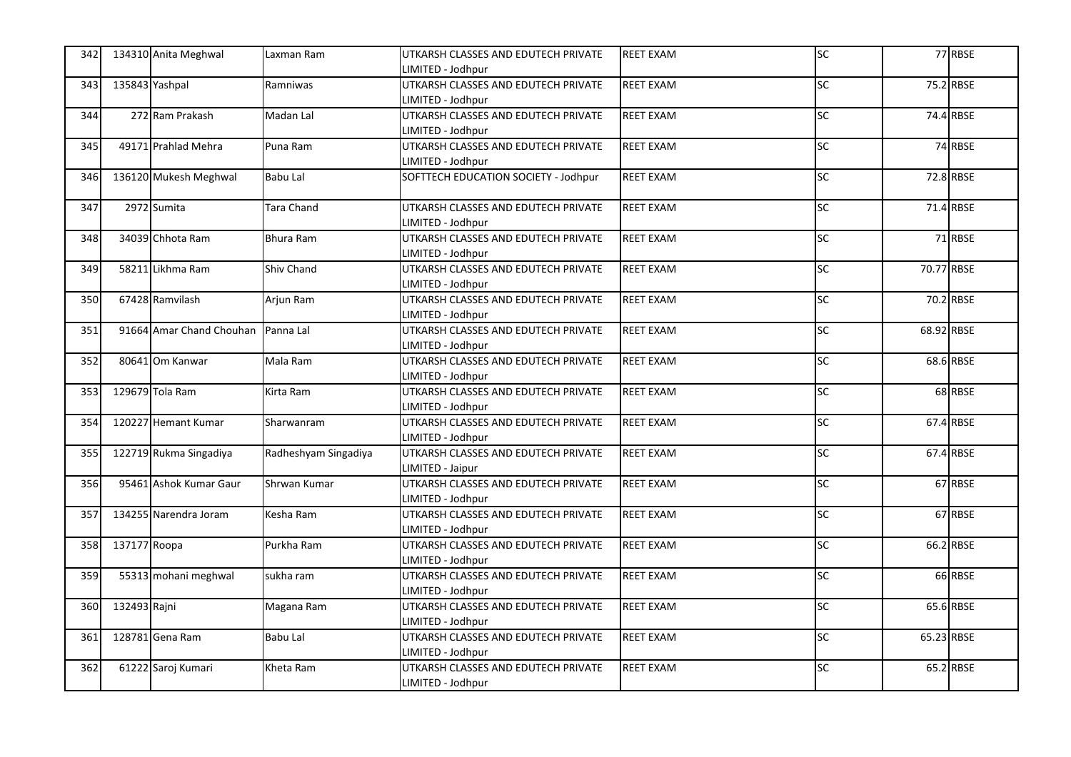| 342        |                | 134310 Anita Meghwal               | Laxman Ram           | UTKARSH CLASSES AND EDUTECH PRIVATE  | <b>REET EXAM</b> | SC              |            | 77 RBSE   |
|------------|----------------|------------------------------------|----------------------|--------------------------------------|------------------|-----------------|------------|-----------|
|            |                |                                    |                      | LIMITED - Jodhpur                    |                  |                 |            |           |
| 343        | 135843 Yashpal |                                    | Ramniwas             | UTKARSH CLASSES AND EDUTECH PRIVATE  | <b>REET EXAM</b> | SC              |            | 75.2 RBSE |
|            |                |                                    |                      | LIMITED - Jodhpur                    |                  |                 |            |           |
| 344        |                | 272 Ram Prakash                    | Madan Lal            | UTKARSH CLASSES AND EDUTECH PRIVATE  | <b>REET EXAM</b> | <b>SC</b>       |            | 74.4 RBSE |
|            |                |                                    |                      | LIMITED - Jodhpur                    |                  |                 |            |           |
| 345        |                | 49171 Prahlad Mehra                | Puna Ram             | UTKARSH CLASSES AND EDUTECH PRIVATE  | <b>REET EXAM</b> | SC              |            | 74 RBSE   |
|            |                |                                    |                      | LIMITED - Jodhpur                    |                  |                 |            |           |
| 346        |                | 136120 Mukesh Meghwal              | <b>Babu Lal</b>      | SOFTTECH EDUCATION SOCIETY - Jodhpur | <b>REET EXAM</b> | <b>SC</b>       |            | 72.8 RBSE |
|            |                |                                    |                      |                                      |                  |                 |            |           |
| 347        |                | 2972 Sumita                        | Tara Chand           | UTKARSH CLASSES AND EDUTECH PRIVATE  | <b>REET EXAM</b> | SC              |            | 71.4 RBSE |
|            |                |                                    |                      | LIMITED - Jodhpur                    |                  |                 |            |           |
| 348        |                | 34039 Chhota Ram                   | Bhura Ram            | UTKARSH CLASSES AND EDUTECH PRIVATE  | <b>REET EXAM</b> | <b>SC</b>       |            | 71 RBSE   |
|            |                |                                    |                      | LIMITED - Jodhpur                    |                  |                 |            |           |
| 349        |                | 58211 Likhma Ram                   | Shiv Chand           | UTKARSH CLASSES AND EDUTECH PRIVATE  | <b>REET EXAM</b> | $\overline{SC}$ | 70.77 RBSE |           |
|            |                |                                    |                      | LIMITED - Jodhpur                    |                  |                 |            |           |
| 350        |                | 67428 Ramvilash                    | Arjun Ram            | UTKARSH CLASSES AND EDUTECH PRIVATE  | <b>REET EXAM</b> | SC              |            | 70.2 RBSE |
|            |                |                                    |                      | LIMITED - Jodhpur                    |                  |                 |            |           |
| 351        |                | 91664 Amar Chand Chouhan Panna Lal |                      | UTKARSH CLASSES AND EDUTECH PRIVATE  | <b>REET EXAM</b> | SC              | 68.92 RBSE |           |
|            |                |                                    |                      | LIMITED - Jodhpur                    |                  |                 |            |           |
| 352        |                | 80641 Om Kanwar                    | Mala Ram             | UTKARSH CLASSES AND EDUTECH PRIVATE  | <b>REET EXAM</b> | SC              |            | 68.6 RBSE |
|            |                |                                    |                      | LIMITED - Jodhpur                    |                  |                 |            |           |
| 353        |                | 129679 Tola Ram                    | Kirta Ram            | UTKARSH CLASSES AND EDUTECH PRIVATE  | <b>REET EXAM</b> | SC              |            | 68 RBSE   |
|            |                |                                    |                      | LIMITED - Jodhpur                    |                  |                 |            |           |
| 354        |                | 120227 Hemant Kumar                | Sharwanram           | UTKARSH CLASSES AND EDUTECH PRIVATE  | <b>REET EXAM</b> | SC              |            | 67.4 RBSE |
|            |                |                                    |                      | LIMITED - Jodhpur                    |                  |                 |            |           |
| <b>355</b> |                | 122719 Rukma Singadiya             | Radheshyam Singadiya | UTKARSH CLASSES AND EDUTECH PRIVATE  | REET EXAM        | <b>SC</b>       |            | 67.4 RBSE |
|            |                |                                    |                      | LIMITED - Jaipur                     |                  |                 |            |           |
| 356        |                | 95461 Ashok Kumar Gaur             | Shrwan Kumar         | UTKARSH CLASSES AND EDUTECH PRIVATE  | <b>REET EXAM</b> | SC              |            | 67 RBSE   |
|            |                |                                    |                      | LIMITED - Jodhpur                    |                  |                 |            |           |
| 357        |                | 134255 Narendra Joram              | Kesha Ram            | UTKARSH CLASSES AND EDUTECH PRIVATE  | REET EXAM        | SC              |            | 67 RBSE   |
|            |                |                                    |                      | LIMITED - Jodhpur                    |                  |                 |            |           |
| 358        | 137177 Roopa   |                                    | Purkha Ram           | UTKARSH CLASSES AND EDUTECH PRIVATE  | <b>REET EXAM</b> | SC              |            | 66.2 RBSE |
|            |                |                                    |                      | LIMITED - Jodhpur                    |                  |                 |            |           |
| 359        |                | 55313 mohani meghwal               | sukha ram            | UTKARSH CLASSES AND EDUTECH PRIVATE  | <b>REET EXAM</b> | SC              |            | 66 RBSE   |
|            |                |                                    |                      | LIMITED - Jodhpur                    |                  |                 |            |           |
| 360        | 132493 Rajni   |                                    | Magana Ram           | UTKARSH CLASSES AND EDUTECH PRIVATE  | <b>REET EXAM</b> | SC              |            | 65.6 RBSE |
|            |                |                                    |                      | LIMITED - Jodhpur                    |                  |                 |            |           |
| 361        |                | 128781 Gena Ram                    | <b>Babu Lal</b>      | UTKARSH CLASSES AND EDUTECH PRIVATE  | <b>REET EXAM</b> | SC              | 65.23 RBSE |           |
|            |                |                                    |                      | LIMITED - Jodhpur                    |                  |                 |            |           |
| 362        |                | 61222 Saroj Kumari                 | Kheta Ram            | UTKARSH CLASSES AND EDUTECH PRIVATE  | <b>REET EXAM</b> | SC              |            | 65.2 RBSE |
|            |                |                                    |                      | LIMITED - Jodhpur                    |                  |                 |            |           |
|            |                |                                    |                      |                                      |                  |                 |            |           |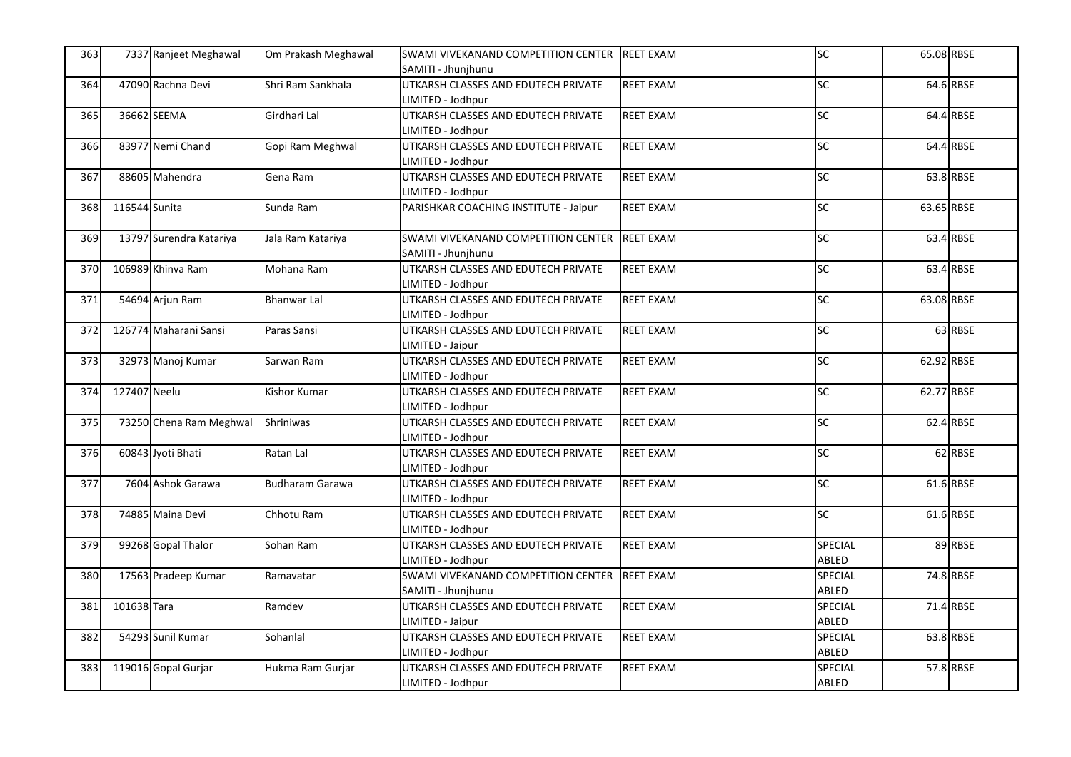| 363 |               | 7337 Ranjeet Meghawal   | Om Prakash Meghawal    | SWAMI VIVEKANAND COMPETITION CENTER   | <b>REET EXAM</b> | SC              | 65.08 RBSE |           |
|-----|---------------|-------------------------|------------------------|---------------------------------------|------------------|-----------------|------------|-----------|
|     |               |                         |                        | SAMITI - Jhunjhunu                    |                  |                 |            |           |
| 364 |               | 47090 Rachna Devi       | Shri Ram Sankhala      | UTKARSH CLASSES AND EDUTECH PRIVATE   | <b>REET EXAM</b> | SC <sub>1</sub> |            | 64.6 RBSE |
|     |               |                         |                        | LIMITED - Jodhpur                     |                  |                 |            |           |
| 365 |               | 36662 SEEMA             | Girdhari Lal           | UTKARSH CLASSES AND EDUTECH PRIVATE   | <b>REET EXAM</b> | <b>SC</b>       |            | 64.4 RBSE |
|     |               |                         |                        | LIMITED - Jodhpur                     |                  |                 |            |           |
| 366 |               | 83977 Nemi Chand        | Gopi Ram Meghwal       | UTKARSH CLASSES AND EDUTECH PRIVATE   | <b>REET EXAM</b> | <b>SC</b>       |            | 64.4 RBSE |
|     |               |                         |                        | LIMITED - Jodhpur                     |                  |                 |            |           |
| 367 |               | 88605 Mahendra          | Gena Ram               | UTKARSH CLASSES AND EDUTECH PRIVATE   | <b>REET EXAM</b> | <b>SC</b>       |            | 63.8 RBSE |
|     |               |                         |                        | LIMITED - Jodhpur                     |                  |                 |            |           |
| 368 | 116544 Sunita |                         | Sunda Ram              | PARISHKAR COACHING INSTITUTE - Jaipur | <b>REET EXAM</b> | SC              | 63.65 RBSE |           |
|     |               |                         |                        |                                       |                  |                 |            |           |
| 369 |               | 13797 Surendra Katariya | Jala Ram Katariya      | SWAMI VIVEKANAND COMPETITION CENTER   | <b>REET EXAM</b> | <b>SC</b>       |            | 63.4 RBSE |
|     |               |                         |                        | SAMITI - Jhunjhunu                    |                  |                 |            |           |
| 370 |               | 106989 Khinva Ram       | Mohana Ram             | UTKARSH CLASSES AND EDUTECH PRIVATE   | <b>REET EXAM</b> | SC              |            | 63.4 RBSE |
|     |               |                         |                        | LIMITED - Jodhpur                     |                  |                 |            |           |
| 371 |               | 54694 Arjun Ram         | <b>Bhanwar Lal</b>     | UTKARSH CLASSES AND EDUTECH PRIVATE   | <b>REET EXAM</b> | <b>SC</b>       | 63.08 RBSE |           |
|     |               |                         |                        | LIMITED - Jodhpur                     |                  |                 |            |           |
| 372 |               | 126774 Maharani Sansi   | Paras Sansi            | UTKARSH CLASSES AND EDUTECH PRIVATE   | <b>REET EXAM</b> | SC              |            | 63 RBSE   |
|     |               |                         |                        | LIMITED - Jaipur                      |                  |                 |            |           |
| 373 |               | 32973 Manoj Kumar       | Sarwan Ram             | UTKARSH CLASSES AND EDUTECH PRIVATE   | <b>REET EXAM</b> | SC              | 62.92 RBSE |           |
|     |               |                         |                        | LIMITED - Jodhpur                     |                  |                 |            |           |
| 374 | 127407 Neelu  |                         | <b>Kishor Kumar</b>    | UTKARSH CLASSES AND EDUTECH PRIVATE   | <b>REET EXAM</b> | SC              | 62.77 RBSE |           |
|     |               |                         |                        | LIMITED - Jodhpur                     |                  |                 |            |           |
| 375 |               | 73250 Chena Ram Meghwal | <b>Shriniwas</b>       | UTKARSH CLASSES AND EDUTECH PRIVATE   | <b>REET EXAM</b> | SC              |            | 62.4 RBSE |
|     |               |                         |                        | LIMITED - Jodhpur                     |                  |                 |            |           |
| 376 |               | 60843 Jyoti Bhati       | Ratan Lal              | UTKARSH CLASSES AND EDUTECH PRIVATE   | <b>REET EXAM</b> | <b>SC</b>       |            | 62 RBSE   |
|     |               |                         |                        | LIMITED - Jodhpur                     |                  |                 |            |           |
| 377 |               | 7604 Ashok Garawa       | <b>Budharam Garawa</b> | UTKARSH CLASSES AND EDUTECH PRIVATE   | <b>REET EXAM</b> | SC <sub>1</sub> |            | 61.6 RBSE |
|     |               |                         |                        | LIMITED - Jodhpur                     |                  |                 |            |           |
| 378 |               | 74885 Maina Devi        | Chhotu Ram             | UTKARSH CLASSES AND EDUTECH PRIVATE   | <b>REET EXAM</b> | SC <sub>1</sub> |            | 61.6 RBSE |
|     |               |                         |                        | LIMITED - Jodhpur                     |                  |                 |            |           |
| 379 |               | 99268 Gopal Thalor      | Sohan Ram              | UTKARSH CLASSES AND EDUTECH PRIVATE   | <b>REET EXAM</b> | SPECIAL         |            | 89 RBSE   |
|     |               |                         |                        | LIMITED - Jodhpur                     |                  | ABLED           |            |           |
| 380 |               | 17563 Pradeep Kumar     | Ramavatar              | SWAMI VIVEKANAND COMPETITION CENTER   | <b>REET EXAM</b> | <b>SPECIAL</b>  |            | 74.8 RBSE |
|     |               |                         |                        | SAMITI - Jhunjhunu                    |                  | ABLED           |            |           |
| 381 | 101638 Tara   |                         | Ramdev                 | UTKARSH CLASSES AND EDUTECH PRIVATE   | <b>REET EXAM</b> | SPECIAL         |            | 71.4 RBSE |
|     |               |                         |                        | LIMITED - Jaipur                      |                  | ABLED           |            |           |
| 382 |               | 54293 Sunil Kumar       | Sohanlal               | UTKARSH CLASSES AND EDUTECH PRIVATE   | <b>REET EXAM</b> | SPECIAL         |            | 63.8 RBSE |
|     |               |                         |                        | LIMITED - Jodhpur                     |                  | ABLED           |            |           |
| 383 |               | 119016 Gopal Gurjar     | Hukma Ram Gurjar       | UTKARSH CLASSES AND EDUTECH PRIVATE   | <b>REET EXAM</b> | SPECIAL         |            | 57.8 RBSE |
|     |               |                         |                        | LIMITED - Jodhpur                     |                  | ABLED           |            |           |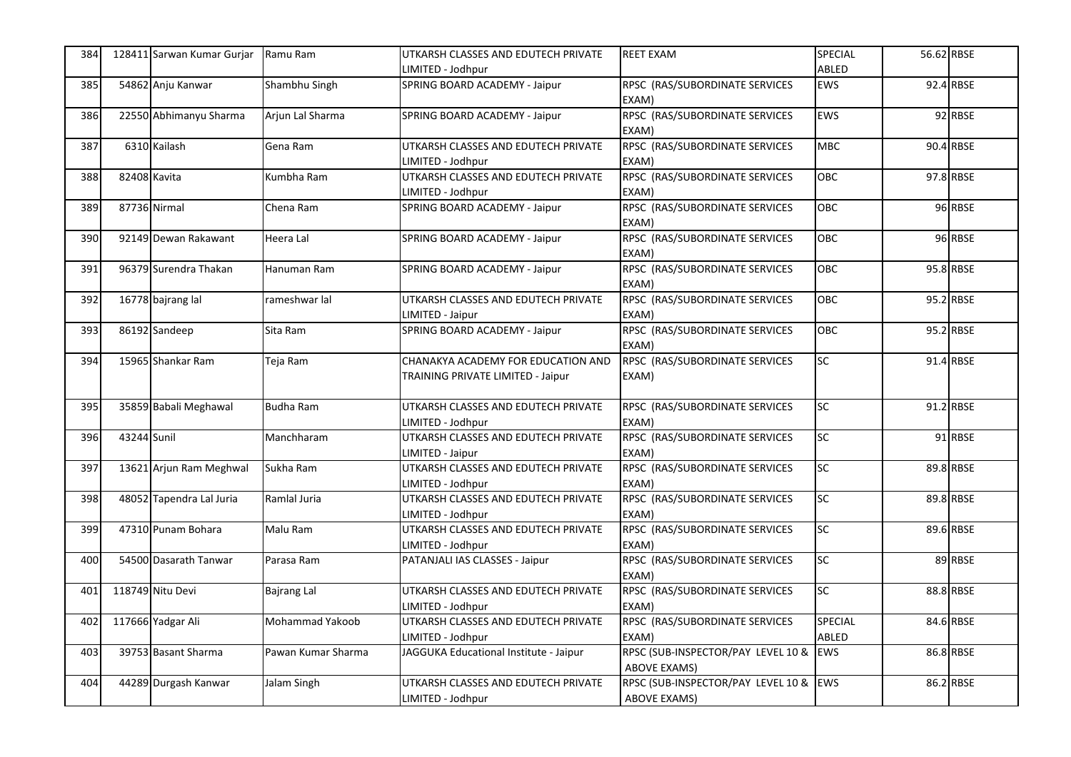| 384 |              | 128411 Sarwan Kumar Gurjar | Ramu Ram           | UTKARSH CLASSES AND EDUTECH PRIVATE    | <b>REET EXAM</b>                        | SPECIAL         | 56.62 RBSE |           |
|-----|--------------|----------------------------|--------------------|----------------------------------------|-----------------------------------------|-----------------|------------|-----------|
|     |              |                            |                    | LIMITED - Jodhpur                      |                                         | ABLED           |            |           |
| 385 |              | 54862 Anju Kanwar          | Shambhu Singh      | SPRING BOARD ACADEMY - Jaipur          | RPSC (RAS/SUBORDINATE SERVICES<br>EXAM) | <b>EWS</b>      |            | 92.4 RBSE |
| 386 |              | 22550 Abhimanyu Sharma     | Arjun Lal Sharma   | SPRING BOARD ACADEMY - Jaipur          | RPSC (RAS/SUBORDINATE SERVICES<br>EXAM) | EWS             |            | 92 RBSE   |
| 387 |              | 6310 Kailash               | Gena Ram           | UTKARSH CLASSES AND EDUTECH PRIVATE    | RPSC (RAS/SUBORDINATE SERVICES          | <b>MBC</b>      |            | 90.4 RBSE |
|     |              |                            |                    | LIMITED - Jodhpur                      | EXAM)                                   |                 |            |           |
| 388 | 82408 Kavita |                            | Kumbha Ram         | UTKARSH CLASSES AND EDUTECH PRIVATE    | RPSC (RAS/SUBORDINATE SERVICES          | OBC             |            | 97.8 RBSE |
|     |              |                            |                    | LIMITED - Jodhpur                      | EXAM)                                   |                 |            |           |
| 389 |              | 87736 Nirmal               | Chena Ram          | SPRING BOARD ACADEMY - Jaipur          | RPSC (RAS/SUBORDINATE SERVICES          | OBC             |            | 96 RBSE   |
|     |              |                            |                    |                                        | EXAM)                                   | <b>OBC</b>      |            |           |
| 390 |              | 92149 Dewan Rakawant       | Heera Lal          | SPRING BOARD ACADEMY - Jaipur          | RPSC (RAS/SUBORDINATE SERVICES          |                 |            | 96 RBSE   |
|     |              |                            |                    |                                        | EXAM)                                   |                 |            |           |
| 391 |              | 96379 Surendra Thakan      | Hanuman Ram        | SPRING BOARD ACADEMY - Jaipur          | RPSC (RAS/SUBORDINATE SERVICES          | OBC             |            | 95.8 RBSE |
|     |              |                            |                    |                                        | EXAM)                                   |                 |            |           |
| 392 |              | 16778 bajrang lal          | rameshwar lal      | UTKARSH CLASSES AND EDUTECH PRIVATE    | RPSC (RAS/SUBORDINATE SERVICES          | OBC             |            | 95.2 RBSE |
|     |              |                            |                    | LIMITED - Jaipur                       | EXAM)                                   |                 |            |           |
| 393 |              | 86192 Sandeep              | Sita Ram           | SPRING BOARD ACADEMY - Jaipur          | RPSC (RAS/SUBORDINATE SERVICES          | OBC             |            | 95.2 RBSE |
|     |              |                            |                    |                                        | EXAM)                                   |                 |            |           |
| 394 |              | 15965 Shankar Ram          | Teja Ram           | CHANAKYA ACADEMY FOR EDUCATION AND     | RPSC (RAS/SUBORDINATE SERVICES          | SC              |            | 91.4 RBSE |
|     |              |                            |                    | TRAINING PRIVATE LIMITED - Jaipur      | EXAM)                                   |                 |            |           |
|     |              |                            |                    |                                        |                                         | SC              |            |           |
| 395 |              | 35859 Babali Meghawal      | <b>Budha Ram</b>   | UTKARSH CLASSES AND EDUTECH PRIVATE    | RPSC (RAS/SUBORDINATE SERVICES          |                 |            | 91.2 RBSE |
|     |              |                            |                    | LIMITED - Jodhpur                      | EXAM)                                   |                 |            |           |
| 396 | 43244 Sunil  |                            | Manchharam         | UTKARSH CLASSES AND EDUTECH PRIVATE    | RPSC (RAS/SUBORDINATE SERVICES          | SC <sub>1</sub> |            | 91 RBSE   |
|     |              |                            |                    | LIMITED - Jaipur                       | EXAM)                                   |                 |            |           |
| 397 |              | 13621 Arjun Ram Meghwal    | Sukha Ram          | UTKARSH CLASSES AND EDUTECH PRIVATE    | RPSC (RAS/SUBORDINATE SERVICES          | SC <sub>1</sub> |            | 89.8 RBSE |
|     |              |                            |                    | LIMITED - Jodhpur                      | EXAM)                                   |                 |            |           |
| 398 |              | 48052 Tapendra Lal Juria   | Ramlal Juria       | UTKARSH CLASSES AND EDUTECH PRIVATE    | RPSC (RAS/SUBORDINATE SERVICES          | <b>SC</b>       |            | 89.8 RBSE |
|     |              |                            |                    | LIMITED - Jodhpur                      | EXAM)                                   |                 |            |           |
| 399 |              | 47310 Punam Bohara         | Malu Ram           | UTKARSH CLASSES AND EDUTECH PRIVATE    | RPSC (RAS/SUBORDINATE SERVICES          | <b>SC</b>       |            | 89.6 RBSE |
|     |              |                            |                    | LIMITED - Jodhpur                      | EXAM)                                   |                 |            |           |
| 400 |              | 54500 Dasarath Tanwar      | Parasa Ram         | PATANJALI IAS CLASSES - Jaipur         | RPSC (RAS/SUBORDINATE SERVICES          | SC              |            | 89 RBSE   |
|     |              |                            |                    |                                        | EXAM)                                   |                 |            |           |
| 401 |              | 118749 Nitu Devi           | <b>Bajrang Lal</b> | UTKARSH CLASSES AND EDUTECH PRIVATE    | RPSC (RAS/SUBORDINATE SERVICES          | SC              |            | 88.8 RBSE |
|     |              |                            |                    | LIMITED - Jodhpur                      | EXAM)                                   |                 |            |           |
| 402 |              | 117666 Yadgar Ali          | Mohammad Yakoob    | UTKARSH CLASSES AND EDUTECH PRIVATE    | RPSC (RAS/SUBORDINATE SERVICES          | SPECIAL         |            | 84.6 RBSE |
|     |              |                            |                    | LIMITED - Jodhpur                      | EXAM)                                   | ABLED           |            |           |
| 403 |              | 39753 Basant Sharma        | Pawan Kumar Sharma | JAGGUKA Educational Institute - Jaipur | RPSC (SUB-INSPECTOR/PAY LEVEL 10 &      | <b>EWS</b>      |            | 86.8 RBSE |
|     |              |                            |                    |                                        | <b>ABOVE EXAMS)</b>                     |                 |            |           |
| 404 |              | 44289 Durgash Kanwar       | Jalam Singh        | UTKARSH CLASSES AND EDUTECH PRIVATE    | RPSC (SUB-INSPECTOR/PAY LEVEL 10 &      | <b>EWS</b>      |            | 86.2 RBSE |
|     |              |                            |                    | LIMITED - Jodhpur                      | <b>ABOVE EXAMS)</b>                     |                 |            |           |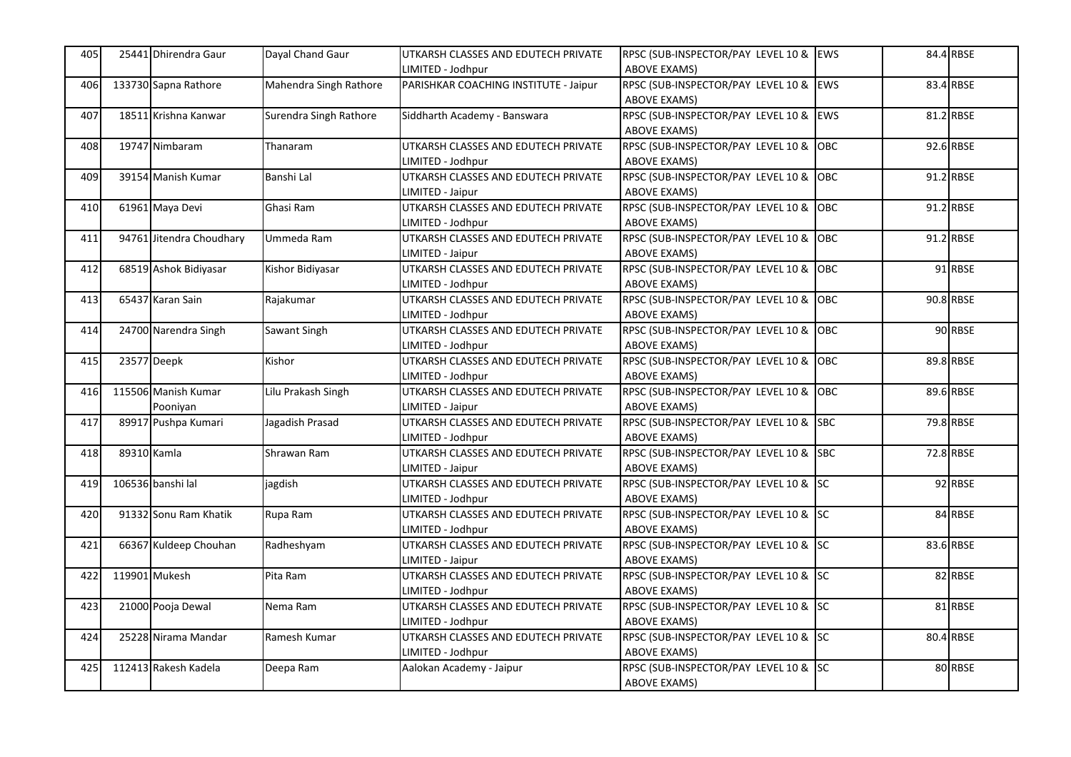| 405 | 25441 Dhirendra Gaur     | Dayal Chand Gaur       | UTKARSH CLASSES AND EDUTECH PRIVATE   | RPSC (SUB-INSPECTOR/PAY LEVEL 10 & EWS |            | 84.4 RBSE |
|-----|--------------------------|------------------------|---------------------------------------|----------------------------------------|------------|-----------|
|     |                          |                        | IMITED - Jodhpur                      | <b>ABOVE EXAMS)</b>                    |            |           |
| 406 | 133730 Sapna Rathore     | Mahendra Singh Rathore | PARISHKAR COACHING INSTITUTE - Jaipur | RPSC (SUB-INSPECTOR/PAY LEVEL 10 &     | EWS        | 83.4 RBSE |
|     |                          |                        |                                       | <b>ABOVE EXAMS)</b>                    |            |           |
| 407 | 18511 Krishna Kanwar     | Surendra Singh Rathore | Siddharth Academy - Banswara          | RPSC (SUB-INSPECTOR/PAY LEVEL 10 &     | <b>EWS</b> | 81.2 RBSE |
|     |                          |                        |                                       | <b>ABOVE EXAMS)</b>                    |            |           |
| 408 | 19747 Nimbaram           | Thanaram               | UTKARSH CLASSES AND EDUTECH PRIVATE   | RPSC (SUB-INSPECTOR/PAY LEVEL 10 &     | OBC        | 92.6 RBSE |
|     |                          |                        | LIMITED - Jodhpur                     | <b>ABOVE EXAMS)</b>                    |            |           |
| 409 | 39154 Manish Kumar       | Banshi Lal             | UTKARSH CLASSES AND EDUTECH PRIVATE   | RPSC (SUB-INSPECTOR/PAY LEVEL 10 &     | OBC        | 91.2 RBSE |
|     |                          |                        | LIMITED - Jaipur                      | ABOVE EXAMS)                           |            |           |
| 410 | 61961 Maya Devi          | Ghasi Ram              | UTKARSH CLASSES AND EDUTECH PRIVATE   | RPSC (SUB-INSPECTOR/PAY LEVEL 10 &     | OBC        | 91.2 RBSE |
|     |                          |                        | LIMITED - Jodhpur                     | <b>ABOVE EXAMS)</b>                    |            |           |
| 411 | 94761 Jitendra Choudhary | Ummeda Ram             | UTKARSH CLASSES AND EDUTECH PRIVATE   | RPSC (SUB-INSPECTOR/PAY LEVEL 10 &     | <b>OBC</b> | 91.2 RBSE |
|     |                          |                        | LIMITED - Jaipur                      | <b>ABOVE EXAMS)</b>                    |            |           |
| 412 | 68519 Ashok Bidiyasar    | Kishor Bidiyasar       | UTKARSH CLASSES AND EDUTECH PRIVATE   | RPSC (SUB-INSPECTOR/PAY LEVEL 10 &     | OBC        | 91 RBSE   |
|     |                          |                        | IMITED - Jodhpur                      | <b>ABOVE EXAMS)</b>                    |            |           |
| 413 | 65437 Karan Sain         | Rajakumar              | UTKARSH CLASSES AND EDUTECH PRIVATE   | RPSC (SUB-INSPECTOR/PAY LEVEL 10 &     | OBC        | 90.8 RBSE |
|     |                          |                        | IMITED - Jodhpur                      | <b>ABOVE EXAMS)</b>                    |            |           |
| 414 | 24700 Narendra Singh     | Sawant Singh           | UTKARSH CLASSES AND EDUTECH PRIVATE   | RPSC (SUB-INSPECTOR/PAY LEVEL 10 & OBC |            | 90 RBSE   |
|     |                          |                        | IMITED - Jodhpur                      | <b>ABOVE EXAMS)</b>                    |            |           |
| 415 | 23577 Deepk              | Kishor                 | UTKARSH CLASSES AND EDUTECH PRIVATE   | RPSC (SUB-INSPECTOR/PAY LEVEL 10 &     | OBC        | 89.8 RBSE |
|     |                          |                        | LIMITED - Jodhpur                     | <b>ABOVE EXAMS)</b>                    |            |           |
| 416 | 115506 Manish Kumar      | Lilu Prakash Singh     | UTKARSH CLASSES AND EDUTECH PRIVATE   | RPSC (SUB-INSPECTOR/PAY LEVEL 10 &     | <b>OBC</b> | 89.6 RBSE |
|     | Pooniyan                 |                        | LIMITED - Jaipur                      | ABOVE EXAMS)                           |            |           |
| 417 | 89917 Pushpa Kumari      | Jagadish Prasad        | UTKARSH CLASSES AND EDUTECH PRIVATE   | RPSC (SUB-INSPECTOR/PAY LEVEL 10 &     | <b>SBC</b> | 79.8 RBSE |
|     |                          |                        | LIMITED - Jodhpur                     | <b>ABOVE EXAMS)</b>                    |            |           |
| 418 | 89310 Kamla              | Shrawan Ram            | UTKARSH CLASSES AND EDUTECH PRIVATE   | RPSC (SUB-INSPECTOR/PAY LEVEL 10 & SBC |            | 72.8 RBSE |
|     |                          |                        | LIMITED - Jaipur                      | ABOVE EXAMS)                           |            |           |
| 419 | 106536 banshi lal        | jagdish                | UTKARSH CLASSES AND EDUTECH PRIVATE   | RPSC (SUB-INSPECTOR/PAY LEVEL 10 & SC  |            | 92 RBSE   |
|     |                          |                        | LIMITED - Jodhpur                     | ABOVE EXAMS)                           |            |           |
| 420 | 91332 Sonu Ram Khatik    | Rupa Ram               | UTKARSH CLASSES AND EDUTECH PRIVATE   | RPSC (SUB-INSPECTOR/PAY LEVEL 10 & SC  |            | 84 RBSE   |
|     |                          |                        | LIMITED - Jodhpur                     | <b>ABOVE EXAMS)</b>                    |            |           |
| 421 | 66367 Kuldeep Chouhan    | Radheshyam             | UTKARSH CLASSES AND EDUTECH PRIVATE   | RPSC (SUB-INSPECTOR/PAY LEVEL 10 & SC  |            | 83.6 RBSE |
|     |                          |                        | LIMITED - Jaipur                      | <b>ABOVE EXAMS)</b>                    |            |           |
| 422 | 119901 Mukesh            | Pita Ram               | UTKARSH CLASSES AND EDUTECH PRIVATE   | RPSC (SUB-INSPECTOR/PAY LEVEL 10 & SC  |            | 82 RBSE   |
|     |                          |                        | IMITED - Jodhpur                      | <b>ABOVE EXAMS)</b>                    |            |           |
| 423 | 21000 Pooja Dewal        | Nema Ram               | UTKARSH CLASSES AND EDUTECH PRIVATE   | RPSC (SUB-INSPECTOR/PAY LEVEL 10 & SC  |            | 81 RBSE   |
|     |                          |                        | IMITED - Jodhpur                      | <b>ABOVE EXAMS)</b>                    |            |           |
| 424 | 25228 Nirama Mandar      | Ramesh Kumar           | UTKARSH CLASSES AND EDUTECH PRIVATE   | RPSC (SUB-INSPECTOR/PAY LEVEL 10 & SC  |            | 80.4 RBSE |
|     |                          |                        | LIMITED - Jodhpur                     | <b>ABOVE EXAMS)</b>                    |            |           |
| 425 | 112413 Rakesh Kadela     | Deepa Ram              | Aalokan Academy - Jaipur              | RPSC (SUB-INSPECTOR/PAY LEVEL 10 & SC  |            | 80 RBSE   |
|     |                          |                        |                                       | ABOVE EXAMS)                           |            |           |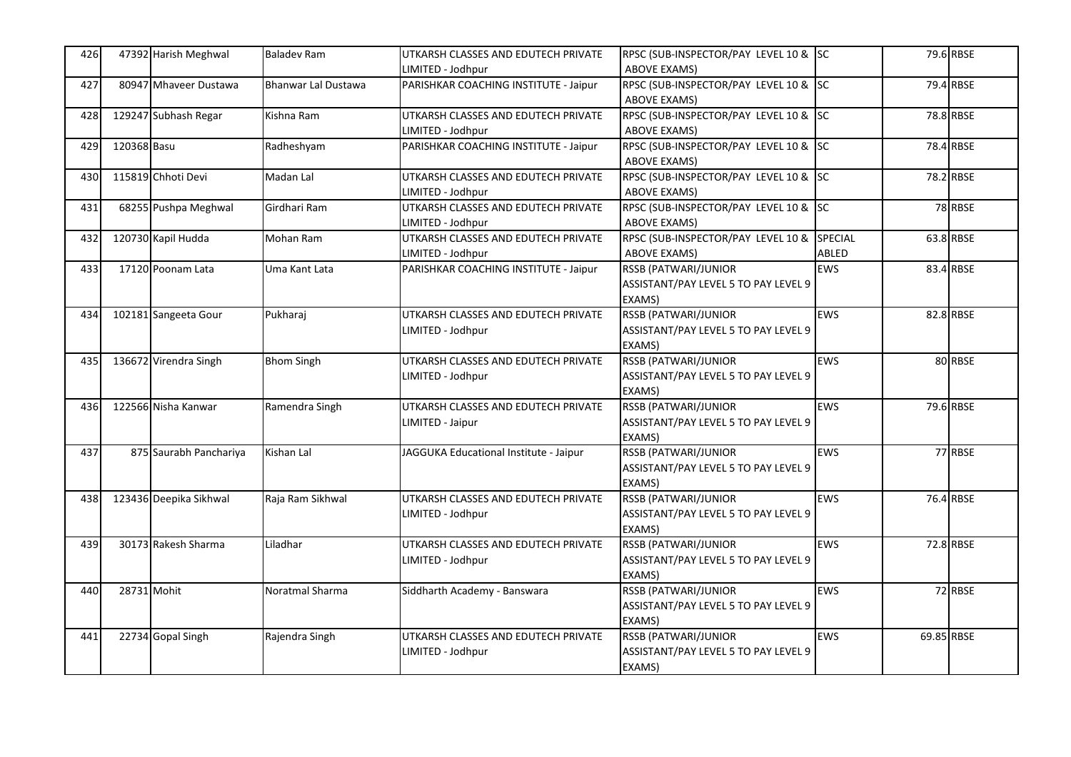| 426 |             | 47392 Harish Meghwal   | <b>Baladev Ram</b>         | UTKARSH CLASSES AND EDUTECH PRIVATE<br>LIMITED - Jodhpur | RPSC (SUB-INSPECTOR/PAY LEVEL 10 & SC<br><b>ABOVE EXAMS)</b>                  |            |            | 79.6 RBSE |
|-----|-------------|------------------------|----------------------------|----------------------------------------------------------|-------------------------------------------------------------------------------|------------|------------|-----------|
| 427 |             | 80947 Mhaveer Dustawa  | <b>Bhanwar Lal Dustawa</b> | PARISHKAR COACHING INSTITUTE - Jaipur                    | RPSC (SUB-INSPECTOR/PAY LEVEL 10 & SC<br><b>ABOVE EXAMS)</b>                  |            |            | 79.4 RBSE |
| 428 |             | 129247 Subhash Regar   | Kishna Ram                 | UTKARSH CLASSES AND EDUTECH PRIVATE<br>LIMITED - Jodhpur | RPSC (SUB-INSPECTOR/PAY LEVEL 10 & SC<br><b>ABOVE EXAMS)</b>                  |            |            | 78.8 RBSE |
| 429 | 120368 Basu |                        | Radheshyam                 | PARISHKAR COACHING INSTITUTE - Jaipur                    | RPSC (SUB-INSPECTOR/PAY LEVEL 10 & SC<br><b>ABOVE EXAMS)</b>                  |            |            | 78.4 RBSE |
| 430 |             | 115819 Chhoti Devi     | Madan Lal                  | UTKARSH CLASSES AND EDUTECH PRIVATE<br>LIMITED - Jodhpur | RPSC (SUB-INSPECTOR/PAY LEVEL 10 &<br><b>ABOVE EXAMS)</b>                     | <b>SC</b>  |            | 78.2 RBSE |
| 431 |             | 68255 Pushpa Meghwal   | Girdhari Ram               | UTKARSH CLASSES AND EDUTECH PRIVATE<br>LIMITED - Jodhpur | RPSC (SUB-INSPECTOR/PAY LEVEL 10 & SC<br><b>ABOVE EXAMS)</b>                  |            |            | 78 RBSE   |
| 432 |             | 120730 Kapil Hudda     | Mohan Ram                  | UTKARSH CLASSES AND EDUTECH PRIVATE<br>LIMITED - Jodhpur | RPSC (SUB-INSPECTOR/PAY LEVEL 10 & SPECIAL<br><b>ABOVE EXAMS)</b>             | ABLED      |            | 63.8 RBSE |
| 433 |             | 17120 Poonam Lata      | Uma Kant Lata              | PARISHKAR COACHING INSTITUTE - Jaipur                    | RSSB (PATWARI/JUNIOR<br>ASSISTANT/PAY LEVEL 5 TO PAY LEVEL 9<br>EXAMS)        | <b>EWS</b> |            | 83.4 RBSE |
| 434 |             | 102181 Sangeeta Gour   | Pukharaj                   | UTKARSH CLASSES AND EDUTECH PRIVATE<br>LIMITED - Jodhpur | RSSB (PATWARI/JUNIOR<br>ASSISTANT/PAY LEVEL 5 TO PAY LEVEL 9<br>EXAMS)        | <b>EWS</b> |            | 82.8 RBSE |
| 435 |             | 136672 Virendra Singh  | <b>Bhom Singh</b>          | UTKARSH CLASSES AND EDUTECH PRIVATE<br>LIMITED - Jodhpur | RSSB (PATWARI/JUNIOR<br>ASSISTANT/PAY LEVEL 5 TO PAY LEVEL 9<br>EXAMS)        | <b>EWS</b> |            | 80 RBSE   |
| 436 |             | 122566 Nisha Kanwar    | Ramendra Singh             | UTKARSH CLASSES AND EDUTECH PRIVATE<br>LIMITED - Jaipur  | <b>RSSB (PATWARI/JUNIOR</b><br>ASSISTANT/PAY LEVEL 5 TO PAY LEVEL 9<br>EXAMS) | <b>EWS</b> |            | 79.6 RBSE |
| 437 |             | 875 Saurabh Panchariya | Kishan Lal                 | JAGGUKA Educational Institute - Jaipur                   | RSSB (PATWARI/JUNIOR<br>ASSISTANT/PAY LEVEL 5 TO PAY LEVEL 9<br>EXAMS)        | <b>EWS</b> |            | 77 RBSE   |
| 438 |             | 123436 Deepika Sikhwal | Raja Ram Sikhwal           | UTKARSH CLASSES AND EDUTECH PRIVATE<br>LIMITED - Jodhpur | <b>RSSB (PATWARI/JUNIOR</b><br>ASSISTANT/PAY LEVEL 5 TO PAY LEVEL 9<br>EXAMS) | <b>EWS</b> |            | 76.4 RBSE |
| 439 |             | 30173 Rakesh Sharma    | Liladhar                   | UTKARSH CLASSES AND EDUTECH PRIVATE<br>LIMITED - Jodhpur | RSSB (PATWARI/JUNIOR<br>ASSISTANT/PAY LEVEL 5 TO PAY LEVEL 9<br>EXAMS)        | <b>EWS</b> |            | 72.8 RBSE |
| 440 | 28731 Mohit |                        | Noratmal Sharma            | Siddharth Academy - Banswara                             | RSSB (PATWARI/JUNIOR<br>ASSISTANT/PAY LEVEL 5 TO PAY LEVEL 9<br>EXAMS)        | <b>EWS</b> |            | 72 RBSE   |
| 441 |             | 22734 Gopal Singh      | Rajendra Singh             | UTKARSH CLASSES AND EDUTECH PRIVATE<br>LIMITED - Jodhpur | RSSB (PATWARI/JUNIOR<br>ASSISTANT/PAY LEVEL 5 TO PAY LEVEL 9<br>EXAMS)        | <b>EWS</b> | 69.85 RBSE |           |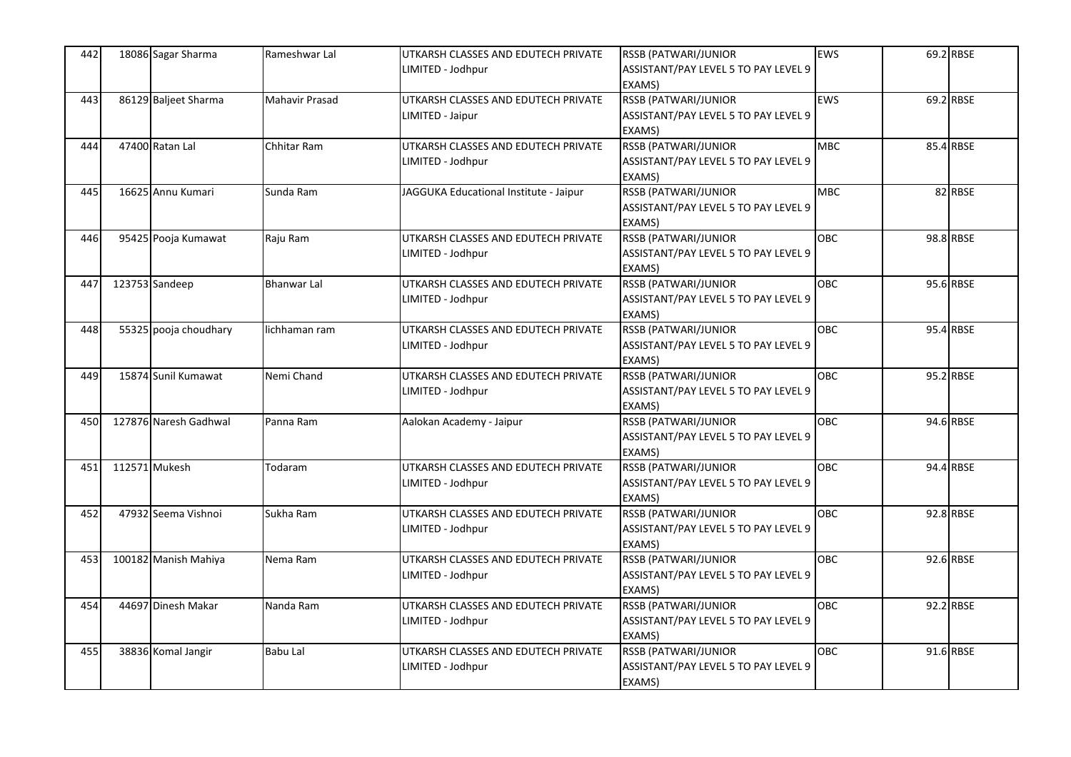| 442 | 18086 Sagar Sharma    | Rameshwar Lal      | UTKARSH CLASSES AND EDUTECH PRIVATE    | RSSB (PATWARI/JUNIOR                 | <b>EWS</b> | 69.2 RBSE |
|-----|-----------------------|--------------------|----------------------------------------|--------------------------------------|------------|-----------|
|     |                       |                    | LIMITED - Jodhpur                      | ASSISTANT/PAY LEVEL 5 TO PAY LEVEL 9 |            |           |
|     |                       |                    |                                        | EXAMS)                               |            |           |
| 443 | 86129 Baljeet Sharma  | Mahavir Prasad     | UTKARSH CLASSES AND EDUTECH PRIVATE    | RSSB (PATWARI/JUNIOR                 | <b>EWS</b> | 69.2 RBSE |
|     |                       |                    | LIMITED - Jaipur                       | ASSISTANT/PAY LEVEL 5 TO PAY LEVEL 9 |            |           |
|     |                       |                    |                                        | EXAMS)                               |            |           |
| 444 | 47400 Ratan Lal       | Chhitar Ram        | UTKARSH CLASSES AND EDUTECH PRIVATE    | <b>RSSB (PATWARI/JUNIOR</b>          | <b>MBC</b> | 85.4 RBSE |
|     |                       |                    | LIMITED - Jodhpur                      | ASSISTANT/PAY LEVEL 5 TO PAY LEVEL 9 |            |           |
|     |                       |                    |                                        | EXAMS)                               |            |           |
| 445 | 16625 Annu Kumari     | Sunda Ram          | JAGGUKA Educational Institute - Jaipur | <b>RSSB (PATWARI/JUNIOR</b>          | <b>MBC</b> | 82 RBSE   |
|     |                       |                    |                                        | ASSISTANT/PAY LEVEL 5 TO PAY LEVEL 9 |            |           |
|     |                       |                    |                                        | EXAMS)                               |            |           |
| 446 | 95425 Pooja Kumawat   | Raju Ram           | UTKARSH CLASSES AND EDUTECH PRIVATE    | RSSB (PATWARI/JUNIOR                 | <b>OBC</b> | 98.8 RBSE |
|     |                       |                    | LIMITED - Jodhpur                      | ASSISTANT/PAY LEVEL 5 TO PAY LEVEL 9 |            |           |
|     |                       |                    |                                        | EXAMS)                               |            |           |
| 447 | 123753 Sandeep        | <b>Bhanwar Lal</b> | UTKARSH CLASSES AND EDUTECH PRIVATE    | <b>RSSB (PATWARI/JUNIOR</b>          | <b>OBC</b> | 95.6 RBSE |
|     |                       |                    | LIMITED - Jodhpur                      | ASSISTANT/PAY LEVEL 5 TO PAY LEVEL 9 |            |           |
|     |                       |                    |                                        | EXAMS)                               |            |           |
| 448 | 55325 pooja choudhary | lichhaman ram      | UTKARSH CLASSES AND EDUTECH PRIVATE    | <b>RSSB (PATWARI/JUNIOR</b>          | OBC        | 95.4 RBSE |
|     |                       |                    | LIMITED - Jodhpur                      | ASSISTANT/PAY LEVEL 5 TO PAY LEVEL 9 |            |           |
|     |                       |                    |                                        | EXAMS)                               |            |           |
| 449 | 15874 Sunil Kumawat   | Nemi Chand         | UTKARSH CLASSES AND EDUTECH PRIVATE    | RSSB (PATWARI/JUNIOR                 | <b>OBC</b> | 95.2 RBSE |
|     |                       |                    | LIMITED - Jodhpur                      | ASSISTANT/PAY LEVEL 5 TO PAY LEVEL 9 |            |           |
|     |                       |                    |                                        | EXAMS)                               |            |           |
| 450 | 127876 Naresh Gadhwal | Panna Ram          | Aalokan Academy - Jaipur               | <b>RSSB (PATWARI/JUNIOR</b>          | OBC        | 94.6 RBSE |
|     |                       |                    |                                        | ASSISTANT/PAY LEVEL 5 TO PAY LEVEL 9 |            |           |
|     |                       |                    |                                        | EXAMS)                               |            |           |
| 451 | 112571 Mukesh         | Todaram            | UTKARSH CLASSES AND EDUTECH PRIVATE    | <b>RSSB (PATWARI/JUNIOR</b>          | <b>OBC</b> | 94.4 RBSE |
|     |                       |                    | LIMITED - Jodhpur                      | ASSISTANT/PAY LEVEL 5 TO PAY LEVEL 9 |            |           |
|     |                       |                    |                                        | EXAMS)                               |            |           |
| 452 | 47932 Seema Vishnoi   | Sukha Ram          | UTKARSH CLASSES AND EDUTECH PRIVATE    | RSSB (PATWARI/JUNIOR                 | <b>OBC</b> | 92.8 RBSE |
|     |                       |                    | LIMITED - Jodhpur                      | ASSISTANT/PAY LEVEL 5 TO PAY LEVEL 9 |            |           |
|     |                       |                    |                                        | EXAMS)                               |            |           |
| 453 | 100182 Manish Mahiya  | Nema Ram           | UTKARSH CLASSES AND EDUTECH PRIVATE    | RSSB (PATWARI/JUNIOR                 | <b>OBC</b> | 92.6 RBSE |
|     |                       |                    | LIMITED - Jodhpur                      | ASSISTANT/PAY LEVEL 5 TO PAY LEVEL 9 |            |           |
|     |                       |                    |                                        | EXAMS)                               |            |           |
| 454 | 44697 Dinesh Makar    | Nanda Ram          | UTKARSH CLASSES AND EDUTECH PRIVATE    | <b>RSSB (PATWARI/JUNIOR</b>          | OBC        | 92.2 RBSE |
|     |                       |                    | LIMITED - Jodhpur                      | ASSISTANT/PAY LEVEL 5 TO PAY LEVEL 9 |            |           |
|     |                       |                    |                                        | EXAMS)                               |            |           |
| 455 | 38836 Komal Jangir    | Babu Lal           | UTKARSH CLASSES AND EDUTECH PRIVATE    | RSSB (PATWARI/JUNIOR                 | <b>OBC</b> | 91.6 RBSE |
|     |                       |                    | LIMITED - Jodhpur                      | ASSISTANT/PAY LEVEL 5 TO PAY LEVEL 9 |            |           |
|     |                       |                    |                                        | EXAMS)                               |            |           |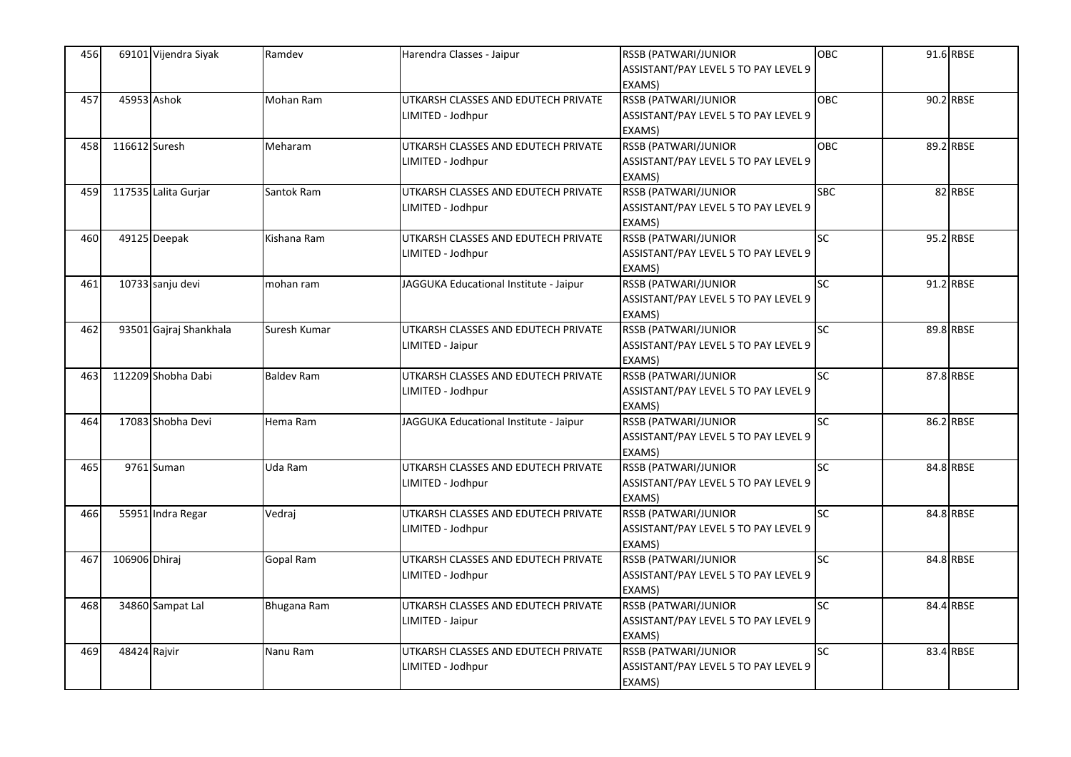| 456 |               | 69101 Vijendra Siyak   | Ramdev             | Harendra Classes - Jaipur                                | RSSB (PATWARI/JUNIOR<br>ASSISTANT/PAY LEVEL 5 TO PAY LEVEL 9<br>EXAMS)        | <b>OBC</b>      | 91.6 RBSE |
|-----|---------------|------------------------|--------------------|----------------------------------------------------------|-------------------------------------------------------------------------------|-----------------|-----------|
| 457 | 45953 Ashok   |                        | Mohan Ram          | UTKARSH CLASSES AND EDUTECH PRIVATE<br>LIMITED - Jodhpur | RSSB (PATWARI/JUNIOR<br>ASSISTANT/PAY LEVEL 5 TO PAY LEVEL 9<br>EXAMS)        | OBC             | 90.2 RBSE |
| 458 | 116612 Suresh |                        | Meharam            | UTKARSH CLASSES AND EDUTECH PRIVATE<br>LIMITED - Jodhpur | <b>RSSB (PATWARI/JUNIOR</b><br>ASSISTANT/PAY LEVEL 5 TO PAY LEVEL 9<br>EXAMS) | <b>OBC</b>      | 89.2 RBSE |
| 459 |               | 117535 Lalita Gurjar   | Santok Ram         | UTKARSH CLASSES AND EDUTECH PRIVATE<br>LIMITED - Jodhpur | <b>RSSB (PATWARI/JUNIOR</b><br>ASSISTANT/PAY LEVEL 5 TO PAY LEVEL 9<br>EXAMS) | <b>SBC</b>      | 82 RBSE   |
| 460 |               | 49125 Deepak           | Kishana Ram        | UTKARSH CLASSES AND EDUTECH PRIVATE<br>LIMITED - Jodhpur | RSSB (PATWARI/JUNIOR<br>ASSISTANT/PAY LEVEL 5 TO PAY LEVEL 9<br>EXAMS)        | SC              | 95.2 RBSE |
| 461 |               | 10733 sanju devi       | mohan ram          | JAGGUKA Educational Institute - Jaipur                   | <b>RSSB (PATWARI/JUNIOR</b><br>ASSISTANT/PAY LEVEL 5 TO PAY LEVEL 9<br>EXAMS) | SC              | 91.2 RBSE |
| 462 |               | 93501 Gajraj Shankhala | Suresh Kumar       | UTKARSH CLASSES AND EDUTECH PRIVATE<br>LIMITED - Jaipur  | <b>RSSB (PATWARI/JUNIOR</b><br>ASSISTANT/PAY LEVEL 5 TO PAY LEVEL 9<br>EXAMS) | SC              | 89.8 RBSE |
| 463 |               | 112209 Shobha Dabi     | <b>Baldev Ram</b>  | UTKARSH CLASSES AND EDUTECH PRIVATE<br>LIMITED - Jodhpur | RSSB (PATWARI/JUNIOR<br>ASSISTANT/PAY LEVEL 5 TO PAY LEVEL 9<br>EXAMS)        | <b>SC</b>       | 87.8 RBSE |
| 464 |               | 17083 Shobha Devi      | Hema Ram           | JAGGUKA Educational Institute - Jaipur                   | RSSB (PATWARI/JUNIOR<br>ASSISTANT/PAY LEVEL 5 TO PAY LEVEL 9<br>EXAMS)        | <b>SC</b>       | 86.2 RBSE |
| 465 |               | 9761 Suman             | Uda Ram            | UTKARSH CLASSES AND EDUTECH PRIVATE<br>LIMITED - Jodhpur | <b>RSSB (PATWARI/JUNIOR</b><br>ASSISTANT/PAY LEVEL 5 TO PAY LEVEL 9<br>EXAMS) | $\overline{SC}$ | 84.8 RBSE |
| 466 |               | 55951 Indra Regar      | Vedraj             | UTKARSH CLASSES AND EDUTECH PRIVATE<br>LIMITED - Jodhpur | RSSB (PATWARI/JUNIOR<br>ASSISTANT/PAY LEVEL 5 TO PAY LEVEL 9<br>EXAMS)        | SC              | 84.8 RBSE |
| 467 | 106906 Dhiraj |                        | Gopal Ram          | UTKARSH CLASSES AND EDUTECH PRIVATE<br>LIMITED - Jodhpur | <b>RSSB (PATWARI/JUNIOR</b><br>ASSISTANT/PAY LEVEL 5 TO PAY LEVEL 9<br>EXAMS) | <b>SC</b>       | 84.8 RBSE |
| 468 |               | 34860 Sampat Lal       | <b>Bhugana Ram</b> | UTKARSH CLASSES AND EDUTECH PRIVATE<br>LIMITED - Jaipur  | <b>RSSB (PATWARI/JUNIOR</b><br>ASSISTANT/PAY LEVEL 5 TO PAY LEVEL 9<br>EXAMS) | SC              | 84.4 RBSE |
| 469 | 48424 Rajvir  |                        | Nanu Ram           | UTKARSH CLASSES AND EDUTECH PRIVATE<br>LIMITED - Jodhpur | RSSB (PATWARI/JUNIOR<br>ASSISTANT/PAY LEVEL 5 TO PAY LEVEL 9<br>EXAMS)        | <b>SC</b>       | 83.4 RBSE |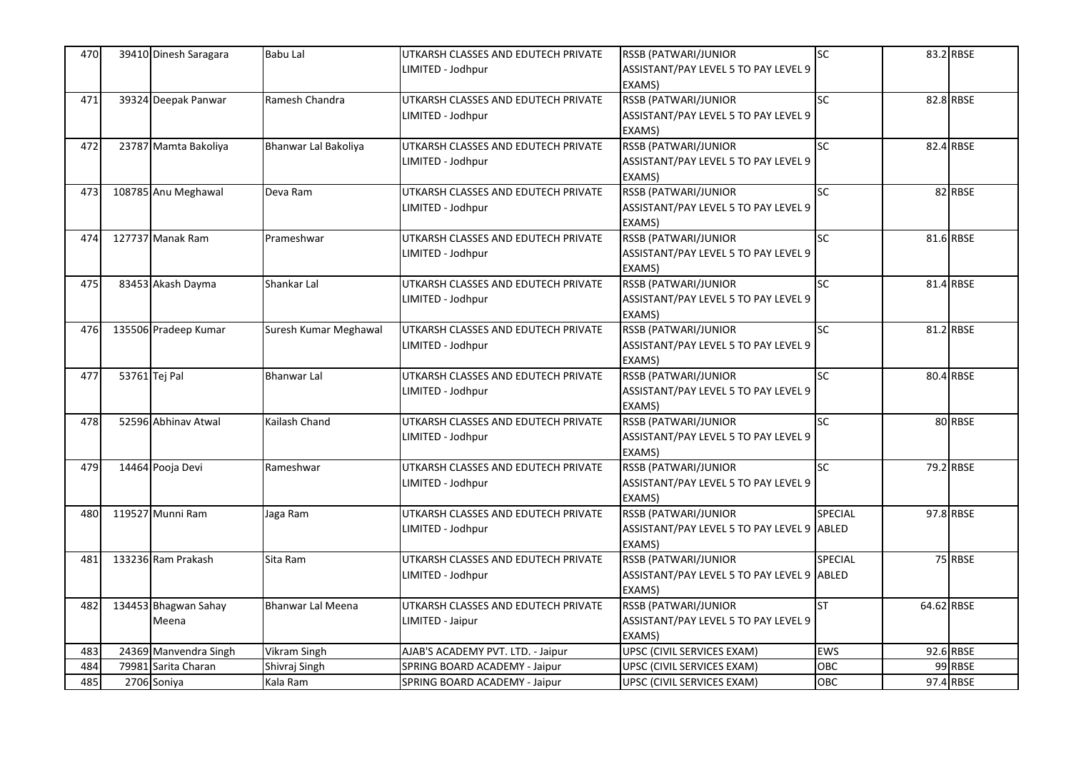| 470 | 39410 Dinesh Saragara | Babu Lal                 | UTKARSH CLASSES AND EDUTECH PRIVATE | RSSB (PATWARI/JUNIOR                       | SC              |            | 83.2 RBSE |
|-----|-----------------------|--------------------------|-------------------------------------|--------------------------------------------|-----------------|------------|-----------|
|     |                       |                          | LIMITED - Jodhpur                   | ASSISTANT/PAY LEVEL 5 TO PAY LEVEL 9       |                 |            |           |
|     |                       |                          |                                     | EXAMS)                                     |                 |            |           |
| 471 | 39324 Deepak Panwar   | Ramesh Chandra           | UTKARSH CLASSES AND EDUTECH PRIVATE | RSSB (PATWARI/JUNIOR                       | $\overline{SC}$ |            | 82.8 RBSE |
|     |                       |                          | LIMITED - Jodhpur                   | ASSISTANT/PAY LEVEL 5 TO PAY LEVEL 9       |                 |            |           |
|     |                       |                          |                                     | EXAMS)                                     |                 |            |           |
| 472 | 23787 Mamta Bakoliya  | Bhanwar Lal Bakoliya     | UTKARSH CLASSES AND EDUTECH PRIVATE | <b>RSSB (PATWARI/JUNIOR</b>                | SC              |            | 82.4 RBSE |
|     |                       |                          | LIMITED - Jodhpur                   | ASSISTANT/PAY LEVEL 5 TO PAY LEVEL 9       |                 |            |           |
|     |                       |                          |                                     | EXAMS)                                     |                 |            |           |
| 473 | 108785 Anu Meghawal   | Deva Ram                 | UTKARSH CLASSES AND EDUTECH PRIVATE | <b>RSSB (PATWARI/JUNIOR</b>                | SC              |            | 82 RBSE   |
|     |                       |                          | LIMITED - Jodhpur                   | ASSISTANT/PAY LEVEL 5 TO PAY LEVEL 9       |                 |            |           |
|     |                       |                          |                                     | EXAMS)                                     |                 |            |           |
| 474 | 127737 Manak Ram      | Prameshwar               | UTKARSH CLASSES AND EDUTECH PRIVATE | RSSB (PATWARI/JUNIOR                       | $\overline{SC}$ |            | 81.6 RBSE |
|     |                       |                          | LIMITED - Jodhpur                   | ASSISTANT/PAY LEVEL 5 TO PAY LEVEL 9       |                 |            |           |
|     |                       |                          |                                     | EXAMS)                                     |                 |            |           |
| 475 | 83453 Akash Dayma     | Shankar Lal              | UTKARSH CLASSES AND EDUTECH PRIVATE | <b>RSSB (PATWARI/JUNIOR</b>                | SC              |            | 81.4 RBSE |
|     |                       |                          | LIMITED - Jodhpur                   | ASSISTANT/PAY LEVEL 5 TO PAY LEVEL 9       |                 |            |           |
|     |                       |                          |                                     | EXAMS)                                     |                 |            |           |
| 476 | 135506 Pradeep Kumar  | Suresh Kumar Meghawal    | UTKARSH CLASSES AND EDUTECH PRIVATE | <b>RSSB (PATWARI/JUNIOR</b>                | SC              |            | 81.2 RBSE |
|     |                       |                          | LIMITED - Jodhpur                   | ASSISTANT/PAY LEVEL 5 TO PAY LEVEL 9       |                 |            |           |
|     |                       |                          |                                     | EXAMS)                                     |                 |            |           |
| 477 | 53761 Tej Pal         | Bhanwar Lal              | UTKARSH CLASSES AND EDUTECH PRIVATE | RSSB (PATWARI/JUNIOR                       | $\overline{SC}$ |            | 80.4 RBSE |
|     |                       |                          | LIMITED - Jodhpur                   | ASSISTANT/PAY LEVEL 5 TO PAY LEVEL 9       |                 |            |           |
|     |                       |                          |                                     | EXAMS)                                     |                 |            |           |
| 478 | 52596 Abhinav Atwal   | Kailash Chand            | UTKARSH CLASSES AND EDUTECH PRIVATE | <b>RSSB (PATWARI/JUNIOR</b>                | $\overline{SC}$ |            | 80 RBSE   |
|     |                       |                          | LIMITED - Jodhpur                   | ASSISTANT/PAY LEVEL 5 TO PAY LEVEL 9       |                 |            |           |
|     |                       |                          |                                     | EXAMS)                                     |                 |            |           |
| 479 | 14464 Pooja Devi      | Rameshwar                | UTKARSH CLASSES AND EDUTECH PRIVATE | RSSB (PATWARI/JUNIOR                       | SC              |            | 79.2 RBSE |
|     |                       |                          | LIMITED - Jodhpur                   | ASSISTANT/PAY LEVEL 5 TO PAY LEVEL 9       |                 |            |           |
|     |                       |                          |                                     | EXAMS)                                     |                 |            |           |
| 480 | 119527 Munni Ram      | Jaga Ram                 | UTKARSH CLASSES AND EDUTECH PRIVATE | RSSB (PATWARI/JUNIOR                       | <b>SPECIAL</b>  |            | 97.8 RBSE |
|     |                       |                          | LIMITED - Jodhpur                   | ASSISTANT/PAY LEVEL 5 TO PAY LEVEL 9 ABLED |                 |            |           |
|     |                       |                          |                                     | EXAMS)                                     |                 |            |           |
| 481 | 133236 Ram Prakash    | Sita Ram                 | UTKARSH CLASSES AND EDUTECH PRIVATE | RSSB (PATWARI/JUNIOR                       | SPECIAL         |            | 75 RBSE   |
|     |                       |                          | LIMITED - Jodhpur                   | ASSISTANT/PAY LEVEL 5 TO PAY LEVEL 9 ABLED |                 |            |           |
|     |                       |                          |                                     | EXAMS)                                     |                 |            |           |
| 482 | 134453 Bhagwan Sahay  | <b>Bhanwar Lal Meena</b> | UTKARSH CLASSES AND EDUTECH PRIVATE | <b>RSSB (PATWARI/JUNIOR</b>                | ST              | 64.62 RBSE |           |
|     | Meena                 |                          | LIMITED - Jaipur                    | ASSISTANT/PAY LEVEL 5 TO PAY LEVEL 9       |                 |            |           |
|     |                       |                          |                                     | EXAMS)                                     |                 |            |           |
| 483 | 24369 Manvendra Singh | Vikram Singh             | AJAB'S ACADEMY PVT. LTD. - Jaipur   | UPSC (CIVIL SERVICES EXAM)                 | EWS             |            | 92.6 RBSE |
| 484 | 79981 Sarita Charan   | Shivraj Singh            | SPRING BOARD ACADEMY - Jaipur       | UPSC (CIVIL SERVICES EXAM)                 | <b>OBC</b>      |            | 99 RBSE   |
| 485 | 2706 Soniya           | Kala Ram                 | SPRING BOARD ACADEMY - Jaipur       | UPSC (CIVIL SERVICES EXAM)                 | OBC             |            | 97.4 RBSE |